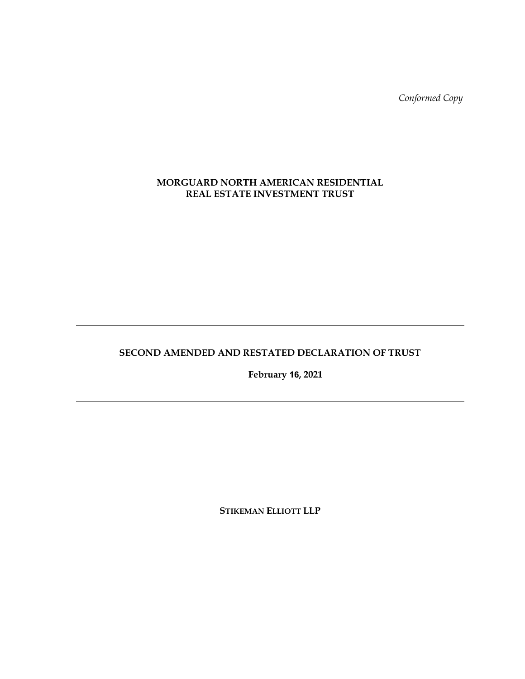*Conformed Copy* 

# **MORGUARD NORTH AMERICAN RESIDENTIAL REAL ESTATE INVESTMENT TRUST**

# **SECOND AMENDED AND RESTATED DECLARATION OF TRUST**

 **February 16, 2021** 

**STIKEMAN ELLIOTT LLP**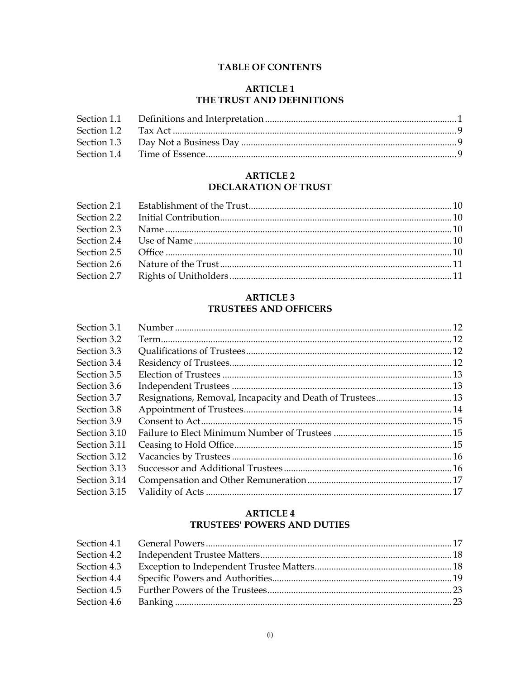# **TABLE OF CONTENTS**

# **ARTICLE 1** THE TRUST AND DEFINITIONS

# **ARTICLE 2** DECLARATION OF TRUST

# **ARTICLE 3 TRUSTEES AND OFFICERS**

| Section 3.1  |  |
|--------------|--|
| Section 3.2  |  |
| Section 3.3  |  |
| Section 3.4  |  |
| Section 3.5  |  |
| Section 3.6  |  |
| Section 3.7  |  |
| Section 3.8  |  |
| Section 3.9  |  |
| Section 3.10 |  |
| Section 3.11 |  |
| Section 3.12 |  |
| Section 3.13 |  |
| Section 3.14 |  |
| Section 3.15 |  |
|              |  |

# **ARTICLE 4** TRUSTEES' POWERS AND DUTIES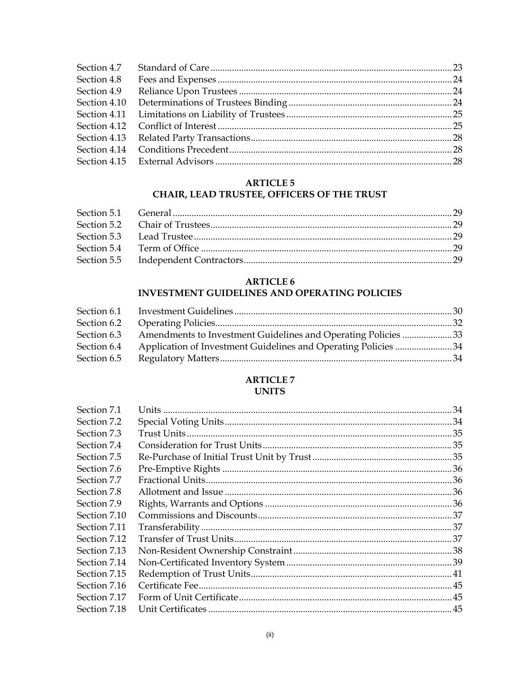| Section 4.8 |  |
|-------------|--|
| Section 4.9 |  |
|             |  |
|             |  |
|             |  |
|             |  |
|             |  |
|             |  |

# **ARTICLE 5**

# CHAIR, LEAD TRUSTEE, OFFICERS OF THE TRUST

# **ARTICLE 6**

# INVESTMENT GUIDELINES AND OPERATING POLICIES

| Section 6.3 | Amendments to Investment Guidelines and Operating Policies 33  |  |
|-------------|----------------------------------------------------------------|--|
| Section 6.4 | Application of Investment Guidelines and Operating Policies 34 |  |
| Section 6.5 |                                                                |  |
|             |                                                                |  |

# **ARTICLE 7 UNITS**

| Section 7.1  |  |
|--------------|--|
| Section 7.2  |  |
| Section 7.3  |  |
| Section 7.4  |  |
| Section 7.5  |  |
| Section 7.6  |  |
| Section 7.7  |  |
| Section 7.8  |  |
| Section 7.9  |  |
| Section 7.10 |  |
| Section 7.11 |  |
| Section 7.12 |  |
| Section 7.13 |  |
| Section 7.14 |  |
| Section 7.15 |  |
| Section 7.16 |  |
| Section 7.17 |  |
| Section 7.18 |  |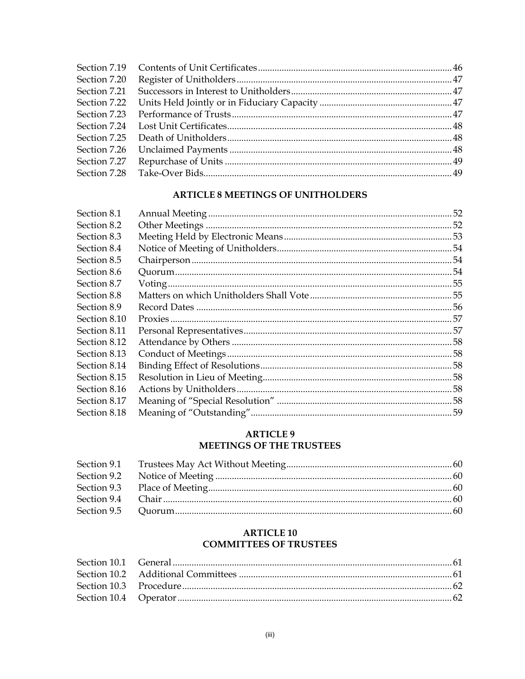| Section 7.20 |  |
|--------------|--|
|              |  |
|              |  |
|              |  |
|              |  |
|              |  |
|              |  |
|              |  |
|              |  |

# **ARTICLE 8 MEETINGS OF UNITHOLDERS**

| Section 8.1  | 52 |
|--------------|----|
| Section 8.2  |    |
| Section 8.3  |    |
| Section 8.4  |    |
| Section 8.5  |    |
| Section 8.6  |    |
| Section 8.7  |    |
| Section 8.8  |    |
| Section 8.9  |    |
| Section 8.10 |    |
| Section 8.11 |    |
| Section 8.12 |    |
| Section 8.13 |    |
| Section 8.14 |    |
| Section 8.15 |    |
| Section 8.16 |    |
| Section 8.17 |    |
| Section 8.18 |    |
|              |    |

# **ARTICLE 9** MEETINGS OF THE TRUSTEES

# **ARTICLE 10 COMMITTEES OF TRUSTEES**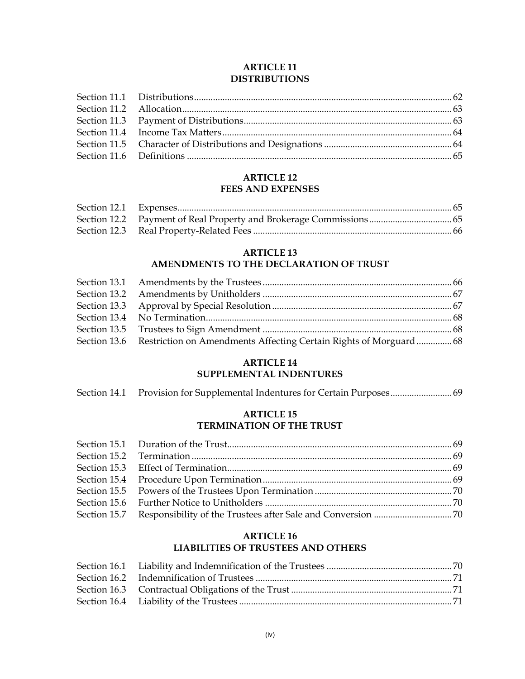## **ARTICLE 11 DISTRIBUTIONS**

## **ARTICLE 12 FEES AND EXPENSES**

# **ARTICLE 13**

# **AMENDMENTS TO THE DECLARATION OF TRUST**

| Section 13.6 Restriction on Amendments Affecting Certain Rights of Morguard68 |  |
|-------------------------------------------------------------------------------|--|

# **ARTICLE 14**

# **SUPPLEMENTAL INDENTURES**

| Section 14.1 |  |  |  |
|--------------|--|--|--|
|--------------|--|--|--|

### **ARTICLE 15 TERMINATION OF THE TRUST**

## **ARTICLE 16 LIABILITIES OF TRUSTEES AND OTHERS**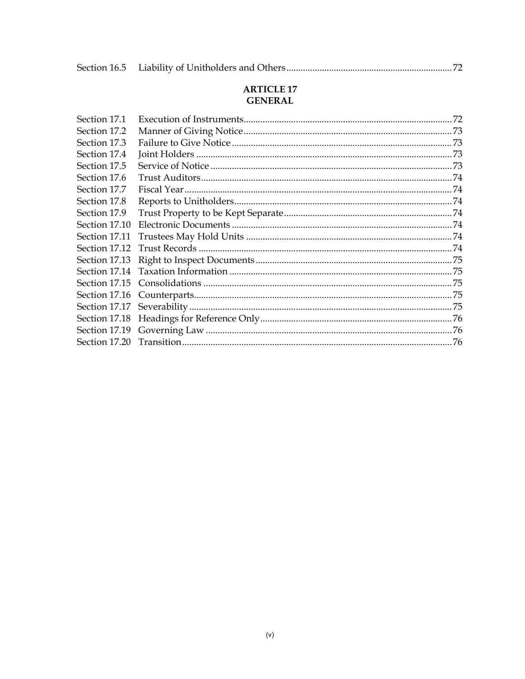|--|--|--|

# **ARTICLE 17 GENERAL**

| Section 17.1  |  |
|---------------|--|
| Section 17.2  |  |
| Section 17.3  |  |
| Section 17.4  |  |
| Section 17.5  |  |
| Section 17.6  |  |
| Section 17.7  |  |
| Section 17.8  |  |
| Section 17.9  |  |
| Section 17.10 |  |
| Section 17.11 |  |
| Section 17.12 |  |
| Section 17.13 |  |
|               |  |
|               |  |
|               |  |
|               |  |
|               |  |
|               |  |
|               |  |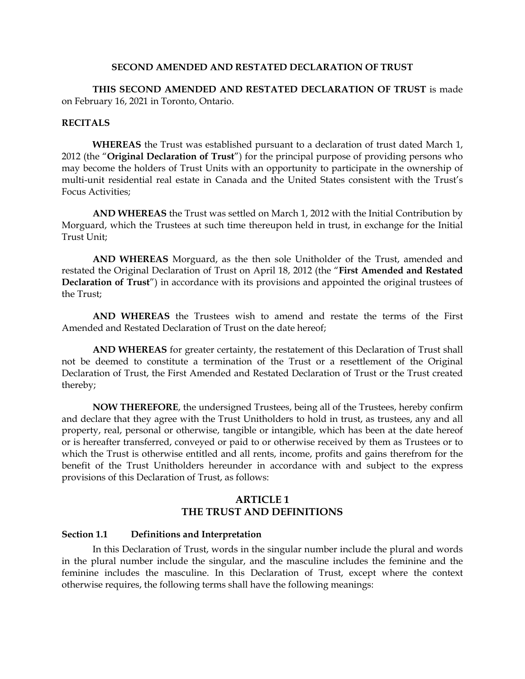#### **SECOND AMENDED AND RESTATED DECLARATION OF TRUST**

**THIS SECOND AMENDED AND RESTATED DECLARATION OF TRUST** is made on February 16, 2021 in Toronto, Ontario.

#### **RECITALS**

**WHEREAS** the Trust was established pursuant to a declaration of trust dated March 1, 2012 (the "**Original Declaration of Trust**") for the principal purpose of providing persons who may become the holders of Trust Units with an opportunity to participate in the ownership of multi-unit residential real estate in Canada and the United States consistent with the Trust's Focus Activities;

**AND WHEREAS** the Trust was settled on March 1, 2012 with the Initial Contribution by Morguard, which the Trustees at such time thereupon held in trust, in exchange for the Initial Trust Unit;

**AND WHEREAS** Morguard, as the then sole Unitholder of the Trust, amended and restated the Original Declaration of Trust on April 18, 2012 (the "**First Amended and Restated Declaration of Trust**") in accordance with its provisions and appointed the original trustees of the Trust;

**AND WHEREAS** the Trustees wish to amend and restate the terms of the First Amended and Restated Declaration of Trust on the date hereof;

**AND WHEREAS** for greater certainty, the restatement of this Declaration of Trust shall not be deemed to constitute a termination of the Trust or a resettlement of the Original Declaration of Trust, the First Amended and Restated Declaration of Trust or the Trust created thereby;

**NOW THEREFORE**, the undersigned Trustees, being all of the Trustees, hereby confirm and declare that they agree with the Trust Unitholders to hold in trust, as trustees, any and all property, real, personal or otherwise, tangible or intangible, which has been at the date hereof or is hereafter transferred, conveyed or paid to or otherwise received by them as Trustees or to which the Trust is otherwise entitled and all rents, income, profits and gains therefrom for the benefit of the Trust Unitholders hereunder in accordance with and subject to the express provisions of this Declaration of Trust, as follows:

# **ARTICLE 1 THE TRUST AND DEFINITIONS**

#### **Section 1.1 Definitions and Interpretation**

In this Declaration of Trust, words in the singular number include the plural and words in the plural number include the singular, and the masculine includes the feminine and the feminine includes the masculine. In this Declaration of Trust, except where the context otherwise requires, the following terms shall have the following meanings: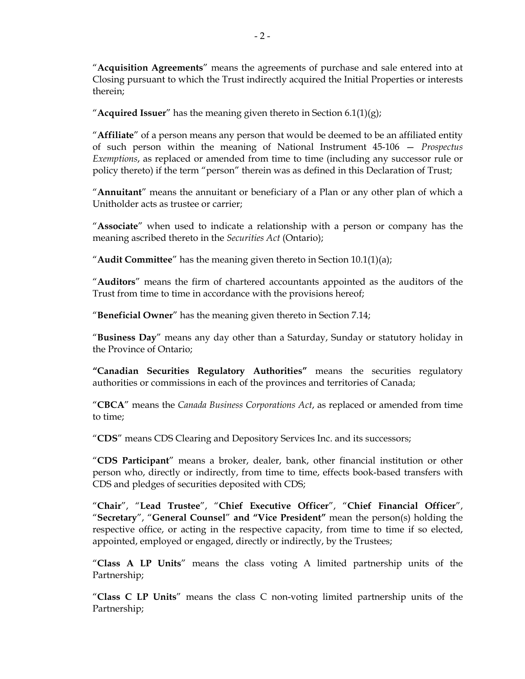"**Acquisition Agreements**" means the agreements of purchase and sale entered into at Closing pursuant to which the Trust indirectly acquired the Initial Properties or interests therein;

"**Acquired Issuer**" has the meaning given thereto in Section 6.1(1)(g);

"**Affiliate**" of a person means any person that would be deemed to be an affiliated entity of such person within the meaning of National Instrument 45-106 — *Prospectus Exemptions*, as replaced or amended from time to time (including any successor rule or policy thereto) if the term "person" therein was as defined in this Declaration of Trust;

"**Annuitant**" means the annuitant or beneficiary of a Plan or any other plan of which a Unitholder acts as trustee or carrier;

"**Associate**" when used to indicate a relationship with a person or company has the meaning ascribed thereto in the *Securities Act* (Ontario);

"**Audit Committee**" has the meaning given thereto in Section 10.1(1)(a);

"**Auditors**" means the firm of chartered accountants appointed as the auditors of the Trust from time to time in accordance with the provisions hereof;

"**Beneficial Owner**" has the meaning given thereto in Section 7.14;

"**Business Day**" means any day other than a Saturday, Sunday or statutory holiday in the Province of Ontario;

**"Canadian Securities Regulatory Authorities"** means the securities regulatory authorities or commissions in each of the provinces and territories of Canada;

"**CBCA**" means the *Canada Business Corporations Act*, as replaced or amended from time to time;

"**CDS**" means CDS Clearing and Depository Services Inc. and its successors;

"**CDS Participant**" means a broker, dealer, bank, other financial institution or other person who, directly or indirectly, from time to time, effects book-based transfers with CDS and pledges of securities deposited with CDS;

"**Chair**", "**Lead Trustee**", "**Chief Executive Officer**", "**Chief Financial Officer**", "**Secretary**", "**General Counsel**" **and "Vice President"** mean the person(s) holding the respective office, or acting in the respective capacity, from time to time if so elected, appointed, employed or engaged, directly or indirectly, by the Trustees;

"**Class A LP Units**" means the class voting A limited partnership units of the Partnership;

"**Class C LP Units**" means the class C non-voting limited partnership units of the Partnership;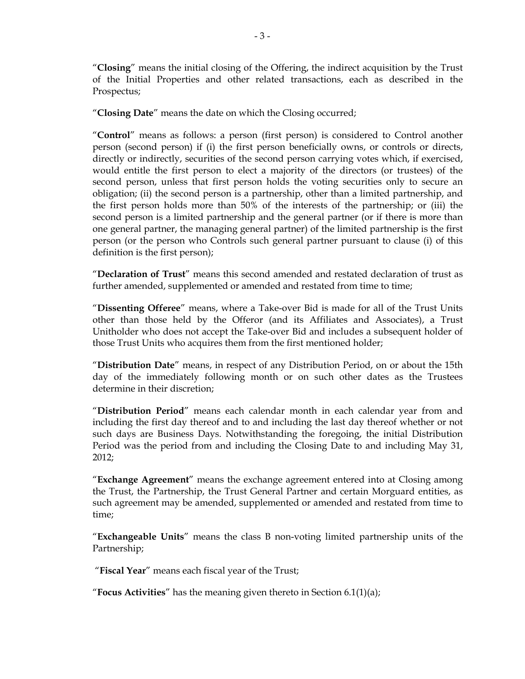"**Closing**" means the initial closing of the Offering, the indirect acquisition by the Trust of the Initial Properties and other related transactions, each as described in the Prospectus;

"**Closing Date**" means the date on which the Closing occurred;

"**Control**" means as follows: a person (first person) is considered to Control another person (second person) if (i) the first person beneficially owns, or controls or directs, directly or indirectly, securities of the second person carrying votes which, if exercised, would entitle the first person to elect a majority of the directors (or trustees) of the second person, unless that first person holds the voting securities only to secure an obligation; (ii) the second person is a partnership, other than a limited partnership, and the first person holds more than 50% of the interests of the partnership; or (iii) the second person is a limited partnership and the general partner (or if there is more than one general partner, the managing general partner) of the limited partnership is the first person (or the person who Controls such general partner pursuant to clause (i) of this definition is the first person);

"**Declaration of Trust**" means this second amended and restated declaration of trust as further amended, supplemented or amended and restated from time to time;

"**Dissenting Offeree**" means, where a Take-over Bid is made for all of the Trust Units other than those held by the Offeror (and its Affiliates and Associates), a Trust Unitholder who does not accept the Take-over Bid and includes a subsequent holder of those Trust Units who acquires them from the first mentioned holder;

"**Distribution Date**" means, in respect of any Distribution Period, on or about the 15th day of the immediately following month or on such other dates as the Trustees determine in their discretion;

"**Distribution Period**" means each calendar month in each calendar year from and including the first day thereof and to and including the last day thereof whether or not such days are Business Days. Notwithstanding the foregoing, the initial Distribution Period was the period from and including the Closing Date to and including May 31, 2012;

"**Exchange Agreement**" means the exchange agreement entered into at Closing among the Trust, the Partnership, the Trust General Partner and certain Morguard entities, as such agreement may be amended, supplemented or amended and restated from time to time;

"**Exchangeable Units**" means the class B non-voting limited partnership units of the Partnership;

"**Fiscal Year**" means each fiscal year of the Trust;

"**Focus Activities**" has the meaning given thereto in Section 6.1(1)(a);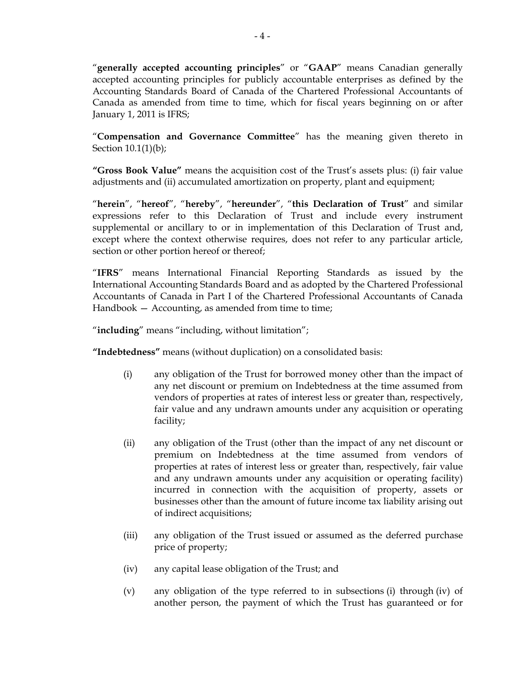"**generally accepted accounting principles**" or "**GAAP**" means Canadian generally accepted accounting principles for publicly accountable enterprises as defined by the Accounting Standards Board of Canada of the Chartered Professional Accountants of Canada as amended from time to time, which for fiscal years beginning on or after January 1, 2011 is IFRS;

"**Compensation and Governance Committee**" has the meaning given thereto in Section 10.1(1)(b);

**"Gross Book Value"** means the acquisition cost of the Trust's assets plus: (i) fair value adjustments and (ii) accumulated amortization on property, plant and equipment;

"**herein**", "**hereof**", "**hereby**", "**hereunder**", "**this Declaration of Trust**" and similar expressions refer to this Declaration of Trust and include every instrument supplemental or ancillary to or in implementation of this Declaration of Trust and, except where the context otherwise requires, does not refer to any particular article, section or other portion hereof or thereof;

"**IFRS**" means International Financial Reporting Standards as issued by the International Accounting Standards Board and as adopted by the Chartered Professional Accountants of Canada in Part I of the Chartered Professional Accountants of Canada Handbook – Accounting, as amended from time to time;

"**including**" means "including, without limitation";

**"Indebtedness"** means (without duplication) on a consolidated basis:

- (i) any obligation of the Trust for borrowed money other than the impact of any net discount or premium on Indebtedness at the time assumed from vendors of properties at rates of interest less or greater than, respectively, fair value and any undrawn amounts under any acquisition or operating facility;
- (ii) any obligation of the Trust (other than the impact of any net discount or premium on Indebtedness at the time assumed from vendors of properties at rates of interest less or greater than, respectively, fair value and any undrawn amounts under any acquisition or operating facility) incurred in connection with the acquisition of property, assets or businesses other than the amount of future income tax liability arising out of indirect acquisitions;
- (iii) any obligation of the Trust issued or assumed as the deferred purchase price of property;
- (iv) any capital lease obligation of the Trust; and
- (v) any obligation of the type referred to in subsections (i) through (iv) of another person, the payment of which the Trust has guaranteed or for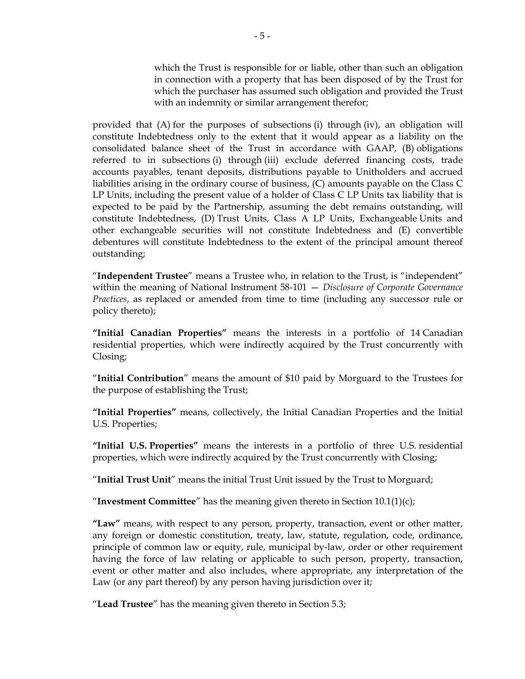which the Trust is responsible for or liable, other than such an obligation in connection with a property that has been disposed of by the Trust for which the purchaser has assumed such obligation and provided the Trust with an indemnity or similar arrangement therefor;

provided that (A) for the purposes of subsections (i) through (iv), an obligation will constitute Indebtedness only to the extent that it would appear as a liability on the consolidated balance sheet of the Trust in accordance with GAAP, (B) obligations referred to in subsections (i) through (iii) exclude deferred financing costs, trade accounts payables, tenant deposits, distributions payable to Unitholders and accrued liabilities arising in the ordinary course of business, (C) amounts payable on the Class C LP Units, including the present value of a holder of Class C LP Units tax liability that is expected to be paid by the Partnership, assuming the debt remains outstanding, will constitute Indebtedness, (D) Trust Units, Class A LP Units, Exchangeable Units and other exchangeable securities will not constitute Indebtedness and (E) convertible debentures will constitute Indebtedness to the extent of the principal amount thereof outstanding;

"**Independent Trustee**" means a Trustee who, in relation to the Trust, is "independent" within the meaning of National Instrument 58-101 — *Disclosure of Corporate Governance Practices*, as replaced or amended from time to time (including any successor rule or policy thereto);

**"Initial Canadian Properties"** means the interests in a portfolio of 14 Canadian residential properties, which were indirectly acquired by the Trust concurrently with Closing;

"**Initial Contribution**" means the amount of \$10 paid by Morguard to the Trustees for the purpose of establishing the Trust;

**"Initial Properties"** means, collectively, the Initial Canadian Properties and the Initial U.S. Properties;

**"Initial U.S. Properties"** means the interests in a portfolio of three U.S. residential properties, which were indirectly acquired by the Trust concurrently with Closing;

"**Initial Trust Unit**" means the initial Trust Unit issued by the Trust to Morguard;

"**Investment Committee**" has the meaning given thereto in Section 10.1(1)(c);

**"Law"** means, with respect to any person, property, transaction, event or other matter, any foreign or domestic constitution, treaty, law, statute, regulation, code, ordinance, principle of common law or equity, rule, municipal by-law, order or other requirement having the force of law relating or applicable to such person, property, transaction, event or other matter and also includes, where appropriate, any interpretation of the Law (or any part thereof) by any person having jurisdiction over it;

"**Lead Trustee**" has the meaning given thereto in Section 5.3;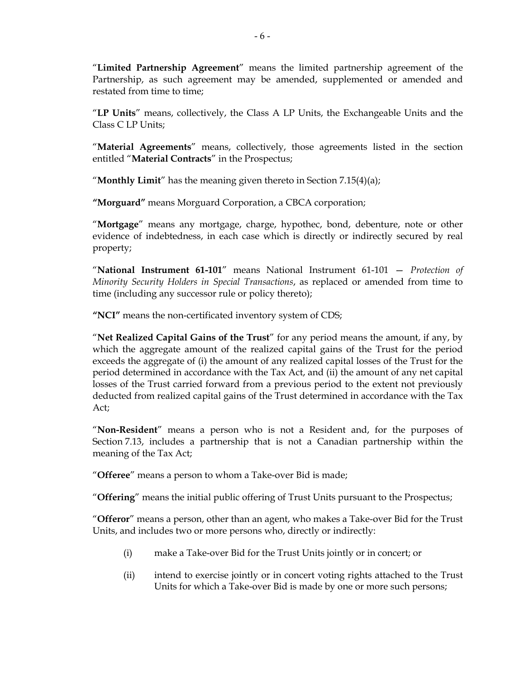"**Limited Partnership Agreement**" means the limited partnership agreement of the Partnership, as such agreement may be amended, supplemented or amended and restated from time to time;

"**LP Units**" means, collectively, the Class A LP Units, the Exchangeable Units and the Class C LP Units;

"**Material Agreements**" means, collectively, those agreements listed in the section entitled "**Material Contracts**" in the Prospectus;

"**Monthly Limit**" has the meaning given thereto in Section 7.15(4)(a);

**"Morguard"** means Morguard Corporation, a CBCA corporation;

"**Mortgage**" means any mortgage, charge, hypothec, bond, debenture, note or other evidence of indebtedness, in each case which is directly or indirectly secured by real property;

"**National Instrument 61-101**" means National Instrument 61-101 — *Protection of Minority Security Holders in Special Transactions*, as replaced or amended from time to time (including any successor rule or policy thereto);

**"NCI"** means the non-certificated inventory system of CDS;

"**Net Realized Capital Gains of the Trust**" for any period means the amount, if any, by which the aggregate amount of the realized capital gains of the Trust for the period exceeds the aggregate of (i) the amount of any realized capital losses of the Trust for the period determined in accordance with the Tax Act, and (ii) the amount of any net capital losses of the Trust carried forward from a previous period to the extent not previously deducted from realized capital gains of the Trust determined in accordance with the Tax Act;

"**Non-Resident**" means a person who is not a Resident and, for the purposes of Section 7.13, includes a partnership that is not a Canadian partnership within the meaning of the Tax Act;

"**Offeree**" means a person to whom a Take-over Bid is made;

"**Offering**" means the initial public offering of Trust Units pursuant to the Prospectus;

"**Offeror**" means a person, other than an agent, who makes a Take-over Bid for the Trust Units, and includes two or more persons who, directly or indirectly:

- (i) make a Take-over Bid for the Trust Units jointly or in concert; or
- (ii) intend to exercise jointly or in concert voting rights attached to the Trust Units for which a Take-over Bid is made by one or more such persons;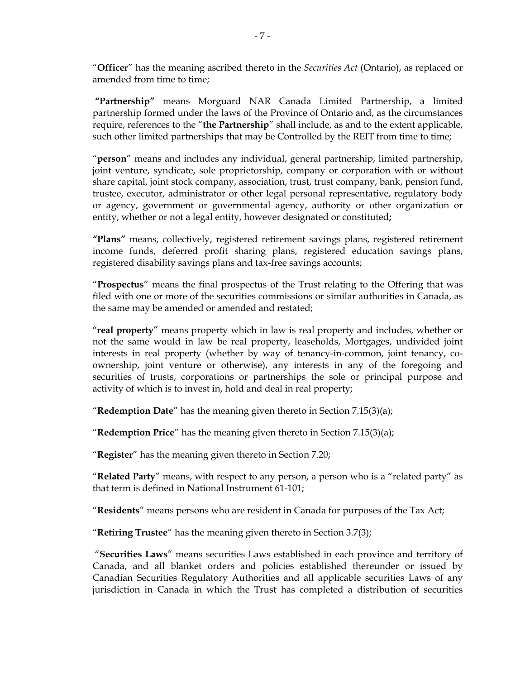"**Officer**" has the meaning ascribed thereto in the *Securities Act* (Ontario), as replaced or amended from time to time:

**"Partnership"** means Morguard NAR Canada Limited Partnership, a limited partnership formed under the laws of the Province of Ontario and, as the circumstances require, references to the "**the Partnership**" shall include, as and to the extent applicable, such other limited partnerships that may be Controlled by the REIT from time to time;

"**person**" means and includes any individual, general partnership, limited partnership, joint venture, syndicate, sole proprietorship, company or corporation with or without share capital, joint stock company, association, trust, trust company, bank, pension fund, trustee, executor, administrator or other legal personal representative, regulatory body or agency, government or governmental agency, authority or other organization or entity, whether or not a legal entity, however designated or constituted**;** 

**"Plans"** means, collectively, registered retirement savings plans, registered retirement income funds, deferred profit sharing plans, registered education savings plans, registered disability savings plans and tax-free savings accounts;

"**Prospectus**" means the final prospectus of the Trust relating to the Offering that was filed with one or more of the securities commissions or similar authorities in Canada, as the same may be amended or amended and restated;

"**real property**" means property which in law is real property and includes, whether or not the same would in law be real property, leaseholds, Mortgages, undivided joint interests in real property (whether by way of tenancy-in-common, joint tenancy, coownership, joint venture or otherwise), any interests in any of the foregoing and securities of trusts, corporations or partnerships the sole or principal purpose and activity of which is to invest in, hold and deal in real property;

"**Redemption Date**" has the meaning given thereto in Section 7.15(3)(a);

"**Redemption Price**" has the meaning given thereto in Section 7.15(3)(a);

"**Register**" has the meaning given thereto in Section 7.20;

"**Related Party**" means, with respect to any person, a person who is a "related party" as that term is defined in National Instrument 61-101;

"**Residents**" means persons who are resident in Canada for purposes of the Tax Act;

"**Retiring Trustee**" has the meaning given thereto in Section 3.7(3);

 "**Securities Laws**" means securities Laws established in each province and territory of Canada, and all blanket orders and policies established thereunder or issued by Canadian Securities Regulatory Authorities and all applicable securities Laws of any jurisdiction in Canada in which the Trust has completed a distribution of securities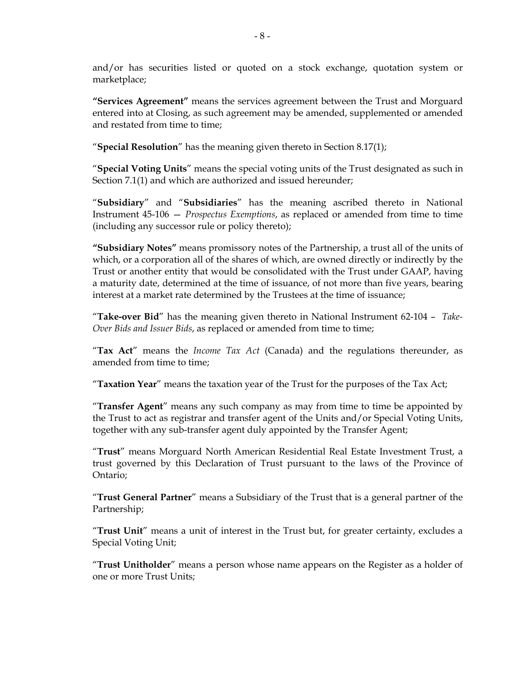and/or has securities listed or quoted on a stock exchange, quotation system or marketplace;

**"Services Agreement"** means the services agreement between the Trust and Morguard entered into at Closing, as such agreement may be amended, supplemented or amended and restated from time to time;

"**Special Resolution**" has the meaning given thereto in Section 8.17(1);

"**Special Voting Units**" means the special voting units of the Trust designated as such in Section 7.1(1) and which are authorized and issued hereunder;

"**Subsidiary**" and "**Subsidiaries**" has the meaning ascribed thereto in National Instrument 45-106 — *Prospectus Exemptions*, as replaced or amended from time to time (including any successor rule or policy thereto);

**"Subsidiary Notes"** means promissory notes of the Partnership, a trust all of the units of which, or a corporation all of the shares of which, are owned directly or indirectly by the Trust or another entity that would be consolidated with the Trust under GAAP, having a maturity date, determined at the time of issuance, of not more than five years, bearing interest at a market rate determined by the Trustees at the time of issuance;

"**Take-over Bid**" has the meaning given thereto in National Instrument 62-104 – *Take-Over Bids and Issuer Bids*, as replaced or amended from time to time;

"**Tax Act**" means the *Income Tax Act* (Canada) and the regulations thereunder, as amended from time to time;

"**Taxation Year**" means the taxation year of the Trust for the purposes of the Tax Act;

"**Transfer Agent**" means any such company as may from time to time be appointed by the Trust to act as registrar and transfer agent of the Units and/or Special Voting Units, together with any sub-transfer agent duly appointed by the Transfer Agent;

"**Trust**" means Morguard North American Residential Real Estate Investment Trust, a trust governed by this Declaration of Trust pursuant to the laws of the Province of Ontario;

"**Trust General Partner**" means a Subsidiary of the Trust that is a general partner of the Partnership;

"**Trust Unit**" means a unit of interest in the Trust but, for greater certainty, excludes a Special Voting Unit;

"**Trust Unitholder**" means a person whose name appears on the Register as a holder of one or more Trust Units;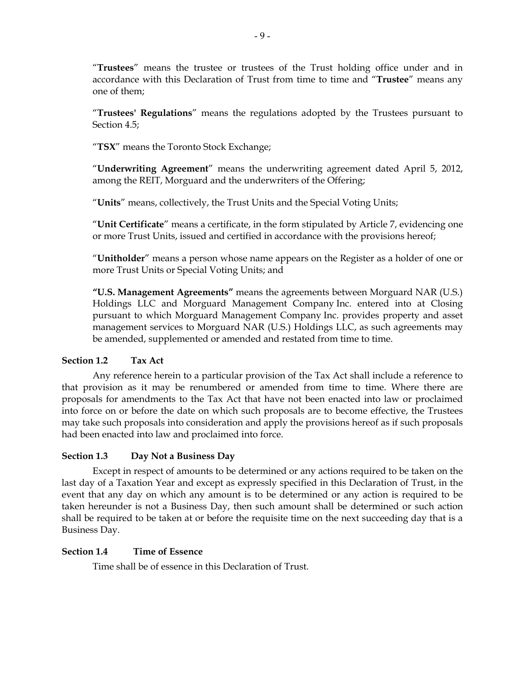"**Trustees**" means the trustee or trustees of the Trust holding office under and in accordance with this Declaration of Trust from time to time and "**Trustee**" means any one of them;

"**Trustees' Regulations**" means the regulations adopted by the Trustees pursuant to Section 4.5;

"**TSX**" means the Toronto Stock Exchange;

"**Underwriting Agreement**" means the underwriting agreement dated April 5, 2012, among the REIT, Morguard and the underwriters of the Offering;

"**Units**" means, collectively, the Trust Units and the Special Voting Units;

"**Unit Certificate**" means a certificate, in the form stipulated by Article 7, evidencing one or more Trust Units, issued and certified in accordance with the provisions hereof;

"**Unitholder**" means a person whose name appears on the Register as a holder of one or more Trust Units or Special Voting Units; and

**"U.S. Management Agreements"** means the agreements between Morguard NAR (U.S.) Holdings LLC and Morguard Management Company Inc. entered into at Closing pursuant to which Morguard Management Company Inc. provides property and asset management services to Morguard NAR (U.S.) Holdings LLC, as such agreements may be amended, supplemented or amended and restated from time to time.

# **Section 1.2 Tax Act**

Any reference herein to a particular provision of the Tax Act shall include a reference to that provision as it may be renumbered or amended from time to time. Where there are proposals for amendments to the Tax Act that have not been enacted into law or proclaimed into force on or before the date on which such proposals are to become effective, the Trustees may take such proposals into consideration and apply the provisions hereof as if such proposals had been enacted into law and proclaimed into force.

# **Section 1.3 Day Not a Business Day**

Except in respect of amounts to be determined or any actions required to be taken on the last day of a Taxation Year and except as expressly specified in this Declaration of Trust, in the event that any day on which any amount is to be determined or any action is required to be taken hereunder is not a Business Day, then such amount shall be determined or such action shall be required to be taken at or before the requisite time on the next succeeding day that is a Business Day.

# **Section 1.4 Time of Essence**

Time shall be of essence in this Declaration of Trust.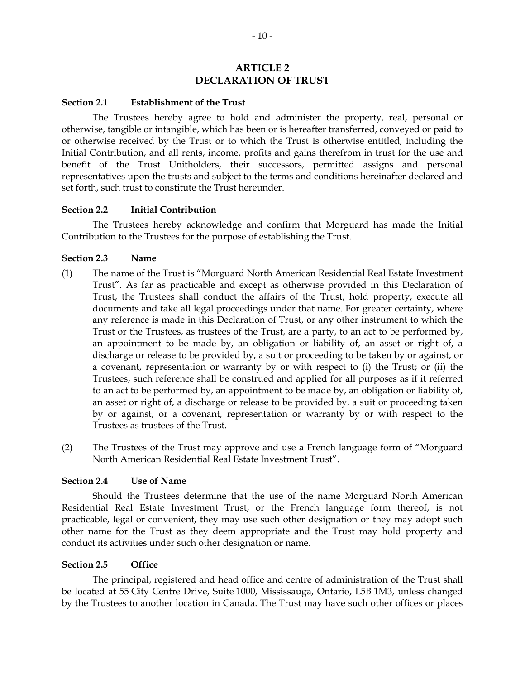# **ARTICLE 2 DECLARATION OF TRUST**

#### **Section 2.1 Establishment of the Trust**

The Trustees hereby agree to hold and administer the property, real, personal or otherwise, tangible or intangible, which has been or is hereafter transferred, conveyed or paid to or otherwise received by the Trust or to which the Trust is otherwise entitled, including the Initial Contribution, and all rents, income, profits and gains therefrom in trust for the use and benefit of the Trust Unitholders, their successors, permitted assigns and personal representatives upon the trusts and subject to the terms and conditions hereinafter declared and set forth, such trust to constitute the Trust hereunder.

#### **Section 2.2 Initial Contribution**

The Trustees hereby acknowledge and confirm that Morguard has made the Initial Contribution to the Trustees for the purpose of establishing the Trust.

#### **Section 2.3 Name**

- (1) The name of the Trust is "Morguard North American Residential Real Estate Investment Trust". As far as practicable and except as otherwise provided in this Declaration of Trust, the Trustees shall conduct the affairs of the Trust, hold property, execute all documents and take all legal proceedings under that name. For greater certainty, where any reference is made in this Declaration of Trust, or any other instrument to which the Trust or the Trustees, as trustees of the Trust, are a party, to an act to be performed by, an appointment to be made by, an obligation or liability of, an asset or right of, a discharge or release to be provided by, a suit or proceeding to be taken by or against, or a covenant, representation or warranty by or with respect to (i) the Trust; or (ii) the Trustees, such reference shall be construed and applied for all purposes as if it referred to an act to be performed by, an appointment to be made by, an obligation or liability of, an asset or right of, a discharge or release to be provided by, a suit or proceeding taken by or against, or a covenant, representation or warranty by or with respect to the Trustees as trustees of the Trust.
- (2) The Trustees of the Trust may approve and use a French language form of "Morguard North American Residential Real Estate Investment Trust".

#### **Section 2.4 Use of Name**

Should the Trustees determine that the use of the name Morguard North American Residential Real Estate Investment Trust, or the French language form thereof, is not practicable, legal or convenient, they may use such other designation or they may adopt such other name for the Trust as they deem appropriate and the Trust may hold property and conduct its activities under such other designation or name.

#### **Section 2.5 Office**

The principal, registered and head office and centre of administration of the Trust shall be located at 55 City Centre Drive, Suite 1000, Mississauga, Ontario, L5B 1M3, unless changed by the Trustees to another location in Canada. The Trust may have such other offices or places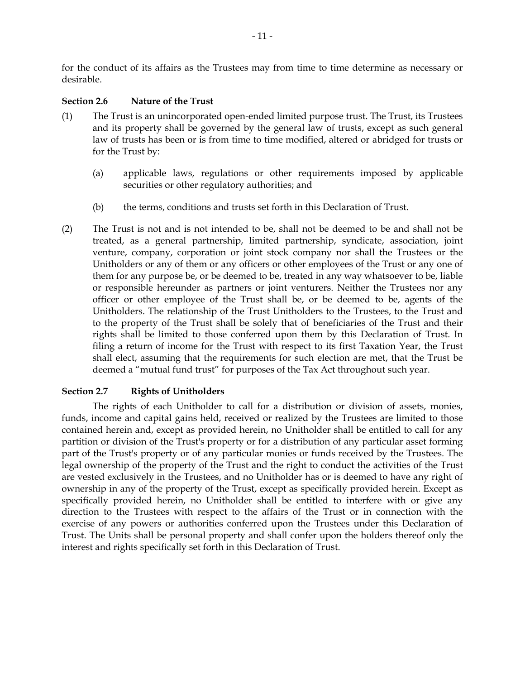for the conduct of its affairs as the Trustees may from time to time determine as necessary or desirable.

## **Section 2.6 Nature of the Trust**

- (1) The Trust is an unincorporated open-ended limited purpose trust. The Trust, its Trustees and its property shall be governed by the general law of trusts, except as such general law of trusts has been or is from time to time modified, altered or abridged for trusts or for the Trust by:
	- (a) applicable laws, regulations or other requirements imposed by applicable securities or other regulatory authorities; and
	- (b) the terms, conditions and trusts set forth in this Declaration of Trust.
- (2) The Trust is not and is not intended to be, shall not be deemed to be and shall not be treated, as a general partnership, limited partnership, syndicate, association, joint venture, company, corporation or joint stock company nor shall the Trustees or the Unitholders or any of them or any officers or other employees of the Trust or any one of them for any purpose be, or be deemed to be, treated in any way whatsoever to be, liable or responsible hereunder as partners or joint venturers. Neither the Trustees nor any officer or other employee of the Trust shall be, or be deemed to be, agents of the Unitholders. The relationship of the Trust Unitholders to the Trustees, to the Trust and to the property of the Trust shall be solely that of beneficiaries of the Trust and their rights shall be limited to those conferred upon them by this Declaration of Trust. In filing a return of income for the Trust with respect to its first Taxation Year, the Trust shall elect, assuming that the requirements for such election are met, that the Trust be deemed a "mutual fund trust" for purposes of the Tax Act throughout such year.

# **Section 2.7 Rights of Unitholders**

The rights of each Unitholder to call for a distribution or division of assets, monies, funds, income and capital gains held, received or realized by the Trustees are limited to those contained herein and, except as provided herein, no Unitholder shall be entitled to call for any partition or division of the Trust's property or for a distribution of any particular asset forming part of the Trust's property or of any particular monies or funds received by the Trustees. The legal ownership of the property of the Trust and the right to conduct the activities of the Trust are vested exclusively in the Trustees, and no Unitholder has or is deemed to have any right of ownership in any of the property of the Trust, except as specifically provided herein. Except as specifically provided herein, no Unitholder shall be entitled to interfere with or give any direction to the Trustees with respect to the affairs of the Trust or in connection with the exercise of any powers or authorities conferred upon the Trustees under this Declaration of Trust. The Units shall be personal property and shall confer upon the holders thereof only the interest and rights specifically set forth in this Declaration of Trust.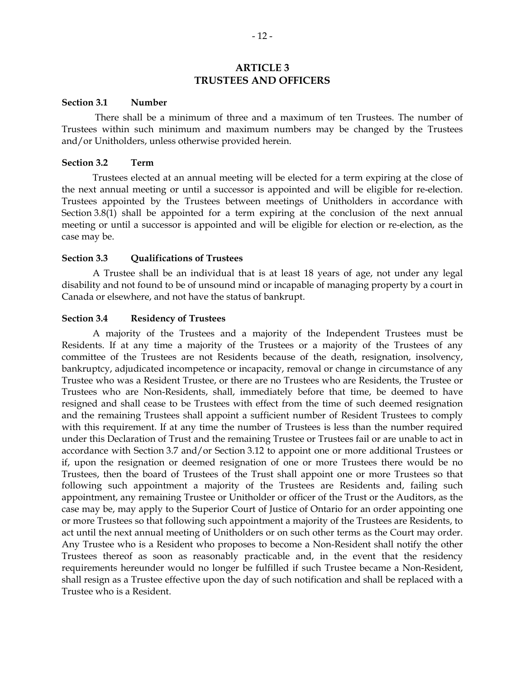## **ARTICLE 3 TRUSTEES AND OFFICERS**

#### **Section 3.1 Number**

 There shall be a minimum of three and a maximum of ten Trustees. The number of Trustees within such minimum and maximum numbers may be changed by the Trustees and/or Unitholders, unless otherwise provided herein.

#### **Section 3.2 Term**

Trustees elected at an annual meeting will be elected for a term expiring at the close of the next annual meeting or until a successor is appointed and will be eligible for re-election. Trustees appointed by the Trustees between meetings of Unitholders in accordance with Section 3.8(1) shall be appointed for a term expiring at the conclusion of the next annual meeting or until a successor is appointed and will be eligible for election or re-election, as the case may be.

#### **Section 3.3 Qualifications of Trustees**

A Trustee shall be an individual that is at least 18 years of age, not under any legal disability and not found to be of unsound mind or incapable of managing property by a court in Canada or elsewhere, and not have the status of bankrupt.

#### **Section 3.4 Residency of Trustees**

A majority of the Trustees and a majority of the Independent Trustees must be Residents. If at any time a majority of the Trustees or a majority of the Trustees of any committee of the Trustees are not Residents because of the death, resignation, insolvency, bankruptcy, adjudicated incompetence or incapacity, removal or change in circumstance of any Trustee who was a Resident Trustee, or there are no Trustees who are Residents, the Trustee or Trustees who are Non-Residents, shall, immediately before that time, be deemed to have resigned and shall cease to be Trustees with effect from the time of such deemed resignation and the remaining Trustees shall appoint a sufficient number of Resident Trustees to comply with this requirement. If at any time the number of Trustees is less than the number required under this Declaration of Trust and the remaining Trustee or Trustees fail or are unable to act in accordance with Section 3.7 and/or Section 3.12 to appoint one or more additional Trustees or if, upon the resignation or deemed resignation of one or more Trustees there would be no Trustees, then the board of Trustees of the Trust shall appoint one or more Trustees so that following such appointment a majority of the Trustees are Residents and, failing such appointment, any remaining Trustee or Unitholder or officer of the Trust or the Auditors, as the case may be, may apply to the Superior Court of Justice of Ontario for an order appointing one or more Trustees so that following such appointment a majority of the Trustees are Residents, to act until the next annual meeting of Unitholders or on such other terms as the Court may order. Any Trustee who is a Resident who proposes to become a Non-Resident shall notify the other Trustees thereof as soon as reasonably practicable and, in the event that the residency requirements hereunder would no longer be fulfilled if such Trustee became a Non-Resident, shall resign as a Trustee effective upon the day of such notification and shall be replaced with a Trustee who is a Resident.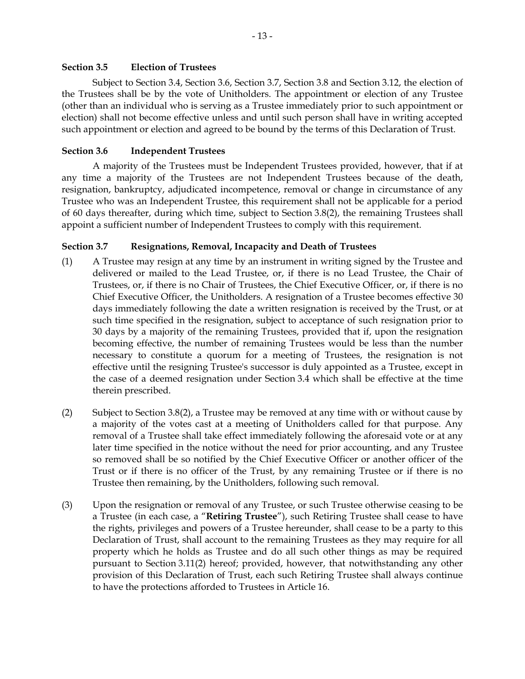## **Section 3.5 Election of Trustees**

Subject to Section 3.4, Section 3.6, Section 3.7, Section 3.8 and Section 3.12, the election of the Trustees shall be by the vote of Unitholders. The appointment or election of any Trustee (other than an individual who is serving as a Trustee immediately prior to such appointment or election) shall not become effective unless and until such person shall have in writing accepted such appointment or election and agreed to be bound by the terms of this Declaration of Trust.

# **Section 3.6 Independent Trustees**

A majority of the Trustees must be Independent Trustees provided, however, that if at any time a majority of the Trustees are not Independent Trustees because of the death, resignation, bankruptcy, adjudicated incompetence, removal or change in circumstance of any Trustee who was an Independent Trustee, this requirement shall not be applicable for a period of 60 days thereafter, during which time, subject to Section 3.8(2), the remaining Trustees shall appoint a sufficient number of Independent Trustees to comply with this requirement.

# **Section 3.7 Resignations, Removal, Incapacity and Death of Trustees**

- (1) A Trustee may resign at any time by an instrument in writing signed by the Trustee and delivered or mailed to the Lead Trustee, or, if there is no Lead Trustee, the Chair of Trustees, or, if there is no Chair of Trustees, the Chief Executive Officer, or, if there is no Chief Executive Officer, the Unitholders. A resignation of a Trustee becomes effective 30 days immediately following the date a written resignation is received by the Trust, or at such time specified in the resignation, subject to acceptance of such resignation prior to 30 days by a majority of the remaining Trustees, provided that if, upon the resignation becoming effective, the number of remaining Trustees would be less than the number necessary to constitute a quorum for a meeting of Trustees, the resignation is not effective until the resigning Trustee's successor is duly appointed as a Trustee, except in the case of a deemed resignation under Section 3.4 which shall be effective at the time therein prescribed.
- (2) Subject to Section 3.8(2), a Trustee may be removed at any time with or without cause by a majority of the votes cast at a meeting of Unitholders called for that purpose. Any removal of a Trustee shall take effect immediately following the aforesaid vote or at any later time specified in the notice without the need for prior accounting, and any Trustee so removed shall be so notified by the Chief Executive Officer or another officer of the Trust or if there is no officer of the Trust, by any remaining Trustee or if there is no Trustee then remaining, by the Unitholders, following such removal.
- (3) Upon the resignation or removal of any Trustee, or such Trustee otherwise ceasing to be a Trustee (in each case, a "**Retiring Trustee**"), such Retiring Trustee shall cease to have the rights, privileges and powers of a Trustee hereunder, shall cease to be a party to this Declaration of Trust, shall account to the remaining Trustees as they may require for all property which he holds as Trustee and do all such other things as may be required pursuant to Section 3.11(2) hereof; provided, however, that notwithstanding any other provision of this Declaration of Trust, each such Retiring Trustee shall always continue to have the protections afforded to Trustees in Article 16.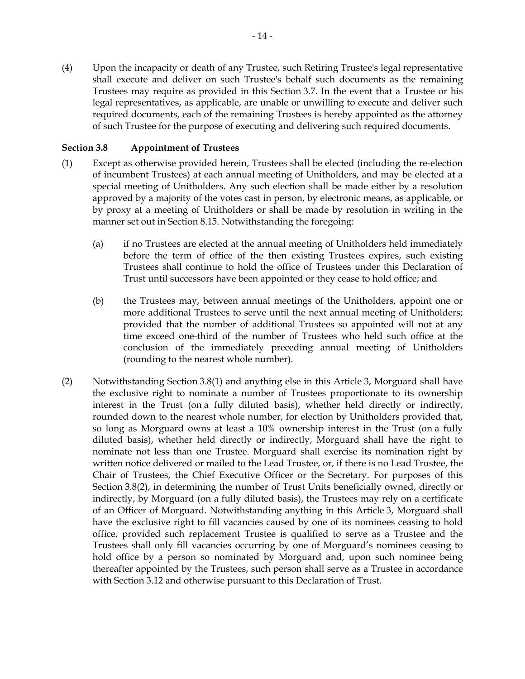(4) Upon the incapacity or death of any Trustee, such Retiring Trustee's legal representative shall execute and deliver on such Trustee's behalf such documents as the remaining Trustees may require as provided in this Section 3.7. In the event that a Trustee or his legal representatives, as applicable, are unable or unwilling to execute and deliver such required documents, each of the remaining Trustees is hereby appointed as the attorney of such Trustee for the purpose of executing and delivering such required documents.

## **Section 3.8 Appointment of Trustees**

- (1) Except as otherwise provided herein, Trustees shall be elected (including the re-election of incumbent Trustees) at each annual meeting of Unitholders, and may be elected at a special meeting of Unitholders. Any such election shall be made either by a resolution approved by a majority of the votes cast in person, by electronic means, as applicable, or by proxy at a meeting of Unitholders or shall be made by resolution in writing in the manner set out in Section 8.15. Notwithstanding the foregoing:
	- (a) if no Trustees are elected at the annual meeting of Unitholders held immediately before the term of office of the then existing Trustees expires, such existing Trustees shall continue to hold the office of Trustees under this Declaration of Trust until successors have been appointed or they cease to hold office; and
	- (b) the Trustees may, between annual meetings of the Unitholders, appoint one or more additional Trustees to serve until the next annual meeting of Unitholders; provided that the number of additional Trustees so appointed will not at any time exceed one-third of the number of Trustees who held such office at the conclusion of the immediately preceding annual meeting of Unitholders (rounding to the nearest whole number).
- (2) Notwithstanding Section 3.8(1) and anything else in this Article 3, Morguard shall have the exclusive right to nominate a number of Trustees proportionate to its ownership interest in the Trust (on a fully diluted basis), whether held directly or indirectly, rounded down to the nearest whole number, for election by Unitholders provided that, so long as Morguard owns at least a 10% ownership interest in the Trust (on a fully diluted basis), whether held directly or indirectly, Morguard shall have the right to nominate not less than one Trustee. Morguard shall exercise its nomination right by written notice delivered or mailed to the Lead Trustee, or, if there is no Lead Trustee, the Chair of Trustees, the Chief Executive Officer or the Secretary. For purposes of this Section 3.8(2), in determining the number of Trust Units beneficially owned, directly or indirectly, by Morguard (on a fully diluted basis), the Trustees may rely on a certificate of an Officer of Morguard. Notwithstanding anything in this Article 3, Morguard shall have the exclusive right to fill vacancies caused by one of its nominees ceasing to hold office, provided such replacement Trustee is qualified to serve as a Trustee and the Trustees shall only fill vacancies occurring by one of Morguard's nominees ceasing to hold office by a person so nominated by Morguard and, upon such nominee being thereafter appointed by the Trustees, such person shall serve as a Trustee in accordance with Section 3.12 and otherwise pursuant to this Declaration of Trust.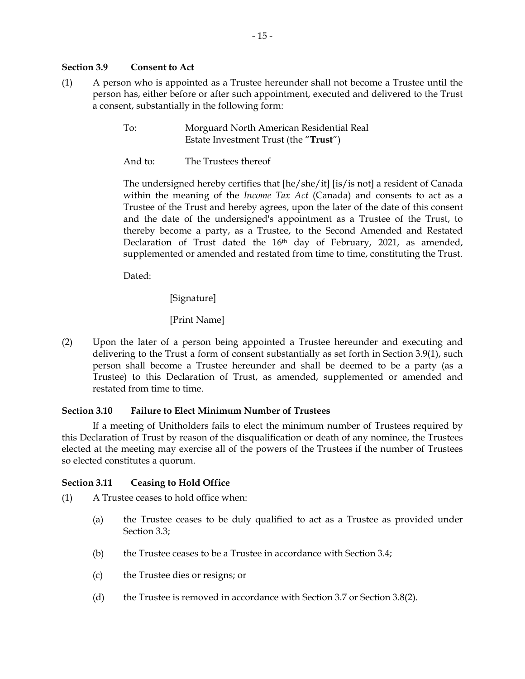#### **Section 3.9 Consent to Act**

- (1) A person who is appointed as a Trustee hereunder shall not become a Trustee until the person has, either before or after such appointment, executed and delivered to the Trust a consent, substantially in the following form:
	- To: Morguard North American Residential Real Estate Investment Trust (the "**Trust**")
	- And to: The Trustees thereof

The undersigned hereby certifies that [he/she/it] [is/is not] a resident of Canada within the meaning of the *Income Tax Act* (Canada) and consents to act as a Trustee of the Trust and hereby agrees, upon the later of the date of this consent and the date of the undersigned's appointment as a Trustee of the Trust, to thereby become a party, as a Trustee, to the Second Amended and Restated Declaration of Trust dated the 16<sup>th</sup> day of February, 2021, as amended, supplemented or amended and restated from time to time, constituting the Trust.

Dated:

[Signature]

# [Print Name]

(2) Upon the later of a person being appointed a Trustee hereunder and executing and delivering to the Trust a form of consent substantially as set forth in Section 3.9(1), such person shall become a Trustee hereunder and shall be deemed to be a party (as a Trustee) to this Declaration of Trust, as amended, supplemented or amended and restated from time to time.

# **Section 3.10 Failure to Elect Minimum Number of Trustees**

If a meeting of Unitholders fails to elect the minimum number of Trustees required by this Declaration of Trust by reason of the disqualification or death of any nominee, the Trustees elected at the meeting may exercise all of the powers of the Trustees if the number of Trustees so elected constitutes a quorum.

# **Section 3.11 Ceasing to Hold Office**

(1) A Trustee ceases to hold office when:

- (a) the Trustee ceases to be duly qualified to act as a Trustee as provided under Section 3.3;
- (b) the Trustee ceases to be a Trustee in accordance with Section 3.4;
- (c) the Trustee dies or resigns; or
- (d) the Trustee is removed in accordance with Section 3.7 or Section 3.8(2).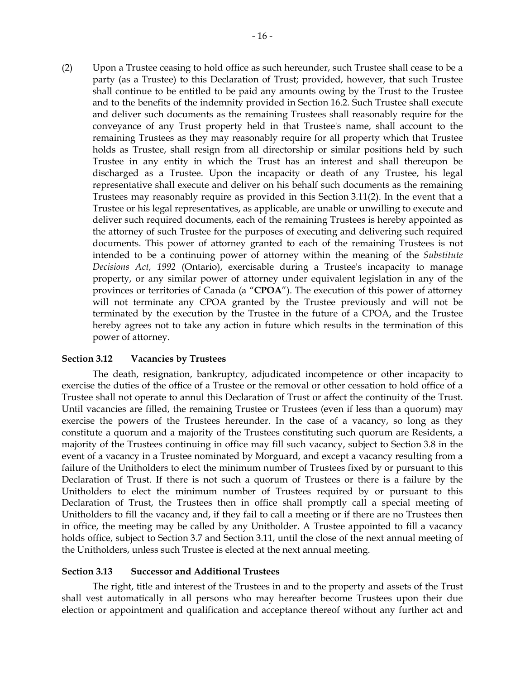(2) Upon a Trustee ceasing to hold office as such hereunder, such Trustee shall cease to be a party (as a Trustee) to this Declaration of Trust; provided, however, that such Trustee shall continue to be entitled to be paid any amounts owing by the Trust to the Trustee and to the benefits of the indemnity provided in Section 16.2. Such Trustee shall execute and deliver such documents as the remaining Trustees shall reasonably require for the conveyance of any Trust property held in that Trustee's name, shall account to the remaining Trustees as they may reasonably require for all property which that Trustee holds as Trustee, shall resign from all directorship or similar positions held by such Trustee in any entity in which the Trust has an interest and shall thereupon be discharged as a Trustee. Upon the incapacity or death of any Trustee, his legal representative shall execute and deliver on his behalf such documents as the remaining Trustees may reasonably require as provided in this Section 3.11(2). In the event that a Trustee or his legal representatives, as applicable, are unable or unwilling to execute and deliver such required documents, each of the remaining Trustees is hereby appointed as the attorney of such Trustee for the purposes of executing and delivering such required documents. This power of attorney granted to each of the remaining Trustees is not intended to be a continuing power of attorney within the meaning of the *Substitute Decisions Act, 1992* (Ontario), exercisable during a Trustee's incapacity to manage property, or any similar power of attorney under equivalent legislation in any of the provinces or territories of Canada (a "**CPOA**"). The execution of this power of attorney will not terminate any CPOA granted by the Trustee previously and will not be terminated by the execution by the Trustee in the future of a CPOA, and the Trustee hereby agrees not to take any action in future which results in the termination of this power of attorney.

#### **Section 3.12 Vacancies by Trustees**

The death, resignation, bankruptcy, adjudicated incompetence or other incapacity to exercise the duties of the office of a Trustee or the removal or other cessation to hold office of a Trustee shall not operate to annul this Declaration of Trust or affect the continuity of the Trust. Until vacancies are filled, the remaining Trustee or Trustees (even if less than a quorum) may exercise the powers of the Trustees hereunder. In the case of a vacancy, so long as they constitute a quorum and a majority of the Trustees constituting such quorum are Residents, a majority of the Trustees continuing in office may fill such vacancy, subject to Section 3.8 in the event of a vacancy in a Trustee nominated by Morguard, and except a vacancy resulting from a failure of the Unitholders to elect the minimum number of Trustees fixed by or pursuant to this Declaration of Trust. If there is not such a quorum of Trustees or there is a failure by the Unitholders to elect the minimum number of Trustees required by or pursuant to this Declaration of Trust, the Trustees then in office shall promptly call a special meeting of Unitholders to fill the vacancy and, if they fail to call a meeting or if there are no Trustees then in office, the meeting may be called by any Unitholder. A Trustee appointed to fill a vacancy holds office, subject to Section 3.7 and Section 3.11, until the close of the next annual meeting of the Unitholders, unless such Trustee is elected at the next annual meeting.

#### **Section 3.13 Successor and Additional Trustees**

The right, title and interest of the Trustees in and to the property and assets of the Trust shall vest automatically in all persons who may hereafter become Trustees upon their due election or appointment and qualification and acceptance thereof without any further act and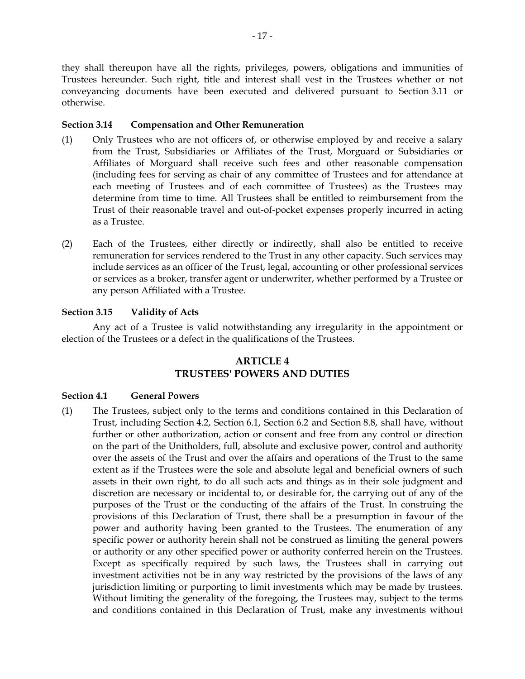they shall thereupon have all the rights, privileges, powers, obligations and immunities of Trustees hereunder. Such right, title and interest shall vest in the Trustees whether or not conveyancing documents have been executed and delivered pursuant to Section 3.11 or otherwise.

# **Section 3.14 Compensation and Other Remuneration**

- (1) Only Trustees who are not officers of, or otherwise employed by and receive a salary from the Trust, Subsidiaries or Affiliates of the Trust, Morguard or Subsidiaries or Affiliates of Morguard shall receive such fees and other reasonable compensation (including fees for serving as chair of any committee of Trustees and for attendance at each meeting of Trustees and of each committee of Trustees) as the Trustees may determine from time to time. All Trustees shall be entitled to reimbursement from the Trust of their reasonable travel and out-of-pocket expenses properly incurred in acting as a Trustee.
- (2) Each of the Trustees, either directly or indirectly, shall also be entitled to receive remuneration for services rendered to the Trust in any other capacity. Such services may include services as an officer of the Trust, legal, accounting or other professional services or services as a broker, transfer agent or underwriter, whether performed by a Trustee or any person Affiliated with a Trustee.

#### **Section 3.15 Validity of Acts**

Any act of a Trustee is valid notwithstanding any irregularity in the appointment or election of the Trustees or a defect in the qualifications of the Trustees.

# **ARTICLE 4 TRUSTEES' POWERS AND DUTIES**

#### **Section 4.1 General Powers**

(1) The Trustees, subject only to the terms and conditions contained in this Declaration of Trust, including Section 4.2, Section 6.1, Section 6.2 and Section 8.8, shall have, without further or other authorization, action or consent and free from any control or direction on the part of the Unitholders, full, absolute and exclusive power, control and authority over the assets of the Trust and over the affairs and operations of the Trust to the same extent as if the Trustees were the sole and absolute legal and beneficial owners of such assets in their own right, to do all such acts and things as in their sole judgment and discretion are necessary or incidental to, or desirable for, the carrying out of any of the purposes of the Trust or the conducting of the affairs of the Trust. In construing the provisions of this Declaration of Trust, there shall be a presumption in favour of the power and authority having been granted to the Trustees. The enumeration of any specific power or authority herein shall not be construed as limiting the general powers or authority or any other specified power or authority conferred herein on the Trustees. Except as specifically required by such laws, the Trustees shall in carrying out investment activities not be in any way restricted by the provisions of the laws of any jurisdiction limiting or purporting to limit investments which may be made by trustees. Without limiting the generality of the foregoing, the Trustees may, subject to the terms and conditions contained in this Declaration of Trust, make any investments without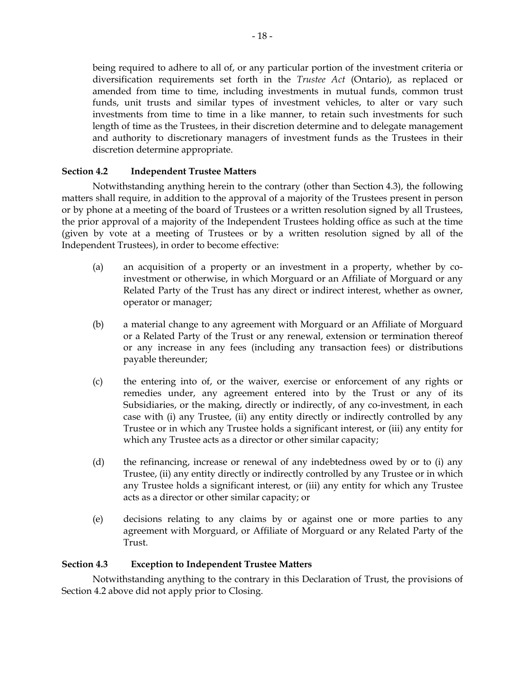being required to adhere to all of, or any particular portion of the investment criteria or diversification requirements set forth in the *Trustee Act* (Ontario), as replaced or amended from time to time, including investments in mutual funds, common trust funds, unit trusts and similar types of investment vehicles, to alter or vary such investments from time to time in a like manner, to retain such investments for such length of time as the Trustees, in their discretion determine and to delegate management and authority to discretionary managers of investment funds as the Trustees in their discretion determine appropriate.

# **Section 4.2 Independent Trustee Matters**

Notwithstanding anything herein to the contrary (other than Section 4.3), the following matters shall require, in addition to the approval of a majority of the Trustees present in person or by phone at a meeting of the board of Trustees or a written resolution signed by all Trustees, the prior approval of a majority of the Independent Trustees holding office as such at the time (given by vote at a meeting of Trustees or by a written resolution signed by all of the Independent Trustees), in order to become effective:

- (a) an acquisition of a property or an investment in a property, whether by coinvestment or otherwise, in which Morguard or an Affiliate of Morguard or any Related Party of the Trust has any direct or indirect interest, whether as owner, operator or manager;
- (b) a material change to any agreement with Morguard or an Affiliate of Morguard or a Related Party of the Trust or any renewal, extension or termination thereof or any increase in any fees (including any transaction fees) or distributions payable thereunder;
- (c) the entering into of, or the waiver, exercise or enforcement of any rights or remedies under, any agreement entered into by the Trust or any of its Subsidiaries, or the making, directly or indirectly, of any co-investment, in each case with (i) any Trustee, (ii) any entity directly or indirectly controlled by any Trustee or in which any Trustee holds a significant interest, or (iii) any entity for which any Trustee acts as a director or other similar capacity;
- (d) the refinancing, increase or renewal of any indebtedness owed by or to (i) any Trustee, (ii) any entity directly or indirectly controlled by any Trustee or in which any Trustee holds a significant interest, or (iii) any entity for which any Trustee acts as a director or other similar capacity; or
- (e) decisions relating to any claims by or against one or more parties to any agreement with Morguard, or Affiliate of Morguard or any Related Party of the Trust.

# **Section 4.3 Exception to Independent Trustee Matters**

Notwithstanding anything to the contrary in this Declaration of Trust, the provisions of Section 4.2 above did not apply prior to Closing.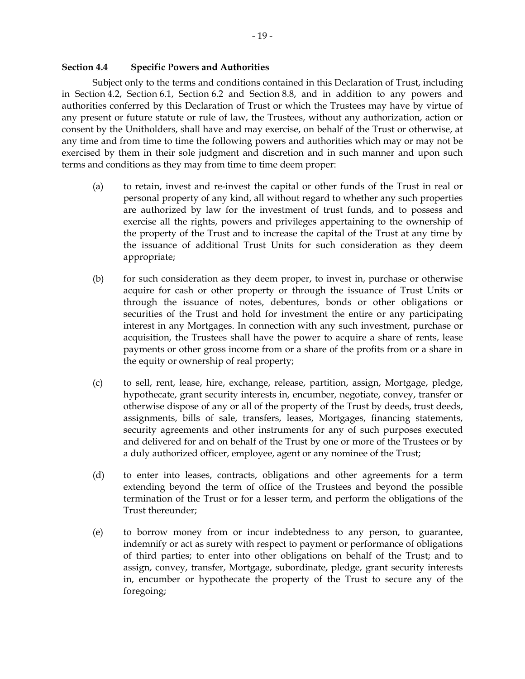#### **Section 4.4 Specific Powers and Authorities**

Subject only to the terms and conditions contained in this Declaration of Trust, including in Section 4.2, Section 6.1, Section 6.2 and Section 8.8, and in addition to any powers and authorities conferred by this Declaration of Trust or which the Trustees may have by virtue of any present or future statute or rule of law, the Trustees, without any authorization, action or consent by the Unitholders, shall have and may exercise, on behalf of the Trust or otherwise, at any time and from time to time the following powers and authorities which may or may not be exercised by them in their sole judgment and discretion and in such manner and upon such terms and conditions as they may from time to time deem proper:

- (a) to retain, invest and re-invest the capital or other funds of the Trust in real or personal property of any kind, all without regard to whether any such properties are authorized by law for the investment of trust funds, and to possess and exercise all the rights, powers and privileges appertaining to the ownership of the property of the Trust and to increase the capital of the Trust at any time by the issuance of additional Trust Units for such consideration as they deem appropriate;
- (b) for such consideration as they deem proper, to invest in, purchase or otherwise acquire for cash or other property or through the issuance of Trust Units or through the issuance of notes, debentures, bonds or other obligations or securities of the Trust and hold for investment the entire or any participating interest in any Mortgages. In connection with any such investment, purchase or acquisition, the Trustees shall have the power to acquire a share of rents, lease payments or other gross income from or a share of the profits from or a share in the equity or ownership of real property;
- (c) to sell, rent, lease, hire, exchange, release, partition, assign, Mortgage, pledge, hypothecate, grant security interests in, encumber, negotiate, convey, transfer or otherwise dispose of any or all of the property of the Trust by deeds, trust deeds, assignments, bills of sale, transfers, leases, Mortgages, financing statements, security agreements and other instruments for any of such purposes executed and delivered for and on behalf of the Trust by one or more of the Trustees or by a duly authorized officer, employee, agent or any nominee of the Trust;
- (d) to enter into leases, contracts, obligations and other agreements for a term extending beyond the term of office of the Trustees and beyond the possible termination of the Trust or for a lesser term, and perform the obligations of the Trust thereunder;
- (e) to borrow money from or incur indebtedness to any person, to guarantee, indemnify or act as surety with respect to payment or performance of obligations of third parties; to enter into other obligations on behalf of the Trust; and to assign, convey, transfer, Mortgage, subordinate, pledge, grant security interests in, encumber or hypothecate the property of the Trust to secure any of the foregoing;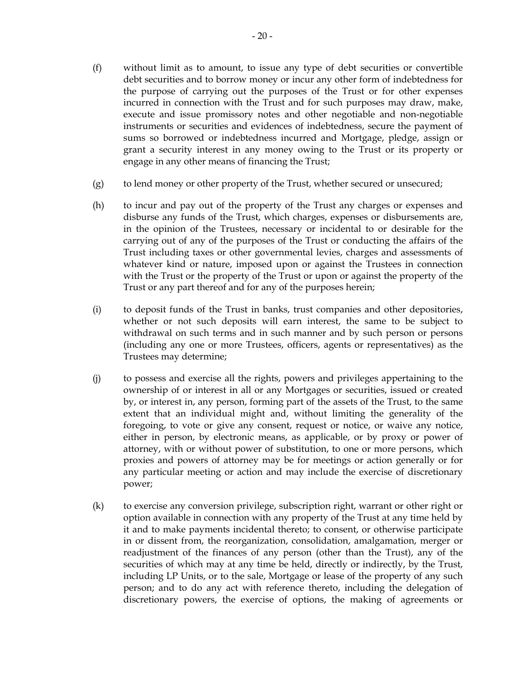- (f) without limit as to amount, to issue any type of debt securities or convertible debt securities and to borrow money or incur any other form of indebtedness for the purpose of carrying out the purposes of the Trust or for other expenses incurred in connection with the Trust and for such purposes may draw, make, execute and issue promissory notes and other negotiable and non-negotiable instruments or securities and evidences of indebtedness, secure the payment of sums so borrowed or indebtedness incurred and Mortgage, pledge, assign or grant a security interest in any money owing to the Trust or its property or engage in any other means of financing the Trust;
- (g) to lend money or other property of the Trust, whether secured or unsecured;
- (h) to incur and pay out of the property of the Trust any charges or expenses and disburse any funds of the Trust, which charges, expenses or disbursements are, in the opinion of the Trustees, necessary or incidental to or desirable for the carrying out of any of the purposes of the Trust or conducting the affairs of the Trust including taxes or other governmental levies, charges and assessments of whatever kind or nature, imposed upon or against the Trustees in connection with the Trust or the property of the Trust or upon or against the property of the Trust or any part thereof and for any of the purposes herein;
- (i) to deposit funds of the Trust in banks, trust companies and other depositories, whether or not such deposits will earn interest, the same to be subject to withdrawal on such terms and in such manner and by such person or persons (including any one or more Trustees, officers, agents or representatives) as the Trustees may determine;
- (j) to possess and exercise all the rights, powers and privileges appertaining to the ownership of or interest in all or any Mortgages or securities, issued or created by, or interest in, any person, forming part of the assets of the Trust, to the same extent that an individual might and, without limiting the generality of the foregoing, to vote or give any consent, request or notice, or waive any notice, either in person, by electronic means, as applicable, or by proxy or power of attorney, with or without power of substitution, to one or more persons, which proxies and powers of attorney may be for meetings or action generally or for any particular meeting or action and may include the exercise of discretionary power;
- (k) to exercise any conversion privilege, subscription right, warrant or other right or option available in connection with any property of the Trust at any time held by it and to make payments incidental thereto; to consent, or otherwise participate in or dissent from, the reorganization, consolidation, amalgamation, merger or readjustment of the finances of any person (other than the Trust), any of the securities of which may at any time be held, directly or indirectly, by the Trust, including LP Units, or to the sale, Mortgage or lease of the property of any such person; and to do any act with reference thereto, including the delegation of discretionary powers, the exercise of options, the making of agreements or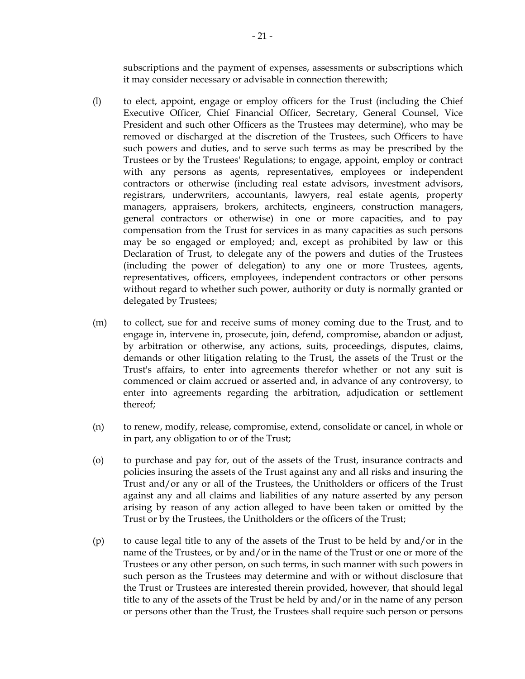subscriptions and the payment of expenses, assessments or subscriptions which it may consider necessary or advisable in connection therewith;

- (l) to elect, appoint, engage or employ officers for the Trust (including the Chief Executive Officer, Chief Financial Officer, Secretary, General Counsel, Vice President and such other Officers as the Trustees may determine), who may be removed or discharged at the discretion of the Trustees, such Officers to have such powers and duties, and to serve such terms as may be prescribed by the Trustees or by the Trustees' Regulations; to engage, appoint, employ or contract with any persons as agents, representatives, employees or independent contractors or otherwise (including real estate advisors, investment advisors, registrars, underwriters, accountants, lawyers, real estate agents, property managers, appraisers, brokers, architects, engineers, construction managers, general contractors or otherwise) in one or more capacities, and to pay compensation from the Trust for services in as many capacities as such persons may be so engaged or employed; and, except as prohibited by law or this Declaration of Trust, to delegate any of the powers and duties of the Trustees (including the power of delegation) to any one or more Trustees, agents, representatives, officers, employees, independent contractors or other persons without regard to whether such power, authority or duty is normally granted or delegated by Trustees;
- (m) to collect, sue for and receive sums of money coming due to the Trust, and to engage in, intervene in, prosecute, join, defend, compromise, abandon or adjust, by arbitration or otherwise, any actions, suits, proceedings, disputes, claims, demands or other litigation relating to the Trust, the assets of the Trust or the Trust's affairs, to enter into agreements therefor whether or not any suit is commenced or claim accrued or asserted and, in advance of any controversy, to enter into agreements regarding the arbitration, adjudication or settlement thereof;
- (n) to renew, modify, release, compromise, extend, consolidate or cancel, in whole or in part, any obligation to or of the Trust;
- (o) to purchase and pay for, out of the assets of the Trust, insurance contracts and policies insuring the assets of the Trust against any and all risks and insuring the Trust and/or any or all of the Trustees, the Unitholders or officers of the Trust against any and all claims and liabilities of any nature asserted by any person arising by reason of any action alleged to have been taken or omitted by the Trust or by the Trustees, the Unitholders or the officers of the Trust;
- (p) to cause legal title to any of the assets of the Trust to be held by and/or in the name of the Trustees, or by and/or in the name of the Trust or one or more of the Trustees or any other person, on such terms, in such manner with such powers in such person as the Trustees may determine and with or without disclosure that the Trust or Trustees are interested therein provided, however, that should legal title to any of the assets of the Trust be held by and/or in the name of any person or persons other than the Trust, the Trustees shall require such person or persons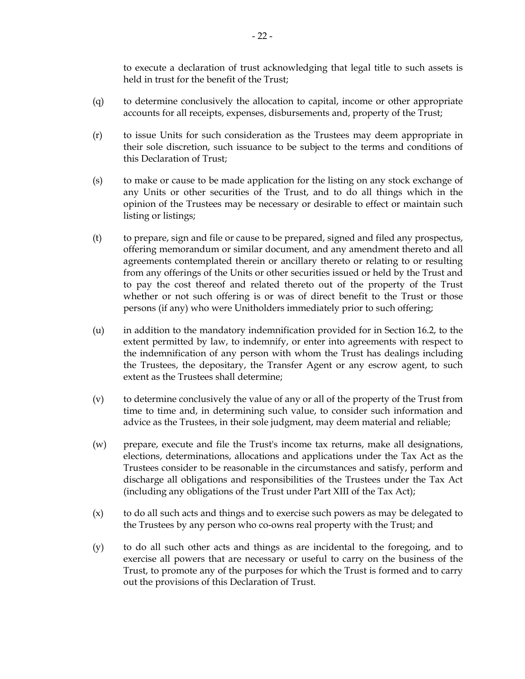to execute a declaration of trust acknowledging that legal title to such assets is held in trust for the benefit of the Trust;

- (q) to determine conclusively the allocation to capital, income or other appropriate accounts for all receipts, expenses, disbursements and, property of the Trust;
- (r) to issue Units for such consideration as the Trustees may deem appropriate in their sole discretion, such issuance to be subject to the terms and conditions of this Declaration of Trust;
- (s) to make or cause to be made application for the listing on any stock exchange of any Units or other securities of the Trust, and to do all things which in the opinion of the Trustees may be necessary or desirable to effect or maintain such listing or listings;
- (t) to prepare, sign and file or cause to be prepared, signed and filed any prospectus, offering memorandum or similar document, and any amendment thereto and all agreements contemplated therein or ancillary thereto or relating to or resulting from any offerings of the Units or other securities issued or held by the Trust and to pay the cost thereof and related thereto out of the property of the Trust whether or not such offering is or was of direct benefit to the Trust or those persons (if any) who were Unitholders immediately prior to such offering;
- (u) in addition to the mandatory indemnification provided for in Section 16.2, to the extent permitted by law, to indemnify, or enter into agreements with respect to the indemnification of any person with whom the Trust has dealings including the Trustees, the depositary, the Transfer Agent or any escrow agent, to such extent as the Trustees shall determine;
- (v) to determine conclusively the value of any or all of the property of the Trust from time to time and, in determining such value, to consider such information and advice as the Trustees, in their sole judgment, may deem material and reliable;
- (w) prepare, execute and file the Trust's income tax returns, make all designations, elections, determinations, allocations and applications under the Tax Act as the Trustees consider to be reasonable in the circumstances and satisfy, perform and discharge all obligations and responsibilities of the Trustees under the Tax Act (including any obligations of the Trust under Part XIII of the Tax Act);
- (x) to do all such acts and things and to exercise such powers as may be delegated to the Trustees by any person who co-owns real property with the Trust; and
- (y) to do all such other acts and things as are incidental to the foregoing, and to exercise all powers that are necessary or useful to carry on the business of the Trust, to promote any of the purposes for which the Trust is formed and to carry out the provisions of this Declaration of Trust.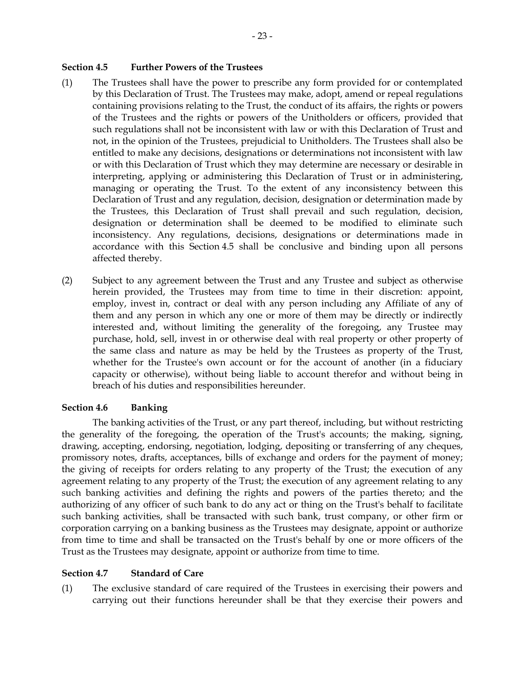#### **Section 4.5 Further Powers of the Trustees**

- (1) The Trustees shall have the power to prescribe any form provided for or contemplated by this Declaration of Trust. The Trustees may make, adopt, amend or repeal regulations containing provisions relating to the Trust, the conduct of its affairs, the rights or powers of the Trustees and the rights or powers of the Unitholders or officers, provided that such regulations shall not be inconsistent with law or with this Declaration of Trust and not, in the opinion of the Trustees, prejudicial to Unitholders. The Trustees shall also be entitled to make any decisions, designations or determinations not inconsistent with law or with this Declaration of Trust which they may determine are necessary or desirable in interpreting, applying or administering this Declaration of Trust or in administering, managing or operating the Trust. To the extent of any inconsistency between this Declaration of Trust and any regulation, decision, designation or determination made by the Trustees, this Declaration of Trust shall prevail and such regulation, decision, designation or determination shall be deemed to be modified to eliminate such inconsistency. Any regulations, decisions, designations or determinations made in accordance with this Section 4.5 shall be conclusive and binding upon all persons affected thereby.
- (2) Subject to any agreement between the Trust and any Trustee and subject as otherwise herein provided, the Trustees may from time to time in their discretion: appoint, employ, invest in, contract or deal with any person including any Affiliate of any of them and any person in which any one or more of them may be directly or indirectly interested and, without limiting the generality of the foregoing, any Trustee may purchase, hold, sell, invest in or otherwise deal with real property or other property of the same class and nature as may be held by the Trustees as property of the Trust, whether for the Trustee's own account or for the account of another (in a fiduciary capacity or otherwise), without being liable to account therefor and without being in breach of his duties and responsibilities hereunder.

#### **Section 4.6 Banking**

The banking activities of the Trust, or any part thereof, including, but without restricting the generality of the foregoing, the operation of the Trust's accounts; the making, signing, drawing, accepting, endorsing, negotiation, lodging, depositing or transferring of any cheques, promissory notes, drafts, acceptances, bills of exchange and orders for the payment of money; the giving of receipts for orders relating to any property of the Trust; the execution of any agreement relating to any property of the Trust; the execution of any agreement relating to any such banking activities and defining the rights and powers of the parties thereto; and the authorizing of any officer of such bank to do any act or thing on the Trust's behalf to facilitate such banking activities, shall be transacted with such bank, trust company, or other firm or corporation carrying on a banking business as the Trustees may designate, appoint or authorize from time to time and shall be transacted on the Trust's behalf by one or more officers of the Trust as the Trustees may designate, appoint or authorize from time to time.

#### **Section 4.7 Standard of Care**

(1) The exclusive standard of care required of the Trustees in exercising their powers and carrying out their functions hereunder shall be that they exercise their powers and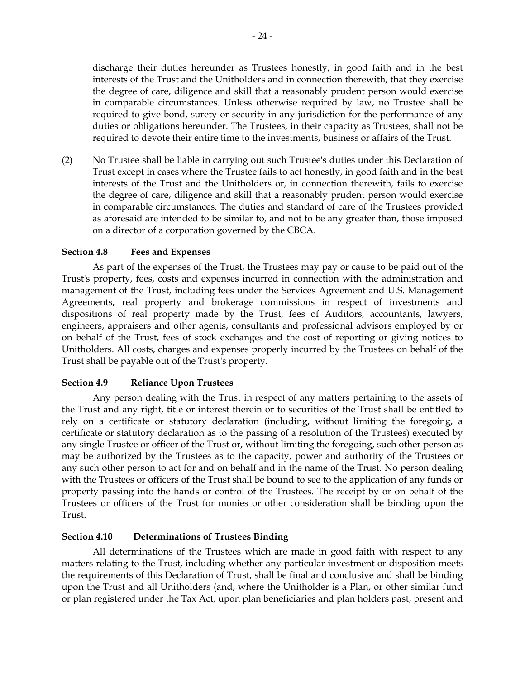discharge their duties hereunder as Trustees honestly, in good faith and in the best interests of the Trust and the Unitholders and in connection therewith, that they exercise the degree of care, diligence and skill that a reasonably prudent person would exercise in comparable circumstances. Unless otherwise required by law, no Trustee shall be required to give bond, surety or security in any jurisdiction for the performance of any duties or obligations hereunder. The Trustees, in their capacity as Trustees, shall not be required to devote their entire time to the investments, business or affairs of the Trust.

(2) No Trustee shall be liable in carrying out such Trustee's duties under this Declaration of Trust except in cases where the Trustee fails to act honestly, in good faith and in the best interests of the Trust and the Unitholders or, in connection therewith, fails to exercise the degree of care, diligence and skill that a reasonably prudent person would exercise in comparable circumstances. The duties and standard of care of the Trustees provided as aforesaid are intended to be similar to, and not to be any greater than, those imposed on a director of a corporation governed by the CBCA.

#### **Section 4.8 Fees and Expenses**

As part of the expenses of the Trust, the Trustees may pay or cause to be paid out of the Trust's property, fees, costs and expenses incurred in connection with the administration and management of the Trust, including fees under the Services Agreement and U.S. Management Agreements, real property and brokerage commissions in respect of investments and dispositions of real property made by the Trust, fees of Auditors, accountants, lawyers, engineers, appraisers and other agents, consultants and professional advisors employed by or on behalf of the Trust, fees of stock exchanges and the cost of reporting or giving notices to Unitholders. All costs, charges and expenses properly incurred by the Trustees on behalf of the Trust shall be payable out of the Trust's property.

#### **Section 4.9 Reliance Upon Trustees**

Any person dealing with the Trust in respect of any matters pertaining to the assets of the Trust and any right, title or interest therein or to securities of the Trust shall be entitled to rely on a certificate or statutory declaration (including, without limiting the foregoing, a certificate or statutory declaration as to the passing of a resolution of the Trustees) executed by any single Trustee or officer of the Trust or, without limiting the foregoing, such other person as may be authorized by the Trustees as to the capacity, power and authority of the Trustees or any such other person to act for and on behalf and in the name of the Trust. No person dealing with the Trustees or officers of the Trust shall be bound to see to the application of any funds or property passing into the hands or control of the Trustees. The receipt by or on behalf of the Trustees or officers of the Trust for monies or other consideration shall be binding upon the Trust.

#### **Section 4.10 Determinations of Trustees Binding**

All determinations of the Trustees which are made in good faith with respect to any matters relating to the Trust, including whether any particular investment or disposition meets the requirements of this Declaration of Trust, shall be final and conclusive and shall be binding upon the Trust and all Unitholders (and, where the Unitholder is a Plan, or other similar fund or plan registered under the Tax Act, upon plan beneficiaries and plan holders past, present and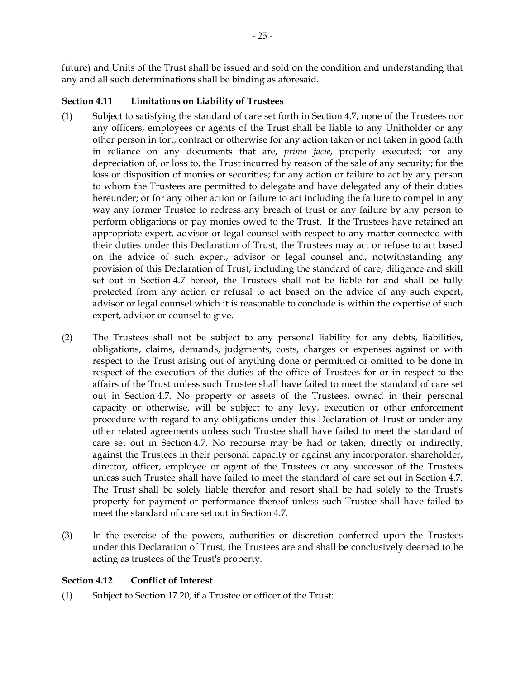future) and Units of the Trust shall be issued and sold on the condition and understanding that any and all such determinations shall be binding as aforesaid.

# **Section 4.11 Limitations on Liability of Trustees**

- (1) Subject to satisfying the standard of care set forth in Section 4.7, none of the Trustees nor any officers, employees or agents of the Trust shall be liable to any Unitholder or any other person in tort, contract or otherwise for any action taken or not taken in good faith in reliance on any documents that are, *prima facie*, properly executed; for any depreciation of, or loss to, the Trust incurred by reason of the sale of any security; for the loss or disposition of monies or securities; for any action or failure to act by any person to whom the Trustees are permitted to delegate and have delegated any of their duties hereunder; or for any other action or failure to act including the failure to compel in any way any former Trustee to redress any breach of trust or any failure by any person to perform obligations or pay monies owed to the Trust. If the Trustees have retained an appropriate expert, advisor or legal counsel with respect to any matter connected with their duties under this Declaration of Trust, the Trustees may act or refuse to act based on the advice of such expert, advisor or legal counsel and, notwithstanding any provision of this Declaration of Trust, including the standard of care, diligence and skill set out in Section 4.7 hereof, the Trustees shall not be liable for and shall be fully protected from any action or refusal to act based on the advice of any such expert, advisor or legal counsel which it is reasonable to conclude is within the expertise of such expert, advisor or counsel to give.
- (2) The Trustees shall not be subject to any personal liability for any debts, liabilities, obligations, claims, demands, judgments, costs, charges or expenses against or with respect to the Trust arising out of anything done or permitted or omitted to be done in respect of the execution of the duties of the office of Trustees for or in respect to the affairs of the Trust unless such Trustee shall have failed to meet the standard of care set out in Section 4.7. No property or assets of the Trustees, owned in their personal capacity or otherwise, will be subject to any levy, execution or other enforcement procedure with regard to any obligations under this Declaration of Trust or under any other related agreements unless such Trustee shall have failed to meet the standard of care set out in Section 4.7. No recourse may be had or taken, directly or indirectly, against the Trustees in their personal capacity or against any incorporator, shareholder, director, officer, employee or agent of the Trustees or any successor of the Trustees unless such Trustee shall have failed to meet the standard of care set out in Section 4.7. The Trust shall be solely liable therefor and resort shall be had solely to the Trust's property for payment or performance thereof unless such Trustee shall have failed to meet the standard of care set out in Section 4.7.
- (3) In the exercise of the powers, authorities or discretion conferred upon the Trustees under this Declaration of Trust, the Trustees are and shall be conclusively deemed to be acting as trustees of the Trust's property.

# **Section 4.12 Conflict of Interest**

(1) Subject to Section 17.20, if a Trustee or officer of the Trust: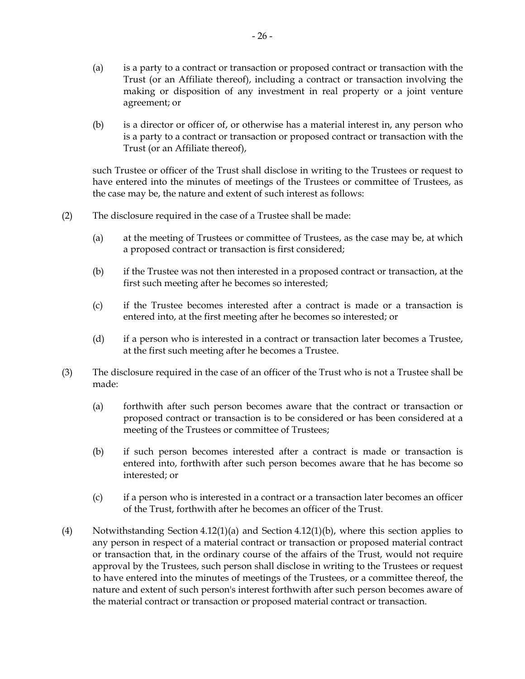- (a) is a party to a contract or transaction or proposed contract or transaction with the Trust (or an Affiliate thereof), including a contract or transaction involving the making or disposition of any investment in real property or a joint venture agreement; or
- (b) is a director or officer of, or otherwise has a material interest in, any person who is a party to a contract or transaction or proposed contract or transaction with the Trust (or an Affiliate thereof),

such Trustee or officer of the Trust shall disclose in writing to the Trustees or request to have entered into the minutes of meetings of the Trustees or committee of Trustees, as the case may be, the nature and extent of such interest as follows:

- (2) The disclosure required in the case of a Trustee shall be made:
	- (a) at the meeting of Trustees or committee of Trustees, as the case may be, at which a proposed contract or transaction is first considered;
	- (b) if the Trustee was not then interested in a proposed contract or transaction, at the first such meeting after he becomes so interested;
	- (c) if the Trustee becomes interested after a contract is made or a transaction is entered into, at the first meeting after he becomes so interested; or
	- (d) if a person who is interested in a contract or transaction later becomes a Trustee, at the first such meeting after he becomes a Trustee.
- (3) The disclosure required in the case of an officer of the Trust who is not a Trustee shall be made:
	- (a) forthwith after such person becomes aware that the contract or transaction or proposed contract or transaction is to be considered or has been considered at a meeting of the Trustees or committee of Trustees;
	- (b) if such person becomes interested after a contract is made or transaction is entered into, forthwith after such person becomes aware that he has become so interested; or
	- (c) if a person who is interested in a contract or a transaction later becomes an officer of the Trust, forthwith after he becomes an officer of the Trust.
- (4) Notwithstanding Section 4.12(1)(a) and Section 4.12(1)(b), where this section applies to any person in respect of a material contract or transaction or proposed material contract or transaction that, in the ordinary course of the affairs of the Trust, would not require approval by the Trustees, such person shall disclose in writing to the Trustees or request to have entered into the minutes of meetings of the Trustees, or a committee thereof, the nature and extent of such person's interest forthwith after such person becomes aware of the material contract or transaction or proposed material contract or transaction.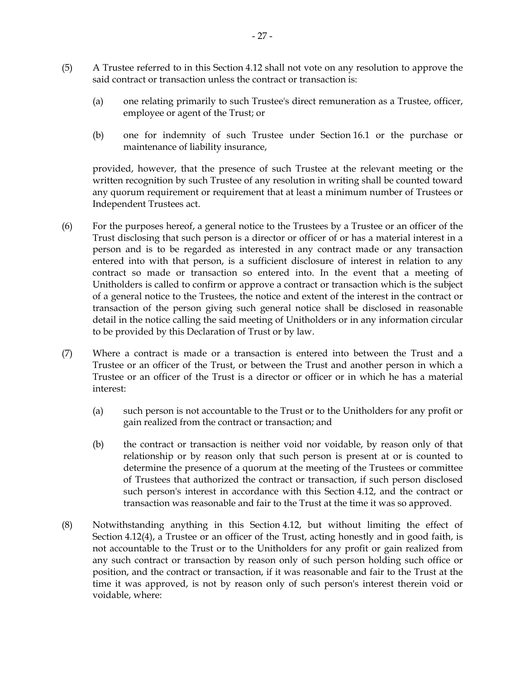- (5) A Trustee referred to in this Section 4.12 shall not vote on any resolution to approve the said contract or transaction unless the contract or transaction is:
	- (a) one relating primarily to such Trustee's direct remuneration as a Trustee, officer, employee or agent of the Trust; or
	- (b) one for indemnity of such Trustee under Section 16.1 or the purchase or maintenance of liability insurance,

provided, however, that the presence of such Trustee at the relevant meeting or the written recognition by such Trustee of any resolution in writing shall be counted toward any quorum requirement or requirement that at least a minimum number of Trustees or Independent Trustees act.

- (6) For the purposes hereof, a general notice to the Trustees by a Trustee or an officer of the Trust disclosing that such person is a director or officer of or has a material interest in a person and is to be regarded as interested in any contract made or any transaction entered into with that person, is a sufficient disclosure of interest in relation to any contract so made or transaction so entered into. In the event that a meeting of Unitholders is called to confirm or approve a contract or transaction which is the subject of a general notice to the Trustees, the notice and extent of the interest in the contract or transaction of the person giving such general notice shall be disclosed in reasonable detail in the notice calling the said meeting of Unitholders or in any information circular to be provided by this Declaration of Trust or by law.
- (7) Where a contract is made or a transaction is entered into between the Trust and a Trustee or an officer of the Trust, or between the Trust and another person in which a Trustee or an officer of the Trust is a director or officer or in which he has a material interest:
	- (a) such person is not accountable to the Trust or to the Unitholders for any profit or gain realized from the contract or transaction; and
	- (b) the contract or transaction is neither void nor voidable, by reason only of that relationship or by reason only that such person is present at or is counted to determine the presence of a quorum at the meeting of the Trustees or committee of Trustees that authorized the contract or transaction, if such person disclosed such person's interest in accordance with this Section 4.12, and the contract or transaction was reasonable and fair to the Trust at the time it was so approved.
- (8) Notwithstanding anything in this Section 4.12, but without limiting the effect of Section 4.12(4), a Trustee or an officer of the Trust, acting honestly and in good faith, is not accountable to the Trust or to the Unitholders for any profit or gain realized from any such contract or transaction by reason only of such person holding such office or position, and the contract or transaction, if it was reasonable and fair to the Trust at the time it was approved, is not by reason only of such person's interest therein void or voidable, where: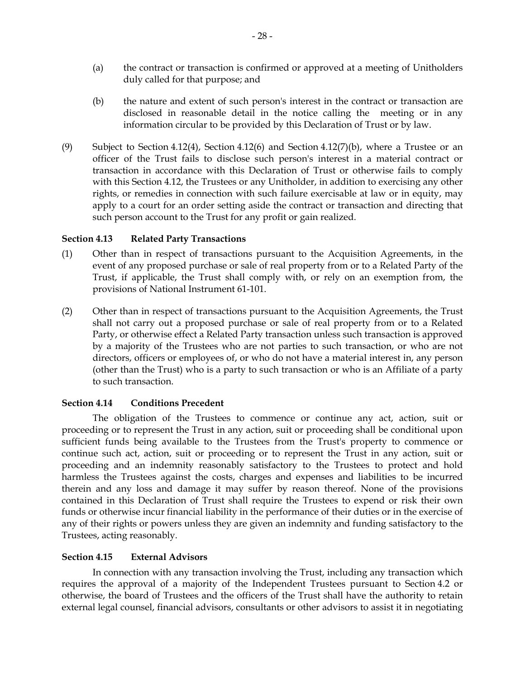- (a) the contract or transaction is confirmed or approved at a meeting of Unitholders duly called for that purpose; and
- (b) the nature and extent of such person's interest in the contract or transaction are disclosed in reasonable detail in the notice calling the meeting or in any information circular to be provided by this Declaration of Trust or by law.
- (9) Subject to Section 4.12(4), Section 4.12(6) and Section 4.12(7)(b), where a Trustee or an officer of the Trust fails to disclose such person's interest in a material contract or transaction in accordance with this Declaration of Trust or otherwise fails to comply with this Section 4.12, the Trustees or any Unitholder, in addition to exercising any other rights, or remedies in connection with such failure exercisable at law or in equity, may apply to a court for an order setting aside the contract or transaction and directing that such person account to the Trust for any profit or gain realized.

## **Section 4.13 Related Party Transactions**

- (1) Other than in respect of transactions pursuant to the Acquisition Agreements, in the event of any proposed purchase or sale of real property from or to a Related Party of the Trust, if applicable, the Trust shall comply with, or rely on an exemption from, the provisions of National Instrument 61-101.
- (2) Other than in respect of transactions pursuant to the Acquisition Agreements, the Trust shall not carry out a proposed purchase or sale of real property from or to a Related Party, or otherwise effect a Related Party transaction unless such transaction is approved by a majority of the Trustees who are not parties to such transaction, or who are not directors, officers or employees of, or who do not have a material interest in, any person (other than the Trust) who is a party to such transaction or who is an Affiliate of a party to such transaction.

# **Section 4.14 Conditions Precedent**

The obligation of the Trustees to commence or continue any act, action, suit or proceeding or to represent the Trust in any action, suit or proceeding shall be conditional upon sufficient funds being available to the Trustees from the Trust's property to commence or continue such act, action, suit or proceeding or to represent the Trust in any action, suit or proceeding and an indemnity reasonably satisfactory to the Trustees to protect and hold harmless the Trustees against the costs, charges and expenses and liabilities to be incurred therein and any loss and damage it may suffer by reason thereof. None of the provisions contained in this Declaration of Trust shall require the Trustees to expend or risk their own funds or otherwise incur financial liability in the performance of their duties or in the exercise of any of their rights or powers unless they are given an indemnity and funding satisfactory to the Trustees, acting reasonably.

#### **Section 4.15 External Advisors**

In connection with any transaction involving the Trust, including any transaction which requires the approval of a majority of the Independent Trustees pursuant to Section 4.2 or otherwise, the board of Trustees and the officers of the Trust shall have the authority to retain external legal counsel, financial advisors, consultants or other advisors to assist it in negotiating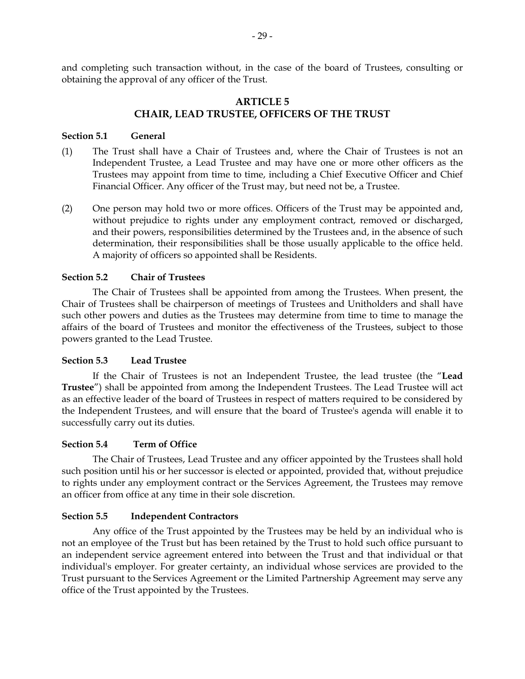and completing such transaction without, in the case of the board of Trustees, consulting or obtaining the approval of any officer of the Trust.

# **ARTICLE 5 CHAIR, LEAD TRUSTEE, OFFICERS OF THE TRUST**

## **Section 5.1 General**

- (1) The Trust shall have a Chair of Trustees and, where the Chair of Trustees is not an Independent Trustee, a Lead Trustee and may have one or more other officers as the Trustees may appoint from time to time, including a Chief Executive Officer and Chief Financial Officer. Any officer of the Trust may, but need not be, a Trustee.
- (2) One person may hold two or more offices. Officers of the Trust may be appointed and, without prejudice to rights under any employment contract, removed or discharged, and their powers, responsibilities determined by the Trustees and, in the absence of such determination, their responsibilities shall be those usually applicable to the office held. A majority of officers so appointed shall be Residents.

## **Section 5.2 Chair of Trustees**

The Chair of Trustees shall be appointed from among the Trustees. When present, the Chair of Trustees shall be chairperson of meetings of Trustees and Unitholders and shall have such other powers and duties as the Trustees may determine from time to time to manage the affairs of the board of Trustees and monitor the effectiveness of the Trustees, subject to those powers granted to the Lead Trustee.

#### **Section 5.3 Lead Trustee**

If the Chair of Trustees is not an Independent Trustee, the lead trustee (the "**Lead Trustee**") shall be appointed from among the Independent Trustees. The Lead Trustee will act as an effective leader of the board of Trustees in respect of matters required to be considered by the Independent Trustees, and will ensure that the board of Trustee's agenda will enable it to successfully carry out its duties.

#### **Section 5.4 Term of Office**

The Chair of Trustees, Lead Trustee and any officer appointed by the Trustees shall hold such position until his or her successor is elected or appointed, provided that, without prejudice to rights under any employment contract or the Services Agreement, the Trustees may remove an officer from office at any time in their sole discretion.

# **Section 5.5 Independent Contractors**

Any office of the Trust appointed by the Trustees may be held by an individual who is not an employee of the Trust but has been retained by the Trust to hold such office pursuant to an independent service agreement entered into between the Trust and that individual or that individual's employer. For greater certainty, an individual whose services are provided to the Trust pursuant to the Services Agreement or the Limited Partnership Agreement may serve any office of the Trust appointed by the Trustees.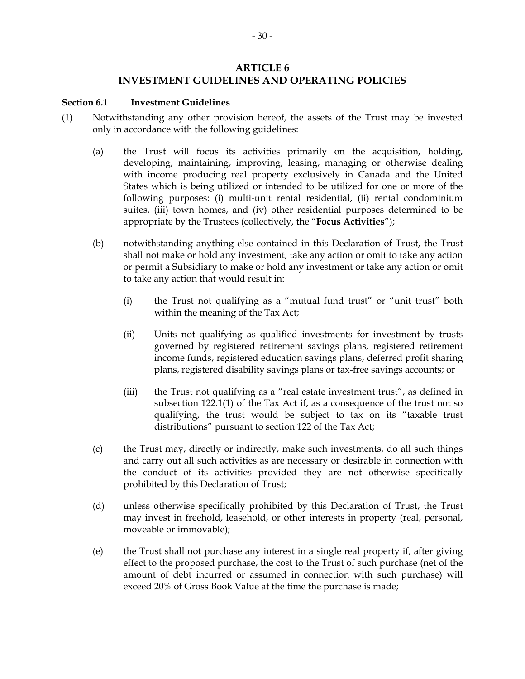# **ARTICLE 6**

# **INVESTMENT GUIDELINES AND OPERATING POLICIES**

#### **Section 6.1 Investment Guidelines**

- (1) Notwithstanding any other provision hereof, the assets of the Trust may be invested only in accordance with the following guidelines:
	- (a) the Trust will focus its activities primarily on the acquisition, holding, developing, maintaining, improving, leasing, managing or otherwise dealing with income producing real property exclusively in Canada and the United States which is being utilized or intended to be utilized for one or more of the following purposes: (i) multi-unit rental residential, (ii) rental condominium suites, (iii) town homes, and (iv) other residential purposes determined to be appropriate by the Trustees (collectively, the "**Focus Activities**");
	- (b) notwithstanding anything else contained in this Declaration of Trust, the Trust shall not make or hold any investment, take any action or omit to take any action or permit a Subsidiary to make or hold any investment or take any action or omit to take any action that would result in:
		- (i) the Trust not qualifying as a "mutual fund trust" or "unit trust" both within the meaning of the Tax Act;
		- (ii) Units not qualifying as qualified investments for investment by trusts governed by registered retirement savings plans, registered retirement income funds, registered education savings plans, deferred profit sharing plans, registered disability savings plans or tax-free savings accounts; or
		- (iii) the Trust not qualifying as a "real estate investment trust", as defined in subsection 122.1(1) of the Tax Act if, as a consequence of the trust not so qualifying, the trust would be subject to tax on its "taxable trust distributions" pursuant to section 122 of the Tax Act;
	- (c) the Trust may, directly or indirectly, make such investments, do all such things and carry out all such activities as are necessary or desirable in connection with the conduct of its activities provided they are not otherwise specifically prohibited by this Declaration of Trust;
	- (d) unless otherwise specifically prohibited by this Declaration of Trust, the Trust may invest in freehold, leasehold, or other interests in property (real, personal, moveable or immovable);
	- (e) the Trust shall not purchase any interest in a single real property if, after giving effect to the proposed purchase, the cost to the Trust of such purchase (net of the amount of debt incurred or assumed in connection with such purchase) will exceed 20% of Gross Book Value at the time the purchase is made;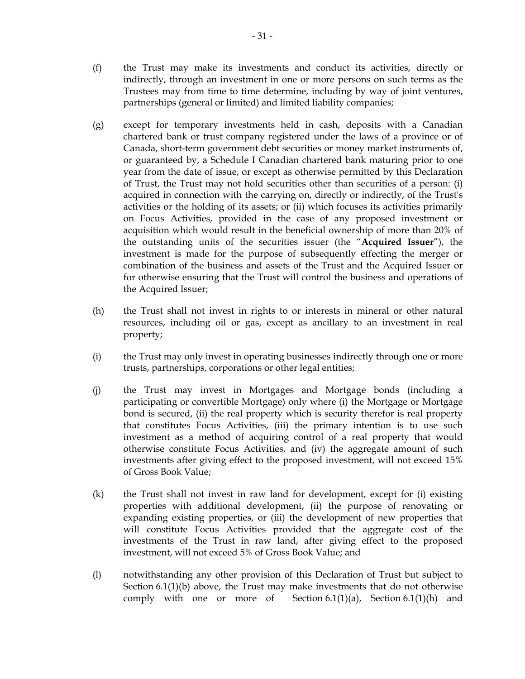- (f) the Trust may make its investments and conduct its activities, directly or indirectly, through an investment in one or more persons on such terms as the Trustees may from time to time determine, including by way of joint ventures, partnerships (general or limited) and limited liability companies;
- (g) except for temporary investments held in cash, deposits with a Canadian chartered bank or trust company registered under the laws of a province or of Canada, short-term government debt securities or money market instruments of, or guaranteed by, a Schedule I Canadian chartered bank maturing prior to one year from the date of issue, or except as otherwise permitted by this Declaration of Trust, the Trust may not hold securities other than securities of a person: (i) acquired in connection with the carrying on, directly or indirectly, of the Trust's activities or the holding of its assets; or (ii) which focuses its activities primarily on Focus Activities, provided in the case of any proposed investment or acquisition which would result in the beneficial ownership of more than 20% of the outstanding units of the securities issuer (the "**Acquired Issuer**"), the investment is made for the purpose of subsequently effecting the merger or combination of the business and assets of the Trust and the Acquired Issuer or for otherwise ensuring that the Trust will control the business and operations of the Acquired Issuer;
- (h) the Trust shall not invest in rights to or interests in mineral or other natural resources, including oil or gas, except as ancillary to an investment in real property;
- (i) the Trust may only invest in operating businesses indirectly through one or more trusts, partnerships, corporations or other legal entities;
- (j) the Trust may invest in Mortgages and Mortgage bonds (including a participating or convertible Mortgage) only where (i) the Mortgage or Mortgage bond is secured, (ii) the real property which is security therefor is real property that constitutes Focus Activities, (iii) the primary intention is to use such investment as a method of acquiring control of a real property that would otherwise constitute Focus Activities, and (iv) the aggregate amount of such investments after giving effect to the proposed investment, will not exceed 15% of Gross Book Value;
- (k) the Trust shall not invest in raw land for development, except for (i) existing properties with additional development, (ii) the purpose of renovating or expanding existing properties, or (iii) the development of new properties that will constitute Focus Activities provided that the aggregate cost of the investments of the Trust in raw land, after giving effect to the proposed investment, will not exceed 5% of Gross Book Value; and
- (l) notwithstanding any other provision of this Declaration of Trust but subject to Section  $6.1(1)(b)$  above, the Trust may make investments that do not otherwise comply with one or more of Section 6.1(1)(a), Section 6.1(1)(h) and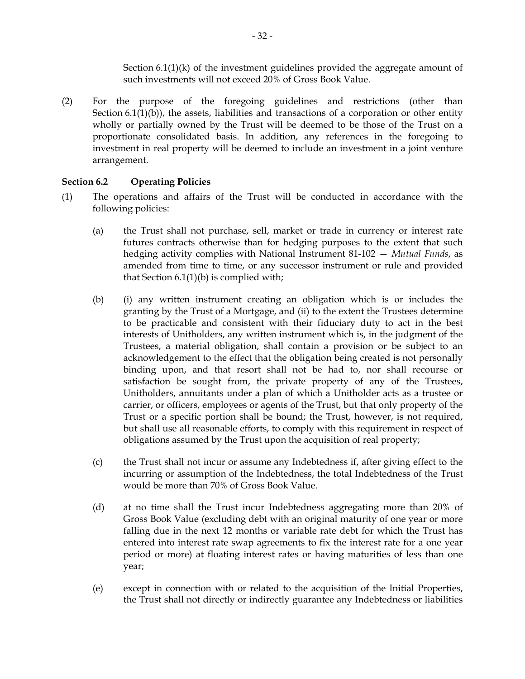Section 6.1(1)(k) of the investment guidelines provided the aggregate amount of such investments will not exceed 20% of Gross Book Value.

(2) For the purpose of the foregoing guidelines and restrictions (other than Section 6.1(1)(b)), the assets, liabilities and transactions of a corporation or other entity wholly or partially owned by the Trust will be deemed to be those of the Trust on a proportionate consolidated basis. In addition, any references in the foregoing to investment in real property will be deemed to include an investment in a joint venture arrangement.

## **Section 6.2 Operating Policies**

- (1) The operations and affairs of the Trust will be conducted in accordance with the following policies:
	- (a) the Trust shall not purchase, sell, market or trade in currency or interest rate futures contracts otherwise than for hedging purposes to the extent that such hedging activity complies with National Instrument 81-102 — *Mutual Funds*, as amended from time to time, or any successor instrument or rule and provided that Section  $6.1(1)(b)$  is complied with;
	- (b) (i) any written instrument creating an obligation which is or includes the granting by the Trust of a Mortgage, and (ii) to the extent the Trustees determine to be practicable and consistent with their fiduciary duty to act in the best interests of Unitholders, any written instrument which is, in the judgment of the Trustees, a material obligation, shall contain a provision or be subject to an acknowledgement to the effect that the obligation being created is not personally binding upon, and that resort shall not be had to, nor shall recourse or satisfaction be sought from, the private property of any of the Trustees, Unitholders, annuitants under a plan of which a Unitholder acts as a trustee or carrier, or officers, employees or agents of the Trust, but that only property of the Trust or a specific portion shall be bound; the Trust, however, is not required, but shall use all reasonable efforts, to comply with this requirement in respect of obligations assumed by the Trust upon the acquisition of real property;
	- (c) the Trust shall not incur or assume any Indebtedness if, after giving effect to the incurring or assumption of the Indebtedness, the total Indebtedness of the Trust would be more than 70% of Gross Book Value.
	- (d) at no time shall the Trust incur Indebtedness aggregating more than 20% of Gross Book Value (excluding debt with an original maturity of one year or more falling due in the next 12 months or variable rate debt for which the Trust has entered into interest rate swap agreements to fix the interest rate for a one year period or more) at floating interest rates or having maturities of less than one year;
	- (e) except in connection with or related to the acquisition of the Initial Properties, the Trust shall not directly or indirectly guarantee any Indebtedness or liabilities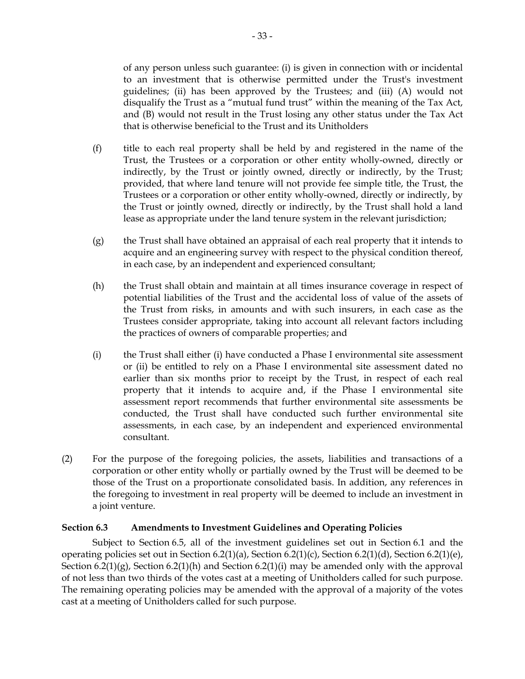of any person unless such guarantee: (i) is given in connection with or incidental to an investment that is otherwise permitted under the Trust's investment guidelines; (ii) has been approved by the Trustees; and (iii) (A) would not disqualify the Trust as a "mutual fund trust" within the meaning of the Tax Act, and (B) would not result in the Trust losing any other status under the Tax Act that is otherwise beneficial to the Trust and its Unitholders

- (f) title to each real property shall be held by and registered in the name of the Trust, the Trustees or a corporation or other entity wholly-owned, directly or indirectly, by the Trust or jointly owned, directly or indirectly, by the Trust; provided, that where land tenure will not provide fee simple title, the Trust, the Trustees or a corporation or other entity wholly-owned, directly or indirectly, by the Trust or jointly owned, directly or indirectly, by the Trust shall hold a land lease as appropriate under the land tenure system in the relevant jurisdiction;
- (g) the Trust shall have obtained an appraisal of each real property that it intends to acquire and an engineering survey with respect to the physical condition thereof, in each case, by an independent and experienced consultant;
- (h) the Trust shall obtain and maintain at all times insurance coverage in respect of potential liabilities of the Trust and the accidental loss of value of the assets of the Trust from risks, in amounts and with such insurers, in each case as the Trustees consider appropriate, taking into account all relevant factors including the practices of owners of comparable properties; and
- (i) the Trust shall either (i) have conducted a Phase I environmental site assessment or (ii) be entitled to rely on a Phase I environmental site assessment dated no earlier than six months prior to receipt by the Trust, in respect of each real property that it intends to acquire and, if the Phase I environmental site assessment report recommends that further environmental site assessments be conducted, the Trust shall have conducted such further environmental site assessments, in each case, by an independent and experienced environmental consultant.
- (2) For the purpose of the foregoing policies, the assets, liabilities and transactions of a corporation or other entity wholly or partially owned by the Trust will be deemed to be those of the Trust on a proportionate consolidated basis. In addition, any references in the foregoing to investment in real property will be deemed to include an investment in a joint venture.

## **Section 6.3 Amendments to Investment Guidelines and Operating Policies**

Subject to Section 6.5, all of the investment guidelines set out in Section 6.1 and the operating policies set out in Section 6.2(1)(a), Section 6.2(1)(c), Section 6.2(1)(d), Section 6.2(1)(e), Section 6.2(1)(g), Section 6.2(1)(h) and Section 6.2(1)(i) may be amended only with the approval of not less than two thirds of the votes cast at a meeting of Unitholders called for such purpose. The remaining operating policies may be amended with the approval of a majority of the votes cast at a meeting of Unitholders called for such purpose.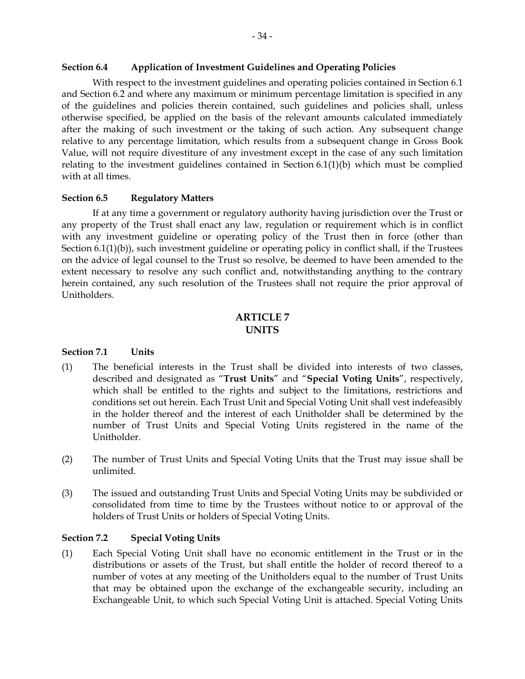#### **Section 6.4 Application of Investment Guidelines and Operating Policies**

With respect to the investment guidelines and operating policies contained in Section 6.1 and Section 6.2 and where any maximum or minimum percentage limitation is specified in any of the guidelines and policies therein contained, such guidelines and policies shall, unless otherwise specified, be applied on the basis of the relevant amounts calculated immediately after the making of such investment or the taking of such action. Any subsequent change relative to any percentage limitation, which results from a subsequent change in Gross Book Value, will not require divestiture of any investment except in the case of any such limitation relating to the investment guidelines contained in Section 6.1(1)(b) which must be complied with at all times.

### **Section 6.5 Regulatory Matters**

If at any time a government or regulatory authority having jurisdiction over the Trust or any property of the Trust shall enact any law, regulation or requirement which is in conflict with any investment guideline or operating policy of the Trust then in force (other than Section 6.1(1)(b)), such investment guideline or operating policy in conflict shall, if the Trustees on the advice of legal counsel to the Trust so resolve, be deemed to have been amended to the extent necessary to resolve any such conflict and, notwithstanding anything to the contrary herein contained, any such resolution of the Trustees shall not require the prior approval of Unitholders.

# **ARTICLE 7 UNITS**

### **Section 7.1 Units**

- (1) The beneficial interests in the Trust shall be divided into interests of two classes, described and designated as "**Trust Units**" and "**Special Voting Units**", respectively, which shall be entitled to the rights and subject to the limitations, restrictions and conditions set out herein. Each Trust Unit and Special Voting Unit shall vest indefeasibly in the holder thereof and the interest of each Unitholder shall be determined by the number of Trust Units and Special Voting Units registered in the name of the Unitholder.
- (2) The number of Trust Units and Special Voting Units that the Trust may issue shall be unlimited.
- (3) The issued and outstanding Trust Units and Special Voting Units may be subdivided or consolidated from time to time by the Trustees without notice to or approval of the holders of Trust Units or holders of Special Voting Units.

### **Section 7.2 Special Voting Units**

(1) Each Special Voting Unit shall have no economic entitlement in the Trust or in the distributions or assets of the Trust, but shall entitle the holder of record thereof to a number of votes at any meeting of the Unitholders equal to the number of Trust Units that may be obtained upon the exchange of the exchangeable security, including an Exchangeable Unit, to which such Special Voting Unit is attached. Special Voting Units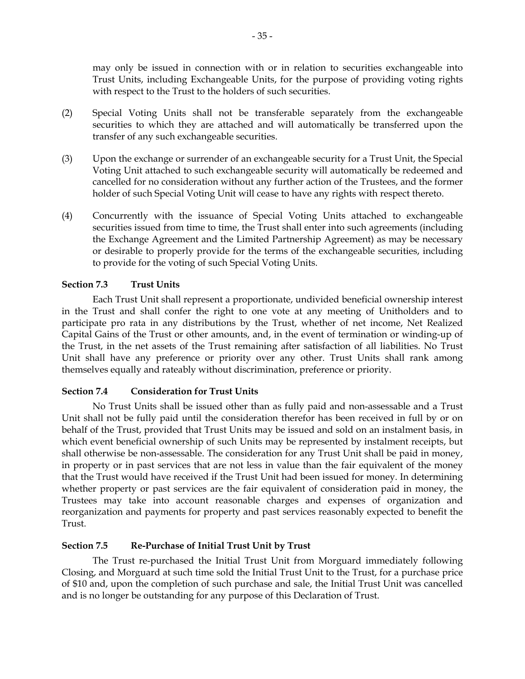may only be issued in connection with or in relation to securities exchangeable into Trust Units, including Exchangeable Units, for the purpose of providing voting rights with respect to the Trust to the holders of such securities.

- (2) Special Voting Units shall not be transferable separately from the exchangeable securities to which they are attached and will automatically be transferred upon the transfer of any such exchangeable securities.
- (3) Upon the exchange or surrender of an exchangeable security for a Trust Unit, the Special Voting Unit attached to such exchangeable security will automatically be redeemed and cancelled for no consideration without any further action of the Trustees, and the former holder of such Special Voting Unit will cease to have any rights with respect thereto.
- (4) Concurrently with the issuance of Special Voting Units attached to exchangeable securities issued from time to time, the Trust shall enter into such agreements (including the Exchange Agreement and the Limited Partnership Agreement) as may be necessary or desirable to properly provide for the terms of the exchangeable securities, including to provide for the voting of such Special Voting Units.

## **Section 7.3 Trust Units**

Each Trust Unit shall represent a proportionate, undivided beneficial ownership interest in the Trust and shall confer the right to one vote at any meeting of Unitholders and to participate pro rata in any distributions by the Trust, whether of net income, Net Realized Capital Gains of the Trust or other amounts, and, in the event of termination or winding-up of the Trust, in the net assets of the Trust remaining after satisfaction of all liabilities. No Trust Unit shall have any preference or priority over any other. Trust Units shall rank among themselves equally and rateably without discrimination, preference or priority.

# **Section 7.4 Consideration for Trust Units**

No Trust Units shall be issued other than as fully paid and non-assessable and a Trust Unit shall not be fully paid until the consideration therefor has been received in full by or on behalf of the Trust, provided that Trust Units may be issued and sold on an instalment basis, in which event beneficial ownership of such Units may be represented by instalment receipts, but shall otherwise be non-assessable. The consideration for any Trust Unit shall be paid in money, in property or in past services that are not less in value than the fair equivalent of the money that the Trust would have received if the Trust Unit had been issued for money. In determining whether property or past services are the fair equivalent of consideration paid in money, the Trustees may take into account reasonable charges and expenses of organization and reorganization and payments for property and past services reasonably expected to benefit the Trust.

## **Section 7.5 Re-Purchase of Initial Trust Unit by Trust**

The Trust re-purchased the Initial Trust Unit from Morguard immediately following Closing, and Morguard at such time sold the Initial Trust Unit to the Trust, for a purchase price of \$10 and, upon the completion of such purchase and sale, the Initial Trust Unit was cancelled and is no longer be outstanding for any purpose of this Declaration of Trust.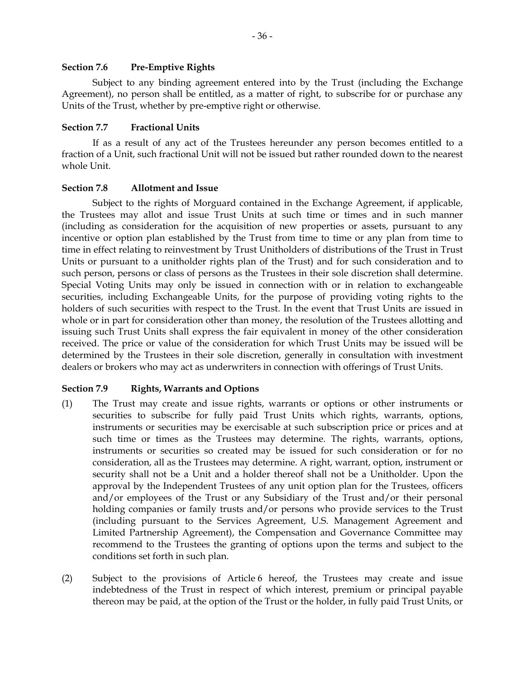### **Section 7.6 Pre-Emptive Rights**

Subject to any binding agreement entered into by the Trust (including the Exchange Agreement), no person shall be entitled, as a matter of right, to subscribe for or purchase any Units of the Trust, whether by pre-emptive right or otherwise.

### **Section 7.7 Fractional Units**

If as a result of any act of the Trustees hereunder any person becomes entitled to a fraction of a Unit, such fractional Unit will not be issued but rather rounded down to the nearest whole Unit.

### **Section 7.8 Allotment and Issue**

Subject to the rights of Morguard contained in the Exchange Agreement, if applicable, the Trustees may allot and issue Trust Units at such time or times and in such manner (including as consideration for the acquisition of new properties or assets, pursuant to any incentive or option plan established by the Trust from time to time or any plan from time to time in effect relating to reinvestment by Trust Unitholders of distributions of the Trust in Trust Units or pursuant to a unitholder rights plan of the Trust) and for such consideration and to such person, persons or class of persons as the Trustees in their sole discretion shall determine. Special Voting Units may only be issued in connection with or in relation to exchangeable securities, including Exchangeable Units, for the purpose of providing voting rights to the holders of such securities with respect to the Trust. In the event that Trust Units are issued in whole or in part for consideration other than money, the resolution of the Trustees allotting and issuing such Trust Units shall express the fair equivalent in money of the other consideration received. The price or value of the consideration for which Trust Units may be issued will be determined by the Trustees in their sole discretion, generally in consultation with investment dealers or brokers who may act as underwriters in connection with offerings of Trust Units.

## **Section 7.9 Rights, Warrants and Options**

- (1) The Trust may create and issue rights, warrants or options or other instruments or securities to subscribe for fully paid Trust Units which rights, warrants, options, instruments or securities may be exercisable at such subscription price or prices and at such time or times as the Trustees may determine. The rights, warrants, options, instruments or securities so created may be issued for such consideration or for no consideration, all as the Trustees may determine. A right, warrant, option, instrument or security shall not be a Unit and a holder thereof shall not be a Unitholder. Upon the approval by the Independent Trustees of any unit option plan for the Trustees, officers and/or employees of the Trust or any Subsidiary of the Trust and/or their personal holding companies or family trusts and/or persons who provide services to the Trust (including pursuant to the Services Agreement, U.S. Management Agreement and Limited Partnership Agreement), the Compensation and Governance Committee may recommend to the Trustees the granting of options upon the terms and subject to the conditions set forth in such plan.
- (2) Subject to the provisions of Article 6 hereof, the Trustees may create and issue indebtedness of the Trust in respect of which interest, premium or principal payable thereon may be paid, at the option of the Trust or the holder, in fully paid Trust Units, or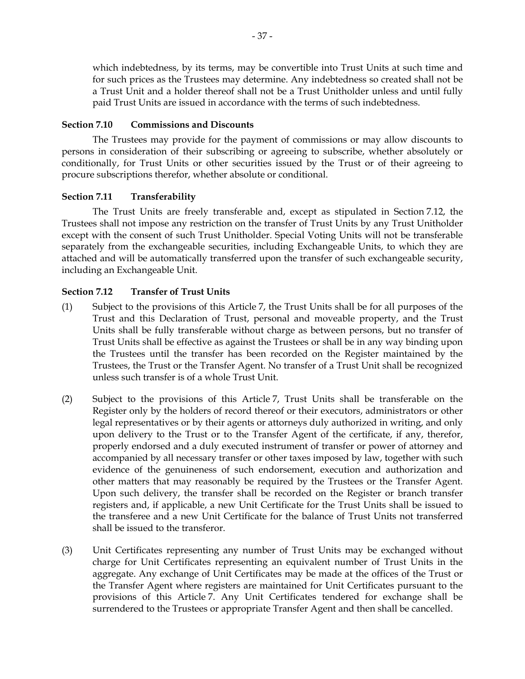which indebtedness, by its terms, may be convertible into Trust Units at such time and for such prices as the Trustees may determine. Any indebtedness so created shall not be a Trust Unit and a holder thereof shall not be a Trust Unitholder unless and until fully paid Trust Units are issued in accordance with the terms of such indebtedness.

## **Section 7.10 Commissions and Discounts**

The Trustees may provide for the payment of commissions or may allow discounts to persons in consideration of their subscribing or agreeing to subscribe, whether absolutely or conditionally, for Trust Units or other securities issued by the Trust or of their agreeing to procure subscriptions therefor, whether absolute or conditional.

# **Section 7.11 Transferability**

The Trust Units are freely transferable and, except as stipulated in Section 7.12, the Trustees shall not impose any restriction on the transfer of Trust Units by any Trust Unitholder except with the consent of such Trust Unitholder. Special Voting Units will not be transferable separately from the exchangeable securities, including Exchangeable Units, to which they are attached and will be automatically transferred upon the transfer of such exchangeable security, including an Exchangeable Unit.

# **Section 7.12 Transfer of Trust Units**

- (1) Subject to the provisions of this Article 7, the Trust Units shall be for all purposes of the Trust and this Declaration of Trust, personal and moveable property, and the Trust Units shall be fully transferable without charge as between persons, but no transfer of Trust Units shall be effective as against the Trustees or shall be in any way binding upon the Trustees until the transfer has been recorded on the Register maintained by the Trustees, the Trust or the Transfer Agent. No transfer of a Trust Unit shall be recognized unless such transfer is of a whole Trust Unit.
- (2) Subject to the provisions of this Article 7, Trust Units shall be transferable on the Register only by the holders of record thereof or their executors, administrators or other legal representatives or by their agents or attorneys duly authorized in writing, and only upon delivery to the Trust or to the Transfer Agent of the certificate, if any, therefor, properly endorsed and a duly executed instrument of transfer or power of attorney and accompanied by all necessary transfer or other taxes imposed by law, together with such evidence of the genuineness of such endorsement, execution and authorization and other matters that may reasonably be required by the Trustees or the Transfer Agent. Upon such delivery, the transfer shall be recorded on the Register or branch transfer registers and, if applicable, a new Unit Certificate for the Trust Units shall be issued to the transferee and a new Unit Certificate for the balance of Trust Units not transferred shall be issued to the transferor.
- (3) Unit Certificates representing any number of Trust Units may be exchanged without charge for Unit Certificates representing an equivalent number of Trust Units in the aggregate. Any exchange of Unit Certificates may be made at the offices of the Trust or the Transfer Agent where registers are maintained for Unit Certificates pursuant to the provisions of this Article 7. Any Unit Certificates tendered for exchange shall be surrendered to the Trustees or appropriate Transfer Agent and then shall be cancelled.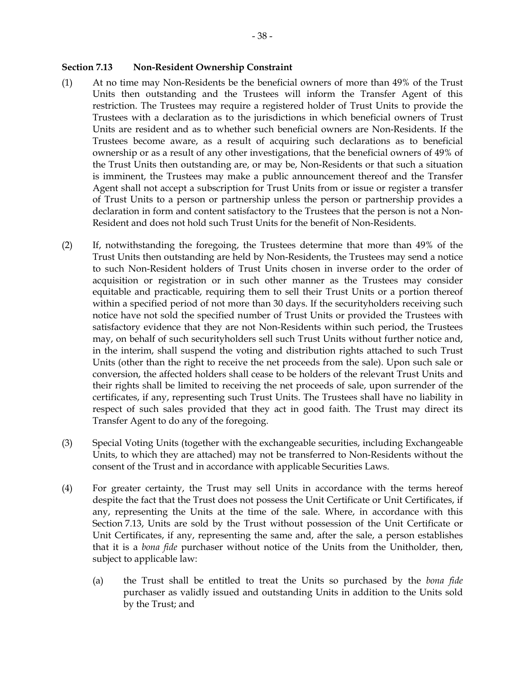- (1) At no time may Non-Residents be the beneficial owners of more than 49% of the Trust Units then outstanding and the Trustees will inform the Transfer Agent of this restriction. The Trustees may require a registered holder of Trust Units to provide the Trustees with a declaration as to the jurisdictions in which beneficial owners of Trust Units are resident and as to whether such beneficial owners are Non-Residents. If the Trustees become aware, as a result of acquiring such declarations as to beneficial ownership or as a result of any other investigations, that the beneficial owners of 49% of the Trust Units then outstanding are, or may be, Non-Residents or that such a situation is imminent, the Trustees may make a public announcement thereof and the Transfer Agent shall not accept a subscription for Trust Units from or issue or register a transfer of Trust Units to a person or partnership unless the person or partnership provides a declaration in form and content satisfactory to the Trustees that the person is not a Non-Resident and does not hold such Trust Units for the benefit of Non-Residents.
- (2) If, notwithstanding the foregoing, the Trustees determine that more than 49% of the Trust Units then outstanding are held by Non-Residents, the Trustees may send a notice to such Non-Resident holders of Trust Units chosen in inverse order to the order of acquisition or registration or in such other manner as the Trustees may consider equitable and practicable, requiring them to sell their Trust Units or a portion thereof within a specified period of not more than 30 days. If the securityholders receiving such notice have not sold the specified number of Trust Units or provided the Trustees with satisfactory evidence that they are not Non-Residents within such period, the Trustees may, on behalf of such securityholders sell such Trust Units without further notice and, in the interim, shall suspend the voting and distribution rights attached to such Trust Units (other than the right to receive the net proceeds from the sale). Upon such sale or conversion, the affected holders shall cease to be holders of the relevant Trust Units and their rights shall be limited to receiving the net proceeds of sale, upon surrender of the certificates, if any, representing such Trust Units. The Trustees shall have no liability in respect of such sales provided that they act in good faith. The Trust may direct its Transfer Agent to do any of the foregoing.
- (3) Special Voting Units (together with the exchangeable securities, including Exchangeable Units, to which they are attached) may not be transferred to Non-Residents without the consent of the Trust and in accordance with applicable Securities Laws.
- (4) For greater certainty, the Trust may sell Units in accordance with the terms hereof despite the fact that the Trust does not possess the Unit Certificate or Unit Certificates, if any, representing the Units at the time of the sale. Where, in accordance with this Section 7.13, Units are sold by the Trust without possession of the Unit Certificate or Unit Certificates, if any, representing the same and, after the sale, a person establishes that it is a *bona fide* purchaser without notice of the Units from the Unitholder, then, subject to applicable law:
	- (a) the Trust shall be entitled to treat the Units so purchased by the *bona fide* purchaser as validly issued and outstanding Units in addition to the Units sold by the Trust; and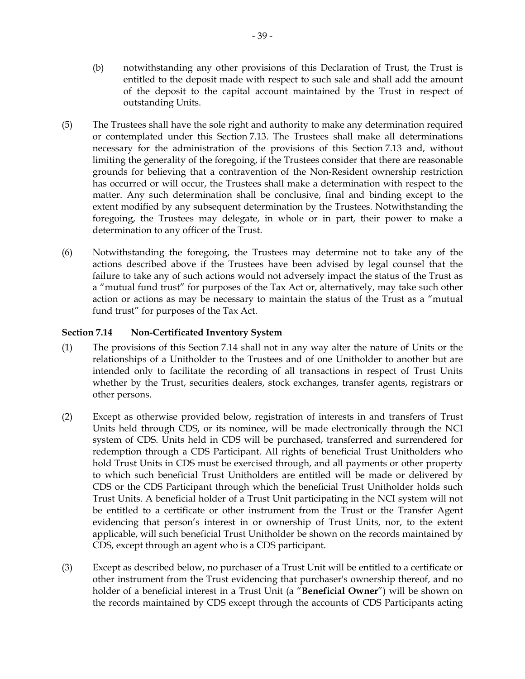- (b) notwithstanding any other provisions of this Declaration of Trust, the Trust is entitled to the deposit made with respect to such sale and shall add the amount of the deposit to the capital account maintained by the Trust in respect of outstanding Units.
- (5) The Trustees shall have the sole right and authority to make any determination required or contemplated under this Section 7.13. The Trustees shall make all determinations necessary for the administration of the provisions of this Section 7.13 and, without limiting the generality of the foregoing, if the Trustees consider that there are reasonable grounds for believing that a contravention of the Non-Resident ownership restriction has occurred or will occur, the Trustees shall make a determination with respect to the matter. Any such determination shall be conclusive, final and binding except to the extent modified by any subsequent determination by the Trustees. Notwithstanding the foregoing, the Trustees may delegate, in whole or in part, their power to make a determination to any officer of the Trust.
- (6) Notwithstanding the foregoing, the Trustees may determine not to take any of the actions described above if the Trustees have been advised by legal counsel that the failure to take any of such actions would not adversely impact the status of the Trust as a "mutual fund trust" for purposes of the Tax Act or, alternatively, may take such other action or actions as may be necessary to maintain the status of the Trust as a "mutual fund trust" for purposes of the Tax Act.

## **Section 7.14 Non-Certificated Inventory System**

- (1) The provisions of this Section 7.14 shall not in any way alter the nature of Units or the relationships of a Unitholder to the Trustees and of one Unitholder to another but are intended only to facilitate the recording of all transactions in respect of Trust Units whether by the Trust, securities dealers, stock exchanges, transfer agents, registrars or other persons.
- (2) Except as otherwise provided below, registration of interests in and transfers of Trust Units held through CDS, or its nominee, will be made electronically through the NCI system of CDS. Units held in CDS will be purchased, transferred and surrendered for redemption through a CDS Participant. All rights of beneficial Trust Unitholders who hold Trust Units in CDS must be exercised through, and all payments or other property to which such beneficial Trust Unitholders are entitled will be made or delivered by CDS or the CDS Participant through which the beneficial Trust Unitholder holds such Trust Units. A beneficial holder of a Trust Unit participating in the NCI system will not be entitled to a certificate or other instrument from the Trust or the Transfer Agent evidencing that person's interest in or ownership of Trust Units, nor, to the extent applicable, will such beneficial Trust Unitholder be shown on the records maintained by CDS, except through an agent who is a CDS participant.
- (3) Except as described below, no purchaser of a Trust Unit will be entitled to a certificate or other instrument from the Trust evidencing that purchaser's ownership thereof, and no holder of a beneficial interest in a Trust Unit (a "**Beneficial Owner**") will be shown on the records maintained by CDS except through the accounts of CDS Participants acting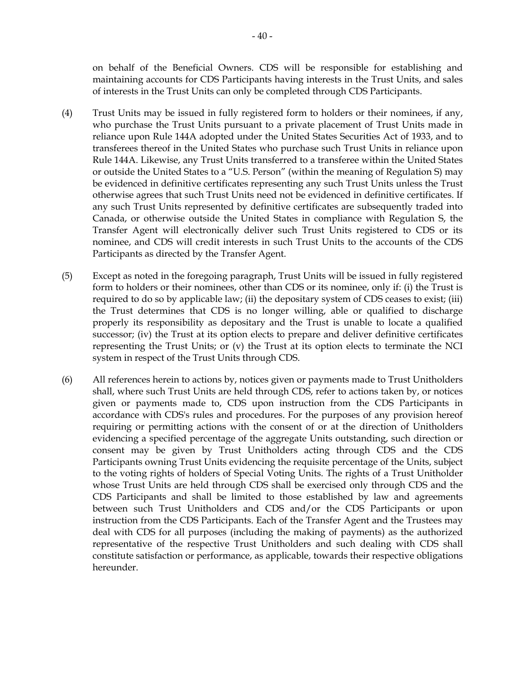on behalf of the Beneficial Owners. CDS will be responsible for establishing and maintaining accounts for CDS Participants having interests in the Trust Units, and sales of interests in the Trust Units can only be completed through CDS Participants.

- (4) Trust Units may be issued in fully registered form to holders or their nominees, if any, who purchase the Trust Units pursuant to a private placement of Trust Units made in reliance upon Rule 144A adopted under the United States Securities Act of 1933, and to transferees thereof in the United States who purchase such Trust Units in reliance upon Rule 144A. Likewise, any Trust Units transferred to a transferee within the United States or outside the United States to a "U.S. Person" (within the meaning of Regulation S) may be evidenced in definitive certificates representing any such Trust Units unless the Trust otherwise agrees that such Trust Units need not be evidenced in definitive certificates. If any such Trust Units represented by definitive certificates are subsequently traded into Canada, or otherwise outside the United States in compliance with Regulation S, the Transfer Agent will electronically deliver such Trust Units registered to CDS or its nominee, and CDS will credit interests in such Trust Units to the accounts of the CDS Participants as directed by the Transfer Agent.
- (5) Except as noted in the foregoing paragraph, Trust Units will be issued in fully registered form to holders or their nominees, other than CDS or its nominee, only if: (i) the Trust is required to do so by applicable law; (ii) the depositary system of CDS ceases to exist; (iii) the Trust determines that CDS is no longer willing, able or qualified to discharge properly its responsibility as depositary and the Trust is unable to locate a qualified successor; (iv) the Trust at its option elects to prepare and deliver definitive certificates representing the Trust Units; or (v) the Trust at its option elects to terminate the NCI system in respect of the Trust Units through CDS.
- (6) All references herein to actions by, notices given or payments made to Trust Unitholders shall, where such Trust Units are held through CDS, refer to actions taken by, or notices given or payments made to, CDS upon instruction from the CDS Participants in accordance with CDS's rules and procedures. For the purposes of any provision hereof requiring or permitting actions with the consent of or at the direction of Unitholders evidencing a specified percentage of the aggregate Units outstanding, such direction or consent may be given by Trust Unitholders acting through CDS and the CDS Participants owning Trust Units evidencing the requisite percentage of the Units, subject to the voting rights of holders of Special Voting Units. The rights of a Trust Unitholder whose Trust Units are held through CDS shall be exercised only through CDS and the CDS Participants and shall be limited to those established by law and agreements between such Trust Unitholders and CDS and/or the CDS Participants or upon instruction from the CDS Participants. Each of the Transfer Agent and the Trustees may deal with CDS for all purposes (including the making of payments) as the authorized representative of the respective Trust Unitholders and such dealing with CDS shall constitute satisfaction or performance, as applicable, towards their respective obligations hereunder.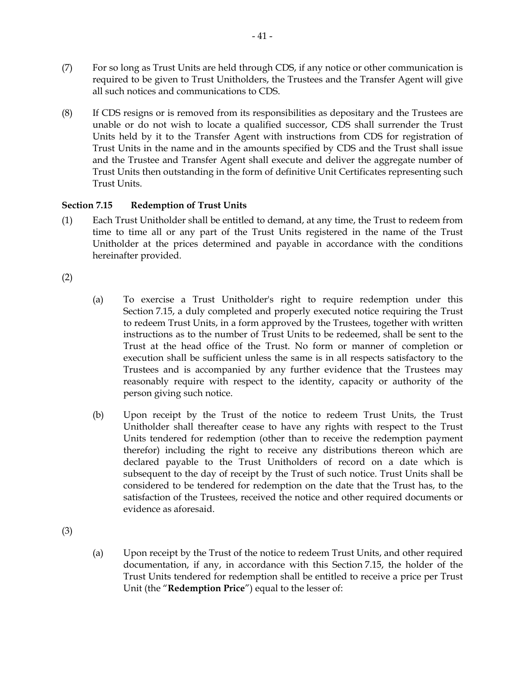- (7) For so long as Trust Units are held through CDS, if any notice or other communication is required to be given to Trust Unitholders, the Trustees and the Transfer Agent will give all such notices and communications to CDS.
- (8) If CDS resigns or is removed from its responsibilities as depositary and the Trustees are unable or do not wish to locate a qualified successor, CDS shall surrender the Trust Units held by it to the Transfer Agent with instructions from CDS for registration of Trust Units in the name and in the amounts specified by CDS and the Trust shall issue and the Trustee and Transfer Agent shall execute and deliver the aggregate number of Trust Units then outstanding in the form of definitive Unit Certificates representing such Trust Units.

# **Section 7.15 Redemption of Trust Units**

(1) Each Trust Unitholder shall be entitled to demand, at any time, the Trust to redeem from time to time all or any part of the Trust Units registered in the name of the Trust Unitholder at the prices determined and payable in accordance with the conditions hereinafter provided.

(2)

- (a) To exercise a Trust Unitholder's right to require redemption under this Section 7.15, a duly completed and properly executed notice requiring the Trust to redeem Trust Units, in a form approved by the Trustees, together with written instructions as to the number of Trust Units to be redeemed, shall be sent to the Trust at the head office of the Trust. No form or manner of completion or execution shall be sufficient unless the same is in all respects satisfactory to the Trustees and is accompanied by any further evidence that the Trustees may reasonably require with respect to the identity, capacity or authority of the person giving such notice.
- (b) Upon receipt by the Trust of the notice to redeem Trust Units, the Trust Unitholder shall thereafter cease to have any rights with respect to the Trust Units tendered for redemption (other than to receive the redemption payment therefor) including the right to receive any distributions thereon which are declared payable to the Trust Unitholders of record on a date which is subsequent to the day of receipt by the Trust of such notice. Trust Units shall be considered to be tendered for redemption on the date that the Trust has, to the satisfaction of the Trustees, received the notice and other required documents or evidence as aforesaid.

(3)

(a) Upon receipt by the Trust of the notice to redeem Trust Units, and other required documentation, if any, in accordance with this Section 7.15, the holder of the Trust Units tendered for redemption shall be entitled to receive a price per Trust Unit (the "**Redemption Price**") equal to the lesser of: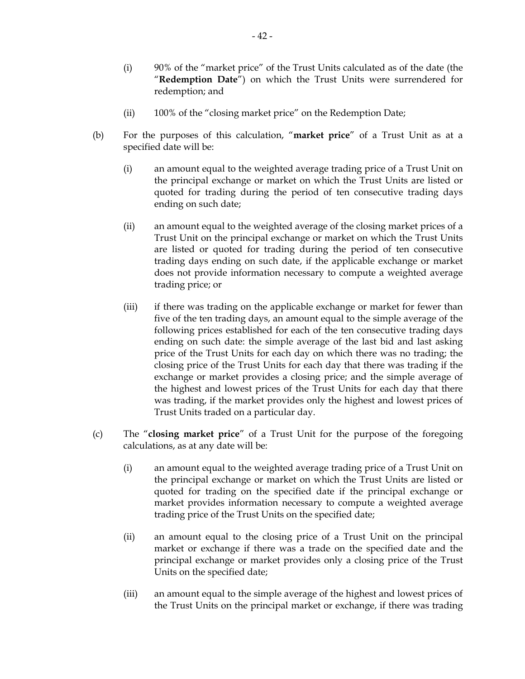- (i) 90% of the "market price" of the Trust Units calculated as of the date (the "**Redemption Date**") on which the Trust Units were surrendered for redemption; and
- (ii) 100% of the "closing market price" on the Redemption Date;
- (b) For the purposes of this calculation, "**market price**" of a Trust Unit as at a specified date will be:
	- (i) an amount equal to the weighted average trading price of a Trust Unit on the principal exchange or market on which the Trust Units are listed or quoted for trading during the period of ten consecutive trading days ending on such date;
	- (ii) an amount equal to the weighted average of the closing market prices of a Trust Unit on the principal exchange or market on which the Trust Units are listed or quoted for trading during the period of ten consecutive trading days ending on such date, if the applicable exchange or market does not provide information necessary to compute a weighted average trading price; or
	- (iii) if there was trading on the applicable exchange or market for fewer than five of the ten trading days, an amount equal to the simple average of the following prices established for each of the ten consecutive trading days ending on such date: the simple average of the last bid and last asking price of the Trust Units for each day on which there was no trading; the closing price of the Trust Units for each day that there was trading if the exchange or market provides a closing price; and the simple average of the highest and lowest prices of the Trust Units for each day that there was trading, if the market provides only the highest and lowest prices of Trust Units traded on a particular day.
- (c) The "**closing market price**" of a Trust Unit for the purpose of the foregoing calculations, as at any date will be:
	- (i) an amount equal to the weighted average trading price of a Trust Unit on the principal exchange or market on which the Trust Units are listed or quoted for trading on the specified date if the principal exchange or market provides information necessary to compute a weighted average trading price of the Trust Units on the specified date;
	- (ii) an amount equal to the closing price of a Trust Unit on the principal market or exchange if there was a trade on the specified date and the principal exchange or market provides only a closing price of the Trust Units on the specified date;
	- (iii) an amount equal to the simple average of the highest and lowest prices of the Trust Units on the principal market or exchange, if there was trading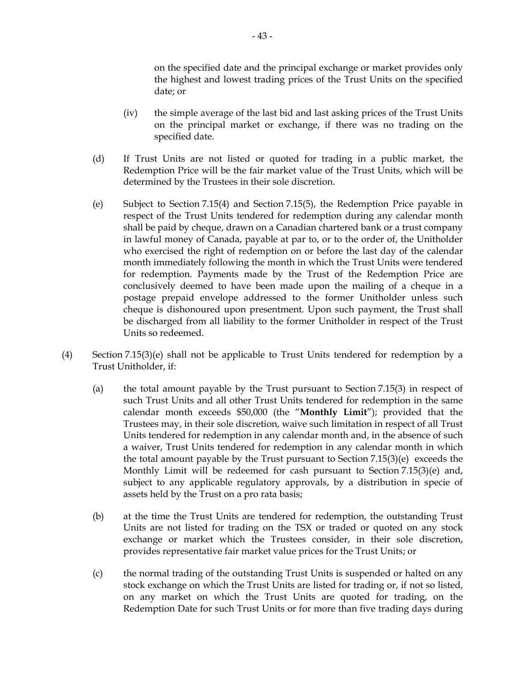on the specified date and the principal exchange or market provides only the highest and lowest trading prices of the Trust Units on the specified date; or

- (iv) the simple average of the last bid and last asking prices of the Trust Units on the principal market or exchange, if there was no trading on the specified date.
- (d) If Trust Units are not listed or quoted for trading in a public market, the Redemption Price will be the fair market value of the Trust Units, which will be determined by the Trustees in their sole discretion.
- (e) Subject to Section 7.15(4) and Section 7.15(5), the Redemption Price payable in respect of the Trust Units tendered for redemption during any calendar month shall be paid by cheque, drawn on a Canadian chartered bank or a trust company in lawful money of Canada, payable at par to, or to the order of, the Unitholder who exercised the right of redemption on or before the last day of the calendar month immediately following the month in which the Trust Units were tendered for redemption. Payments made by the Trust of the Redemption Price are conclusively deemed to have been made upon the mailing of a cheque in a postage prepaid envelope addressed to the former Unitholder unless such cheque is dishonoured upon presentment. Upon such payment, the Trust shall be discharged from all liability to the former Unitholder in respect of the Trust Units so redeemed.
- (4) Section 7.15(3)(e) shall not be applicable to Trust Units tendered for redemption by a Trust Unitholder, if:
	- (a) the total amount payable by the Trust pursuant to Section 7.15(3) in respect of such Trust Units and all other Trust Units tendered for redemption in the same calendar month exceeds \$50,000 (the "**Monthly Limit**"); provided that the Trustees may, in their sole discretion, waive such limitation in respect of all Trust Units tendered for redemption in any calendar month and, in the absence of such a waiver, Trust Units tendered for redemption in any calendar month in which the total amount payable by the Trust pursuant to Section 7.15(3)(e) exceeds the Monthly Limit will be redeemed for cash pursuant to Section 7.15(3)(e) and, subject to any applicable regulatory approvals, by a distribution in specie of assets held by the Trust on a pro rata basis;
	- (b) at the time the Trust Units are tendered for redemption, the outstanding Trust Units are not listed for trading on the TSX or traded or quoted on any stock exchange or market which the Trustees consider, in their sole discretion, provides representative fair market value prices for the Trust Units; or
	- (c) the normal trading of the outstanding Trust Units is suspended or halted on any stock exchange on which the Trust Units are listed for trading or, if not so listed, on any market on which the Trust Units are quoted for trading, on the Redemption Date for such Trust Units or for more than five trading days during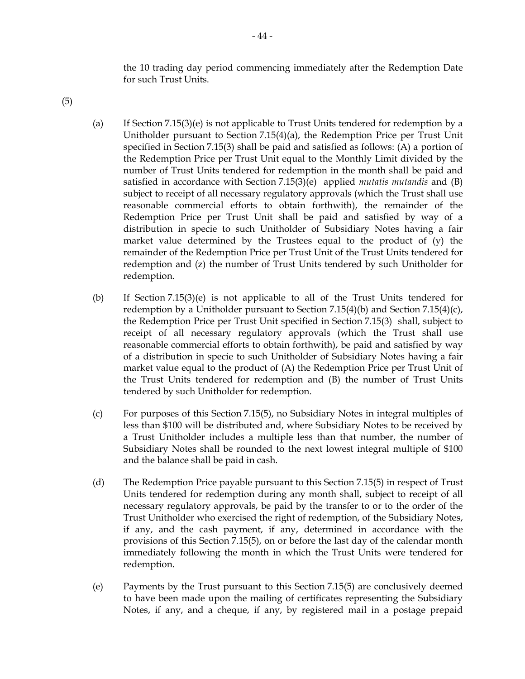the 10 trading day period commencing immediately after the Redemption Date for such Trust Units.

- (5)
- (a) If Section 7.15(3)(e) is not applicable to Trust Units tendered for redemption by a Unitholder pursuant to Section 7.15(4)(a), the Redemption Price per Trust Unit specified in Section 7.15(3) shall be paid and satisfied as follows: (A) a portion of the Redemption Price per Trust Unit equal to the Monthly Limit divided by the number of Trust Units tendered for redemption in the month shall be paid and satisfied in accordance with Section 7.15(3)(e) applied *mutatis mutandis* and (B) subject to receipt of all necessary regulatory approvals (which the Trust shall use reasonable commercial efforts to obtain forthwith), the remainder of the Redemption Price per Trust Unit shall be paid and satisfied by way of a distribution in specie to such Unitholder of Subsidiary Notes having a fair market value determined by the Trustees equal to the product of (y) the remainder of the Redemption Price per Trust Unit of the Trust Units tendered for redemption and (z) the number of Trust Units tendered by such Unitholder for redemption.
- (b) If Section 7.15(3)(e) is not applicable to all of the Trust Units tendered for redemption by a Unitholder pursuant to Section 7.15(4)(b) and Section 7.15(4)(c), the Redemption Price per Trust Unit specified in Section 7.15(3) shall, subject to receipt of all necessary regulatory approvals (which the Trust shall use reasonable commercial efforts to obtain forthwith), be paid and satisfied by way of a distribution in specie to such Unitholder of Subsidiary Notes having a fair market value equal to the product of (A) the Redemption Price per Trust Unit of the Trust Units tendered for redemption and (B) the number of Trust Units tendered by such Unitholder for redemption.
- (c) For purposes of this Section 7.15(5), no Subsidiary Notes in integral multiples of less than \$100 will be distributed and, where Subsidiary Notes to be received by a Trust Unitholder includes a multiple less than that number, the number of Subsidiary Notes shall be rounded to the next lowest integral multiple of \$100 and the balance shall be paid in cash.
- (d) The Redemption Price payable pursuant to this Section 7.15(5) in respect of Trust Units tendered for redemption during any month shall, subject to receipt of all necessary regulatory approvals, be paid by the transfer to or to the order of the Trust Unitholder who exercised the right of redemption, of the Subsidiary Notes, if any, and the cash payment, if any, determined in accordance with the provisions of this Section 7.15(5), on or before the last day of the calendar month immediately following the month in which the Trust Units were tendered for redemption.
- (e) Payments by the Trust pursuant to this Section 7.15(5) are conclusively deemed to have been made upon the mailing of certificates representing the Subsidiary Notes, if any, and a cheque, if any, by registered mail in a postage prepaid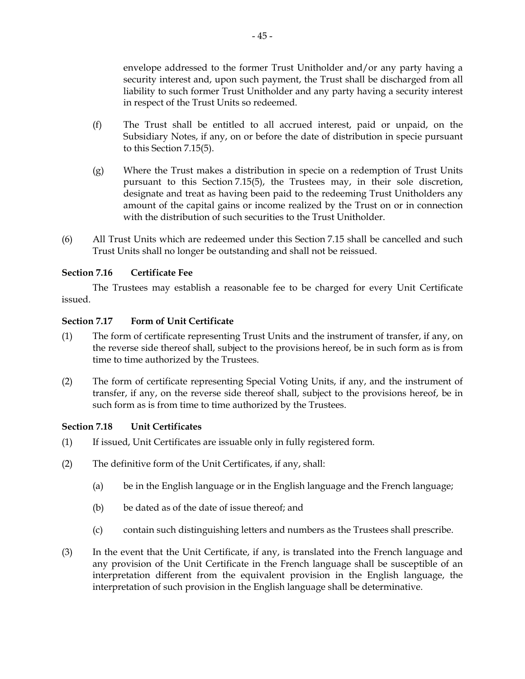envelope addressed to the former Trust Unitholder and/or any party having a security interest and, upon such payment, the Trust shall be discharged from all liability to such former Trust Unitholder and any party having a security interest in respect of the Trust Units so redeemed.

- (f) The Trust shall be entitled to all accrued interest, paid or unpaid, on the Subsidiary Notes, if any, on or before the date of distribution in specie pursuant to this Section 7.15(5).
- (g) Where the Trust makes a distribution in specie on a redemption of Trust Units pursuant to this Section 7.15(5), the Trustees may, in their sole discretion, designate and treat as having been paid to the redeeming Trust Unitholders any amount of the capital gains or income realized by the Trust on or in connection with the distribution of such securities to the Trust Unitholder.
- (6) All Trust Units which are redeemed under this Section 7.15 shall be cancelled and such Trust Units shall no longer be outstanding and shall not be reissued.

# **Section 7.16 Certificate Fee**

The Trustees may establish a reasonable fee to be charged for every Unit Certificate issued.

## **Section 7.17 Form of Unit Certificate**

- (1) The form of certificate representing Trust Units and the instrument of transfer, if any, on the reverse side thereof shall, subject to the provisions hereof, be in such form as is from time to time authorized by the Trustees.
- (2) The form of certificate representing Special Voting Units, if any, and the instrument of transfer, if any, on the reverse side thereof shall, subject to the provisions hereof, be in such form as is from time to time authorized by the Trustees.

## **Section 7.18 Unit Certificates**

- (1) If issued, Unit Certificates are issuable only in fully registered form.
- (2) The definitive form of the Unit Certificates, if any, shall:
	- (a) be in the English language or in the English language and the French language;
	- (b) be dated as of the date of issue thereof; and
	- (c) contain such distinguishing letters and numbers as the Trustees shall prescribe.
- (3) In the event that the Unit Certificate, if any, is translated into the French language and any provision of the Unit Certificate in the French language shall be susceptible of an interpretation different from the equivalent provision in the English language, the interpretation of such provision in the English language shall be determinative.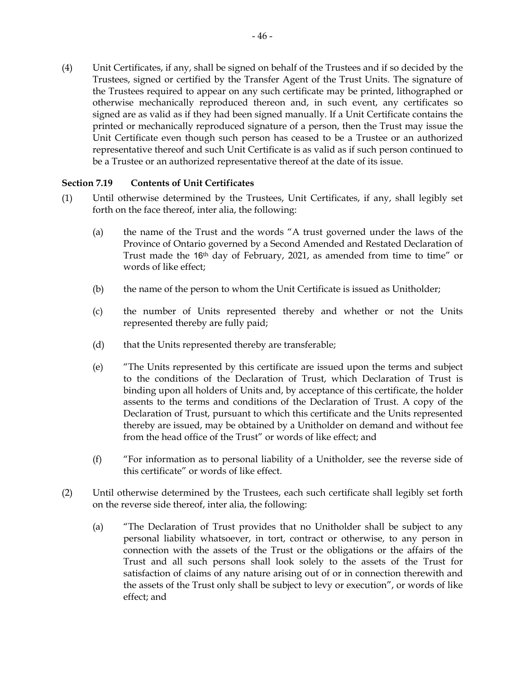(4) Unit Certificates, if any, shall be signed on behalf of the Trustees and if so decided by the Trustees, signed or certified by the Transfer Agent of the Trust Units. The signature of the Trustees required to appear on any such certificate may be printed, lithographed or otherwise mechanically reproduced thereon and, in such event, any certificates so signed are as valid as if they had been signed manually. If a Unit Certificate contains the printed or mechanically reproduced signature of a person, then the Trust may issue the Unit Certificate even though such person has ceased to be a Trustee or an authorized representative thereof and such Unit Certificate is as valid as if such person continued to be a Trustee or an authorized representative thereof at the date of its issue.

## **Section 7.19 Contents of Unit Certificates**

- (1) Until otherwise determined by the Trustees, Unit Certificates, if any, shall legibly set forth on the face thereof, inter alia, the following:
	- (a) the name of the Trust and the words "A trust governed under the laws of the Province of Ontario governed by a Second Amended and Restated Declaration of Trust made the 16th day of February, 2021, as amended from time to time" or words of like effect;
	- (b) the name of the person to whom the Unit Certificate is issued as Unitholder;
	- (c) the number of Units represented thereby and whether or not the Units represented thereby are fully paid;
	- (d) that the Units represented thereby are transferable;
	- (e) "The Units represented by this certificate are issued upon the terms and subject to the conditions of the Declaration of Trust, which Declaration of Trust is binding upon all holders of Units and, by acceptance of this certificate, the holder assents to the terms and conditions of the Declaration of Trust. A copy of the Declaration of Trust, pursuant to which this certificate and the Units represented thereby are issued, may be obtained by a Unitholder on demand and without fee from the head office of the Trust" or words of like effect; and
	- (f) "For information as to personal liability of a Unitholder, see the reverse side of this certificate" or words of like effect.
- (2) Until otherwise determined by the Trustees, each such certificate shall legibly set forth on the reverse side thereof, inter alia, the following:
	- (a) "The Declaration of Trust provides that no Unitholder shall be subject to any personal liability whatsoever, in tort, contract or otherwise, to any person in connection with the assets of the Trust or the obligations or the affairs of the Trust and all such persons shall look solely to the assets of the Trust for satisfaction of claims of any nature arising out of or in connection therewith and the assets of the Trust only shall be subject to levy or execution", or words of like effect; and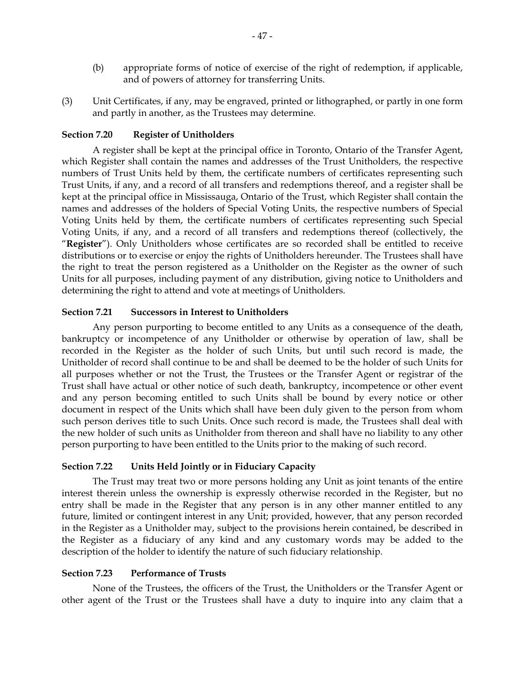- (b) appropriate forms of notice of exercise of the right of redemption, if applicable, and of powers of attorney for transferring Units.
- (3) Unit Certificates, if any, may be engraved, printed or lithographed, or partly in one form and partly in another, as the Trustees may determine.

#### **Section 7.20 Register of Unitholders**

A register shall be kept at the principal office in Toronto, Ontario of the Transfer Agent, which Register shall contain the names and addresses of the Trust Unitholders, the respective numbers of Trust Units held by them, the certificate numbers of certificates representing such Trust Units, if any, and a record of all transfers and redemptions thereof, and a register shall be kept at the principal office in Mississauga, Ontario of the Trust, which Register shall contain the names and addresses of the holders of Special Voting Units, the respective numbers of Special Voting Units held by them, the certificate numbers of certificates representing such Special Voting Units, if any, and a record of all transfers and redemptions thereof (collectively, the "**Register**"). Only Unitholders whose certificates are so recorded shall be entitled to receive distributions or to exercise or enjoy the rights of Unitholders hereunder. The Trustees shall have the right to treat the person registered as a Unitholder on the Register as the owner of such Units for all purposes, including payment of any distribution, giving notice to Unitholders and determining the right to attend and vote at meetings of Unitholders.

#### **Section 7.21 Successors in Interest to Unitholders**

Any person purporting to become entitled to any Units as a consequence of the death, bankruptcy or incompetence of any Unitholder or otherwise by operation of law, shall be recorded in the Register as the holder of such Units, but until such record is made, the Unitholder of record shall continue to be and shall be deemed to be the holder of such Units for all purposes whether or not the Trust, the Trustees or the Transfer Agent or registrar of the Trust shall have actual or other notice of such death, bankruptcy, incompetence or other event and any person becoming entitled to such Units shall be bound by every notice or other document in respect of the Units which shall have been duly given to the person from whom such person derives title to such Units. Once such record is made, the Trustees shall deal with the new holder of such units as Unitholder from thereon and shall have no liability to any other person purporting to have been entitled to the Units prior to the making of such record.

### **Section 7.22 Units Held Jointly or in Fiduciary Capacity**

The Trust may treat two or more persons holding any Unit as joint tenants of the entire interest therein unless the ownership is expressly otherwise recorded in the Register, but no entry shall be made in the Register that any person is in any other manner entitled to any future, limited or contingent interest in any Unit; provided, however, that any person recorded in the Register as a Unitholder may, subject to the provisions herein contained, be described in the Register as a fiduciary of any kind and any customary words may be added to the description of the holder to identify the nature of such fiduciary relationship.

#### **Section 7.23 Performance of Trusts**

None of the Trustees, the officers of the Trust, the Unitholders or the Transfer Agent or other agent of the Trust or the Trustees shall have a duty to inquire into any claim that a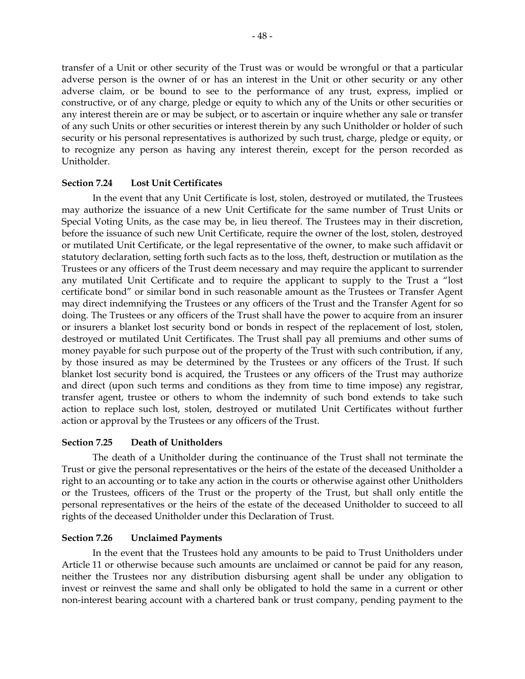transfer of a Unit or other security of the Trust was or would be wrongful or that a particular adverse person is the owner of or has an interest in the Unit or other security or any other adverse claim, or be bound to see to the performance of any trust, express, implied or constructive, or of any charge, pledge or equity to which any of the Units or other securities or any interest therein are or may be subject, or to ascertain or inquire whether any sale or transfer of any such Units or other securities or interest therein by any such Unitholder or holder of such security or his personal representatives is authorized by such trust, charge, pledge or equity, or to recognize any person as having any interest therein, except for the person recorded as Unitholder.

### **Section 7.24 Lost Unit Certificates**

In the event that any Unit Certificate is lost, stolen, destroyed or mutilated, the Trustees may authorize the issuance of a new Unit Certificate for the same number of Trust Units or Special Voting Units, as the case may be, in lieu thereof. The Trustees may in their discretion, before the issuance of such new Unit Certificate, require the owner of the lost, stolen, destroyed or mutilated Unit Certificate, or the legal representative of the owner, to make such affidavit or statutory declaration, setting forth such facts as to the loss, theft, destruction or mutilation as the Trustees or any officers of the Trust deem necessary and may require the applicant to surrender any mutilated Unit Certificate and to require the applicant to supply to the Trust a "lost certificate bond" or similar bond in such reasonable amount as the Trustees or Transfer Agent may direct indemnifying the Trustees or any officers of the Trust and the Transfer Agent for so doing. The Trustees or any officers of the Trust shall have the power to acquire from an insurer or insurers a blanket lost security bond or bonds in respect of the replacement of lost, stolen, destroyed or mutilated Unit Certificates. The Trust shall pay all premiums and other sums of money payable for such purpose out of the property of the Trust with such contribution, if any, by those insured as may be determined by the Trustees or any officers of the Trust. If such blanket lost security bond is acquired, the Trustees or any officers of the Trust may authorize and direct (upon such terms and conditions as they from time to time impose) any registrar, transfer agent, trustee or others to whom the indemnity of such bond extends to take such action to replace such lost, stolen, destroyed or mutilated Unit Certificates without further action or approval by the Trustees or any officers of the Trust.

#### **Section 7.25 Death of Unitholders**

The death of a Unitholder during the continuance of the Trust shall not terminate the Trust or give the personal representatives or the heirs of the estate of the deceased Unitholder a right to an accounting or to take any action in the courts or otherwise against other Unitholders or the Trustees, officers of the Trust or the property of the Trust, but shall only entitle the personal representatives or the heirs of the estate of the deceased Unitholder to succeed to all rights of the deceased Unitholder under this Declaration of Trust.

#### **Section 7.26 Unclaimed Payments**

In the event that the Trustees hold any amounts to be paid to Trust Unitholders under Article 11 or otherwise because such amounts are unclaimed or cannot be paid for any reason, neither the Trustees nor any distribution disbursing agent shall be under any obligation to invest or reinvest the same and shall only be obligated to hold the same in a current or other non-interest bearing account with a chartered bank or trust company, pending payment to the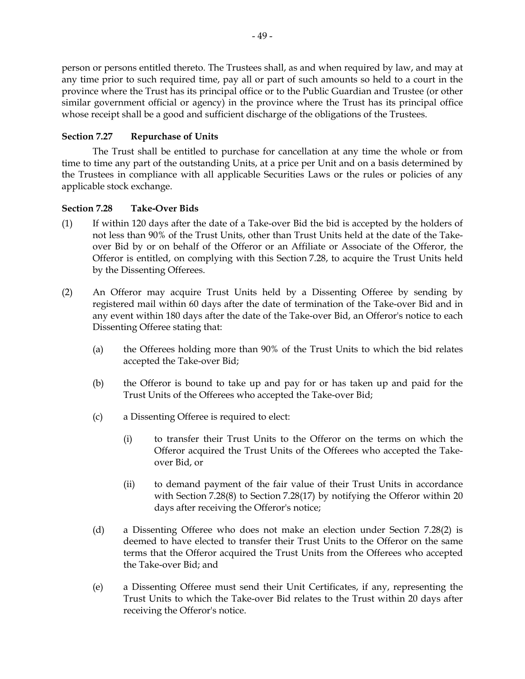person or persons entitled thereto. The Trustees shall, as and when required by law, and may at any time prior to such required time, pay all or part of such amounts so held to a court in the province where the Trust has its principal office or to the Public Guardian and Trustee (or other similar government official or agency) in the province where the Trust has its principal office whose receipt shall be a good and sufficient discharge of the obligations of the Trustees.

# **Section 7.27 Repurchase of Units**

The Trust shall be entitled to purchase for cancellation at any time the whole or from time to time any part of the outstanding Units, at a price per Unit and on a basis determined by the Trustees in compliance with all applicable Securities Laws or the rules or policies of any applicable stock exchange.

## **Section 7.28 Take-Over Bids**

- (1) If within 120 days after the date of a Take-over Bid the bid is accepted by the holders of not less than 90% of the Trust Units, other than Trust Units held at the date of the Takeover Bid by or on behalf of the Offeror or an Affiliate or Associate of the Offeror, the Offeror is entitled, on complying with this Section 7.28, to acquire the Trust Units held by the Dissenting Offerees.
- (2) An Offeror may acquire Trust Units held by a Dissenting Offeree by sending by registered mail within 60 days after the date of termination of the Take-over Bid and in any event within 180 days after the date of the Take-over Bid, an Offeror's notice to each Dissenting Offeree stating that:
	- (a) the Offerees holding more than 90% of the Trust Units to which the bid relates accepted the Take-over Bid;
	- (b) the Offeror is bound to take up and pay for or has taken up and paid for the Trust Units of the Offerees who accepted the Take-over Bid;
	- (c) a Dissenting Offeree is required to elect:
		- (i) to transfer their Trust Units to the Offeror on the terms on which the Offeror acquired the Trust Units of the Offerees who accepted the Takeover Bid, or
		- (ii) to demand payment of the fair value of their Trust Units in accordance with Section 7.28(8) to Section 7.28(17) by notifying the Offeror within 20 days after receiving the Offeror's notice;
	- (d) a Dissenting Offeree who does not make an election under Section 7.28(2) is deemed to have elected to transfer their Trust Units to the Offeror on the same terms that the Offeror acquired the Trust Units from the Offerees who accepted the Take-over Bid; and
	- (e) a Dissenting Offeree must send their Unit Certificates, if any, representing the Trust Units to which the Take-over Bid relates to the Trust within 20 days after receiving the Offeror's notice.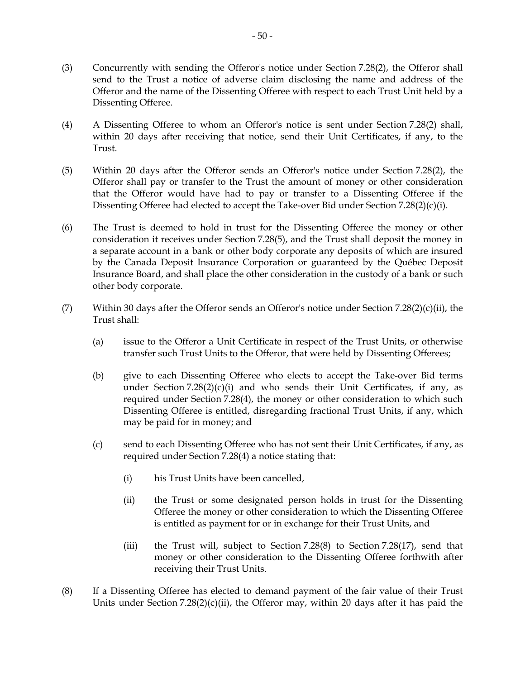- (3) Concurrently with sending the Offeror's notice under Section 7.28(2), the Offeror shall send to the Trust a notice of adverse claim disclosing the name and address of the Offeror and the name of the Dissenting Offeree with respect to each Trust Unit held by a Dissenting Offeree.
- (4) A Dissenting Offeree to whom an Offeror's notice is sent under Section 7.28(2) shall, within 20 days after receiving that notice, send their Unit Certificates, if any, to the Trust.
- (5) Within 20 days after the Offeror sends an Offeror's notice under Section 7.28(2), the Offeror shall pay or transfer to the Trust the amount of money or other consideration that the Offeror would have had to pay or transfer to a Dissenting Offeree if the Dissenting Offeree had elected to accept the Take-over Bid under Section 7.28(2)(c)(i).
- (6) The Trust is deemed to hold in trust for the Dissenting Offeree the money or other consideration it receives under Section 7.28(5), and the Trust shall deposit the money in a separate account in a bank or other body corporate any deposits of which are insured by the Canada Deposit Insurance Corporation or guaranteed by the Québec Deposit Insurance Board, and shall place the other consideration in the custody of a bank or such other body corporate.
- (7) Within 30 days after the Offeror sends an Offeror's notice under Section 7.28(2)(c)(ii), the Trust shall:
	- (a) issue to the Offeror a Unit Certificate in respect of the Trust Units, or otherwise transfer such Trust Units to the Offeror, that were held by Dissenting Offerees;
	- (b) give to each Dissenting Offeree who elects to accept the Take-over Bid terms under Section  $7.28(2)(c)(i)$  and who sends their Unit Certificates, if any, as required under Section 7.28(4), the money or other consideration to which such Dissenting Offeree is entitled, disregarding fractional Trust Units, if any, which may be paid for in money; and
	- (c) send to each Dissenting Offeree who has not sent their Unit Certificates, if any, as required under Section 7.28(4) a notice stating that:
		- (i) his Trust Units have been cancelled,
		- (ii) the Trust or some designated person holds in trust for the Dissenting Offeree the money or other consideration to which the Dissenting Offeree is entitled as payment for or in exchange for their Trust Units, and
		- (iii) the Trust will, subject to Section 7.28(8) to Section 7.28(17), send that money or other consideration to the Dissenting Offeree forthwith after receiving their Trust Units.
- (8) If a Dissenting Offeree has elected to demand payment of the fair value of their Trust Units under Section  $7.28(2)(c)(ii)$ , the Offeror may, within 20 days after it has paid the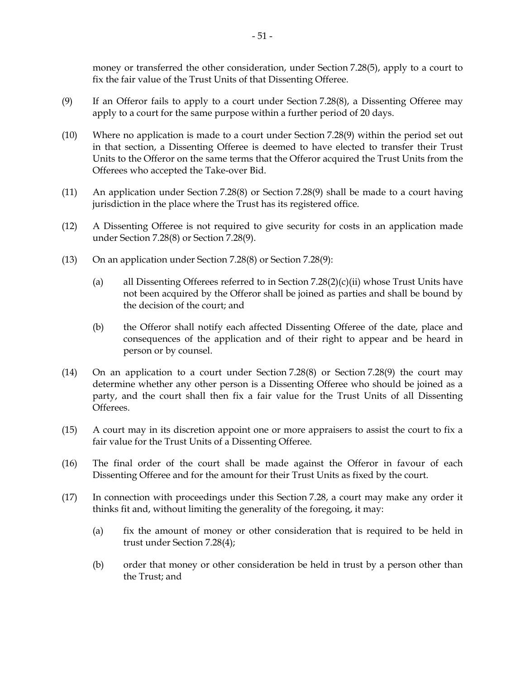money or transferred the other consideration, under Section 7.28(5), apply to a court to fix the fair value of the Trust Units of that Dissenting Offeree.

- (9) If an Offeror fails to apply to a court under Section 7.28(8), a Dissenting Offeree may apply to a court for the same purpose within a further period of 20 days.
- (10) Where no application is made to a court under Section 7.28(9) within the period set out in that section, a Dissenting Offeree is deemed to have elected to transfer their Trust Units to the Offeror on the same terms that the Offeror acquired the Trust Units from the Offerees who accepted the Take-over Bid.
- (11) An application under Section 7.28(8) or Section 7.28(9) shall be made to a court having jurisdiction in the place where the Trust has its registered office.
- (12) A Dissenting Offeree is not required to give security for costs in an application made under Section 7.28(8) or Section 7.28(9).
- (13) On an application under Section 7.28(8) or Section 7.28(9):
	- (a) all Dissenting Offerees referred to in Section 7.28(2)(c)(ii) whose Trust Units have not been acquired by the Offeror shall be joined as parties and shall be bound by the decision of the court; and
	- (b) the Offeror shall notify each affected Dissenting Offeree of the date, place and consequences of the application and of their right to appear and be heard in person or by counsel.
- (14) On an application to a court under Section 7.28(8) or Section 7.28(9) the court may determine whether any other person is a Dissenting Offeree who should be joined as a party, and the court shall then fix a fair value for the Trust Units of all Dissenting Offerees.
- (15) A court may in its discretion appoint one or more appraisers to assist the court to fix a fair value for the Trust Units of a Dissenting Offeree.
- (16) The final order of the court shall be made against the Offeror in favour of each Dissenting Offeree and for the amount for their Trust Units as fixed by the court.
- (17) In connection with proceedings under this Section 7.28, a court may make any order it thinks fit and, without limiting the generality of the foregoing, it may:
	- (a) fix the amount of money or other consideration that is required to be held in trust under Section 7.28(4);
	- (b) order that money or other consideration be held in trust by a person other than the Trust; and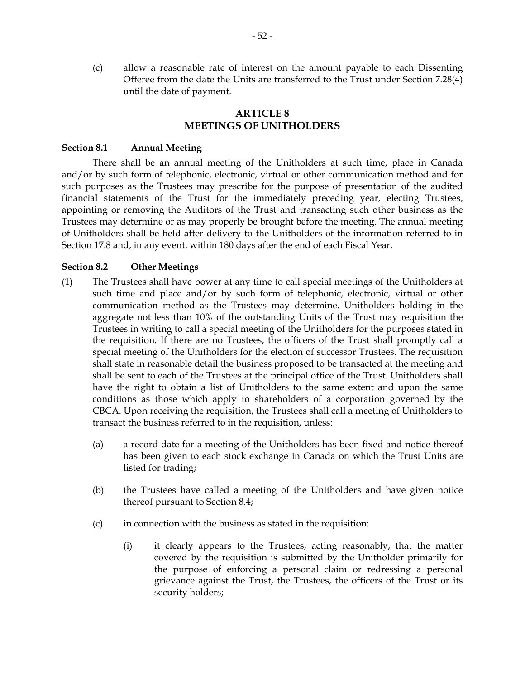(c) allow a reasonable rate of interest on the amount payable to each Dissenting Offeree from the date the Units are transferred to the Trust under Section 7.28(4) until the date of payment.

# **ARTICLE 8 MEETINGS OF UNITHOLDERS**

### **Section 8.1 Annual Meeting**

There shall be an annual meeting of the Unitholders at such time, place in Canada and/or by such form of telephonic, electronic, virtual or other communication method and for such purposes as the Trustees may prescribe for the purpose of presentation of the audited financial statements of the Trust for the immediately preceding year, electing Trustees, appointing or removing the Auditors of the Trust and transacting such other business as the Trustees may determine or as may properly be brought before the meeting. The annual meeting of Unitholders shall be held after delivery to the Unitholders of the information referred to in Section 17.8 and, in any event, within 180 days after the end of each Fiscal Year.

### **Section 8.2 Other Meetings**

- (1) The Trustees shall have power at any time to call special meetings of the Unitholders at such time and place and/or by such form of telephonic, electronic, virtual or other communication method as the Trustees may determine. Unitholders holding in the aggregate not less than 10% of the outstanding Units of the Trust may requisition the Trustees in writing to call a special meeting of the Unitholders for the purposes stated in the requisition. If there are no Trustees, the officers of the Trust shall promptly call a special meeting of the Unitholders for the election of successor Trustees. The requisition shall state in reasonable detail the business proposed to be transacted at the meeting and shall be sent to each of the Trustees at the principal office of the Trust. Unitholders shall have the right to obtain a list of Unitholders to the same extent and upon the same conditions as those which apply to shareholders of a corporation governed by the CBCA. Upon receiving the requisition, the Trustees shall call a meeting of Unitholders to transact the business referred to in the requisition, unless:
	- (a) a record date for a meeting of the Unitholders has been fixed and notice thereof has been given to each stock exchange in Canada on which the Trust Units are listed for trading;
	- (b) the Trustees have called a meeting of the Unitholders and have given notice thereof pursuant to Section 8.4;
	- (c) in connection with the business as stated in the requisition:
		- (i) it clearly appears to the Trustees, acting reasonably, that the matter covered by the requisition is submitted by the Unitholder primarily for the purpose of enforcing a personal claim or redressing a personal grievance against the Trust, the Trustees, the officers of the Trust or its security holders;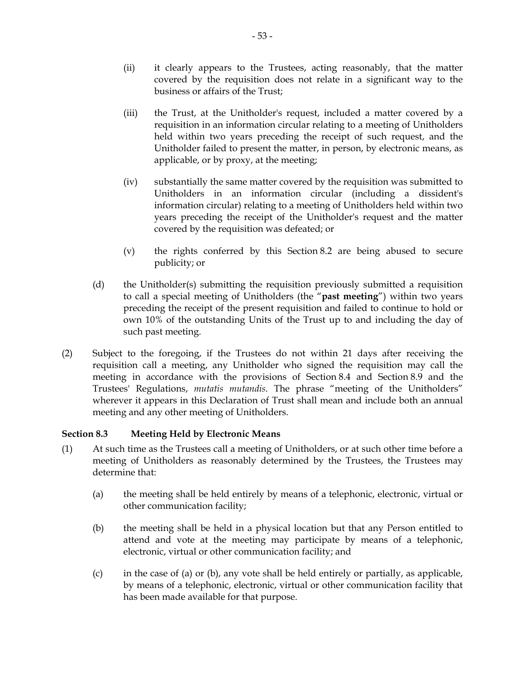- (ii) it clearly appears to the Trustees, acting reasonably, that the matter covered by the requisition does not relate in a significant way to the business or affairs of the Trust;
- (iii) the Trust, at the Unitholder's request, included a matter covered by a requisition in an information circular relating to a meeting of Unitholders held within two years preceding the receipt of such request, and the Unitholder failed to present the matter, in person, by electronic means, as applicable, or by proxy, at the meeting;
- (iv) substantially the same matter covered by the requisition was submitted to Unitholders in an information circular (including a dissident's information circular) relating to a meeting of Unitholders held within two years preceding the receipt of the Unitholder's request and the matter covered by the requisition was defeated; or
- (v) the rights conferred by this Section 8.2 are being abused to secure publicity; or
- (d) the Unitholder(s) submitting the requisition previously submitted a requisition to call a special meeting of Unitholders (the "**past meeting**") within two years preceding the receipt of the present requisition and failed to continue to hold or own 10% of the outstanding Units of the Trust up to and including the day of such past meeting.
- (2) Subject to the foregoing, if the Trustees do not within 21 days after receiving the requisition call a meeting, any Unitholder who signed the requisition may call the meeting in accordance with the provisions of Section 8.4 and Section 8.9 and the Trustees' Regulations, *mutatis mutandis*. The phrase "meeting of the Unitholders" wherever it appears in this Declaration of Trust shall mean and include both an annual meeting and any other meeting of Unitholders.

# **Section 8.3 Meeting Held by Electronic Means**

- (1) At such time as the Trustees call a meeting of Unitholders, or at such other time before a meeting of Unitholders as reasonably determined by the Trustees, the Trustees may determine that:
	- (a) the meeting shall be held entirely by means of a telephonic, electronic, virtual or other communication facility;
	- (b) the meeting shall be held in a physical location but that any Person entitled to attend and vote at the meeting may participate by means of a telephonic, electronic, virtual or other communication facility; and
	- (c) in the case of (a) or (b), any vote shall be held entirely or partially, as applicable, by means of a telephonic, electronic, virtual or other communication facility that has been made available for that purpose.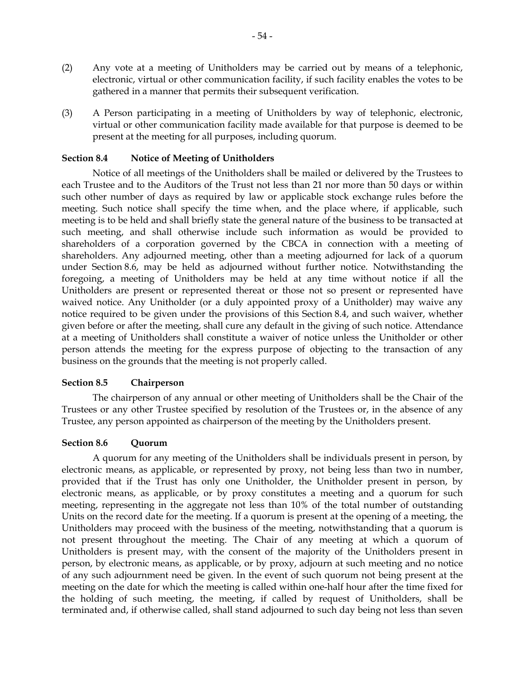- (2) Any vote at a meeting of Unitholders may be carried out by means of a telephonic, electronic, virtual or other communication facility, if such facility enables the votes to be gathered in a manner that permits their subsequent verification.
- (3) A Person participating in a meeting of Unitholders by way of telephonic, electronic, virtual or other communication facility made available for that purpose is deemed to be present at the meeting for all purposes, including quorum.

### **Section 8.4 Notice of Meeting of Unitholders**

Notice of all meetings of the Unitholders shall be mailed or delivered by the Trustees to each Trustee and to the Auditors of the Trust not less than 21 nor more than 50 days or within such other number of days as required by law or applicable stock exchange rules before the meeting. Such notice shall specify the time when, and the place where, if applicable, such meeting is to be held and shall briefly state the general nature of the business to be transacted at such meeting, and shall otherwise include such information as would be provided to shareholders of a corporation governed by the CBCA in connection with a meeting of shareholders. Any adjourned meeting, other than a meeting adjourned for lack of a quorum under Section 8.6, may be held as adjourned without further notice. Notwithstanding the foregoing, a meeting of Unitholders may be held at any time without notice if all the Unitholders are present or represented thereat or those not so present or represented have waived notice. Any Unitholder (or a duly appointed proxy of a Unitholder) may waive any notice required to be given under the provisions of this Section 8.4, and such waiver, whether given before or after the meeting, shall cure any default in the giving of such notice. Attendance at a meeting of Unitholders shall constitute a waiver of notice unless the Unitholder or other person attends the meeting for the express purpose of objecting to the transaction of any business on the grounds that the meeting is not properly called.

### **Section 8.5 Chairperson**

The chairperson of any annual or other meeting of Unitholders shall be the Chair of the Trustees or any other Trustee specified by resolution of the Trustees or, in the absence of any Trustee, any person appointed as chairperson of the meeting by the Unitholders present.

### **Section 8.6 Quorum**

A quorum for any meeting of the Unitholders shall be individuals present in person, by electronic means, as applicable, or represented by proxy, not being less than two in number, provided that if the Trust has only one Unitholder, the Unitholder present in person, by electronic means, as applicable, or by proxy constitutes a meeting and a quorum for such meeting, representing in the aggregate not less than 10% of the total number of outstanding Units on the record date for the meeting. If a quorum is present at the opening of a meeting, the Unitholders may proceed with the business of the meeting, notwithstanding that a quorum is not present throughout the meeting. The Chair of any meeting at which a quorum of Unitholders is present may, with the consent of the majority of the Unitholders present in person, by electronic means, as applicable, or by proxy, adjourn at such meeting and no notice of any such adjournment need be given. In the event of such quorum not being present at the meeting on the date for which the meeting is called within one-half hour after the time fixed for the holding of such meeting, the meeting, if called by request of Unitholders, shall be terminated and, if otherwise called, shall stand adjourned to such day being not less than seven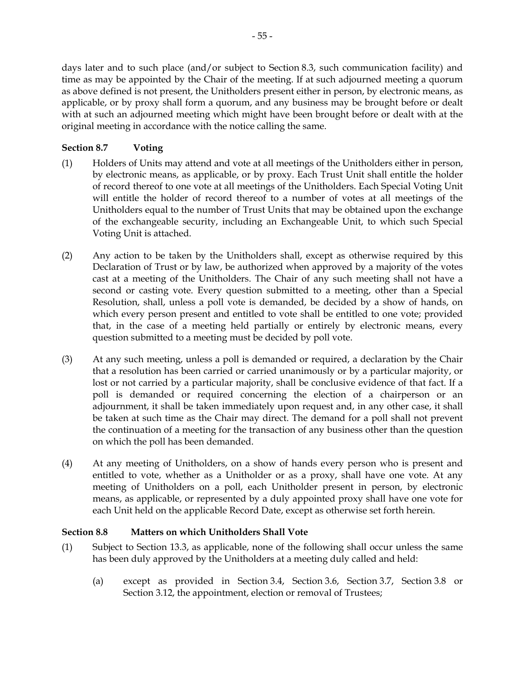days later and to such place (and/or subject to Section 8.3, such communication facility) and time as may be appointed by the Chair of the meeting. If at such adjourned meeting a quorum as above defined is not present, the Unitholders present either in person, by electronic means, as applicable, or by proxy shall form a quorum, and any business may be brought before or dealt with at such an adjourned meeting which might have been brought before or dealt with at the original meeting in accordance with the notice calling the same.

# **Section 8.7 Voting**

- (1) Holders of Units may attend and vote at all meetings of the Unitholders either in person, by electronic means, as applicable, or by proxy. Each Trust Unit shall entitle the holder of record thereof to one vote at all meetings of the Unitholders. Each Special Voting Unit will entitle the holder of record thereof to a number of votes at all meetings of the Unitholders equal to the number of Trust Units that may be obtained upon the exchange of the exchangeable security, including an Exchangeable Unit, to which such Special Voting Unit is attached.
- (2) Any action to be taken by the Unitholders shall, except as otherwise required by this Declaration of Trust or by law, be authorized when approved by a majority of the votes cast at a meeting of the Unitholders. The Chair of any such meeting shall not have a second or casting vote. Every question submitted to a meeting, other than a Special Resolution, shall, unless a poll vote is demanded, be decided by a show of hands, on which every person present and entitled to vote shall be entitled to one vote; provided that, in the case of a meeting held partially or entirely by electronic means, every question submitted to a meeting must be decided by poll vote.
- (3) At any such meeting, unless a poll is demanded or required, a declaration by the Chair that a resolution has been carried or carried unanimously or by a particular majority, or lost or not carried by a particular majority, shall be conclusive evidence of that fact. If a poll is demanded or required concerning the election of a chairperson or an adjournment, it shall be taken immediately upon request and, in any other case, it shall be taken at such time as the Chair may direct. The demand for a poll shall not prevent the continuation of a meeting for the transaction of any business other than the question on which the poll has been demanded.
- (4) At any meeting of Unitholders, on a show of hands every person who is present and entitled to vote, whether as a Unitholder or as a proxy, shall have one vote. At any meeting of Unitholders on a poll, each Unitholder present in person, by electronic means, as applicable, or represented by a duly appointed proxy shall have one vote for each Unit held on the applicable Record Date, except as otherwise set forth herein.

## **Section 8.8 Matters on which Unitholders Shall Vote**

- (1) Subject to Section 13.3, as applicable, none of the following shall occur unless the same has been duly approved by the Unitholders at a meeting duly called and held:
	- (a) except as provided in Section 3.4, Section 3.6, Section 3.7, Section 3.8 or Section 3.12, the appointment, election or removal of Trustees;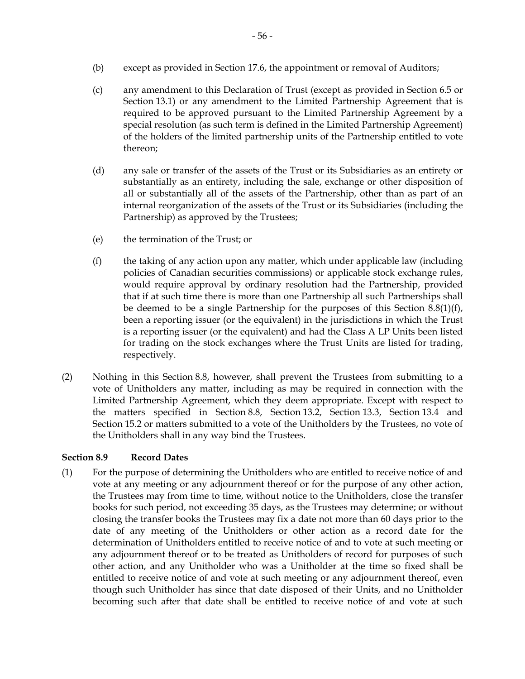- (b) except as provided in Section 17.6, the appointment or removal of Auditors;
- (c) any amendment to this Declaration of Trust (except as provided in Section 6.5 or Section 13.1) or any amendment to the Limited Partnership Agreement that is required to be approved pursuant to the Limited Partnership Agreement by a special resolution (as such term is defined in the Limited Partnership Agreement) of the holders of the limited partnership units of the Partnership entitled to vote thereon;
- (d) any sale or transfer of the assets of the Trust or its Subsidiaries as an entirety or substantially as an entirety, including the sale, exchange or other disposition of all or substantially all of the assets of the Partnership, other than as part of an internal reorganization of the assets of the Trust or its Subsidiaries (including the Partnership) as approved by the Trustees;
- (e) the termination of the Trust; or
- (f) the taking of any action upon any matter, which under applicable law (including policies of Canadian securities commissions) or applicable stock exchange rules, would require approval by ordinary resolution had the Partnership, provided that if at such time there is more than one Partnership all such Partnerships shall be deemed to be a single Partnership for the purposes of this Section  $8.8(1)(f)$ , been a reporting issuer (or the equivalent) in the jurisdictions in which the Trust is a reporting issuer (or the equivalent) and had the Class A LP Units been listed for trading on the stock exchanges where the Trust Units are listed for trading, respectively.
- (2) Nothing in this Section 8.8, however, shall prevent the Trustees from submitting to a vote of Unitholders any matter, including as may be required in connection with the Limited Partnership Agreement, which they deem appropriate. Except with respect to the matters specified in Section 8.8, Section 13.2, Section 13.3, Section 13.4 and Section 15.2 or matters submitted to a vote of the Unitholders by the Trustees, no vote of the Unitholders shall in any way bind the Trustees.

## **Section 8.9 Record Dates**

(1) For the purpose of determining the Unitholders who are entitled to receive notice of and vote at any meeting or any adjournment thereof or for the purpose of any other action, the Trustees may from time to time, without notice to the Unitholders, close the transfer books for such period, not exceeding 35 days, as the Trustees may determine; or without closing the transfer books the Trustees may fix a date not more than 60 days prior to the date of any meeting of the Unitholders or other action as a record date for the determination of Unitholders entitled to receive notice of and to vote at such meeting or any adjournment thereof or to be treated as Unitholders of record for purposes of such other action, and any Unitholder who was a Unitholder at the time so fixed shall be entitled to receive notice of and vote at such meeting or any adjournment thereof, even though such Unitholder has since that date disposed of their Units, and no Unitholder becoming such after that date shall be entitled to receive notice of and vote at such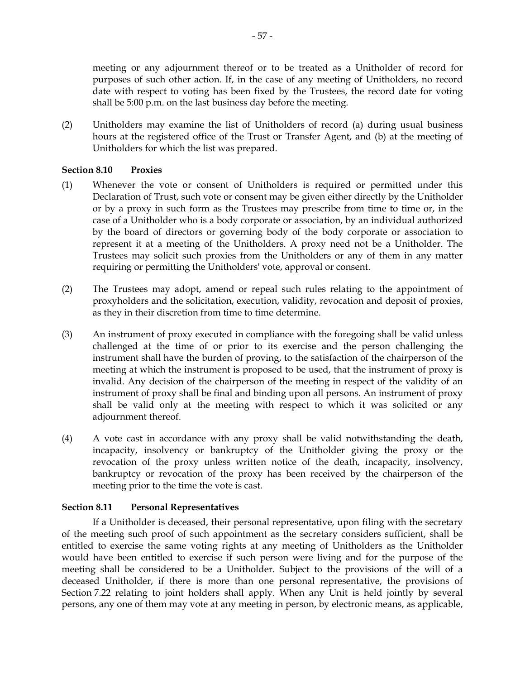meeting or any adjournment thereof or to be treated as a Unitholder of record for purposes of such other action. If, in the case of any meeting of Unitholders, no record date with respect to voting has been fixed by the Trustees, the record date for voting shall be 5:00 p.m. on the last business day before the meeting.

(2) Unitholders may examine the list of Unitholders of record (a) during usual business hours at the registered office of the Trust or Transfer Agent, and (b) at the meeting of Unitholders for which the list was prepared.

### **Section 8.10 Proxies**

- (1) Whenever the vote or consent of Unitholders is required or permitted under this Declaration of Trust, such vote or consent may be given either directly by the Unitholder or by a proxy in such form as the Trustees may prescribe from time to time or, in the case of a Unitholder who is a body corporate or association, by an individual authorized by the board of directors or governing body of the body corporate or association to represent it at a meeting of the Unitholders. A proxy need not be a Unitholder. The Trustees may solicit such proxies from the Unitholders or any of them in any matter requiring or permitting the Unitholders' vote, approval or consent.
- (2) The Trustees may adopt, amend or repeal such rules relating to the appointment of proxyholders and the solicitation, execution, validity, revocation and deposit of proxies, as they in their discretion from time to time determine.
- (3) An instrument of proxy executed in compliance with the foregoing shall be valid unless challenged at the time of or prior to its exercise and the person challenging the instrument shall have the burden of proving, to the satisfaction of the chairperson of the meeting at which the instrument is proposed to be used, that the instrument of proxy is invalid. Any decision of the chairperson of the meeting in respect of the validity of an instrument of proxy shall be final and binding upon all persons. An instrument of proxy shall be valid only at the meeting with respect to which it was solicited or any adjournment thereof.
- (4) A vote cast in accordance with any proxy shall be valid notwithstanding the death, incapacity, insolvency or bankruptcy of the Unitholder giving the proxy or the revocation of the proxy unless written notice of the death, incapacity, insolvency, bankruptcy or revocation of the proxy has been received by the chairperson of the meeting prior to the time the vote is cast.

## **Section 8.11 Personal Representatives**

If a Unitholder is deceased, their personal representative, upon filing with the secretary of the meeting such proof of such appointment as the secretary considers sufficient, shall be entitled to exercise the same voting rights at any meeting of Unitholders as the Unitholder would have been entitled to exercise if such person were living and for the purpose of the meeting shall be considered to be a Unitholder. Subject to the provisions of the will of a deceased Unitholder, if there is more than one personal representative, the provisions of Section 7.22 relating to joint holders shall apply. When any Unit is held jointly by several persons, any one of them may vote at any meeting in person, by electronic means, as applicable,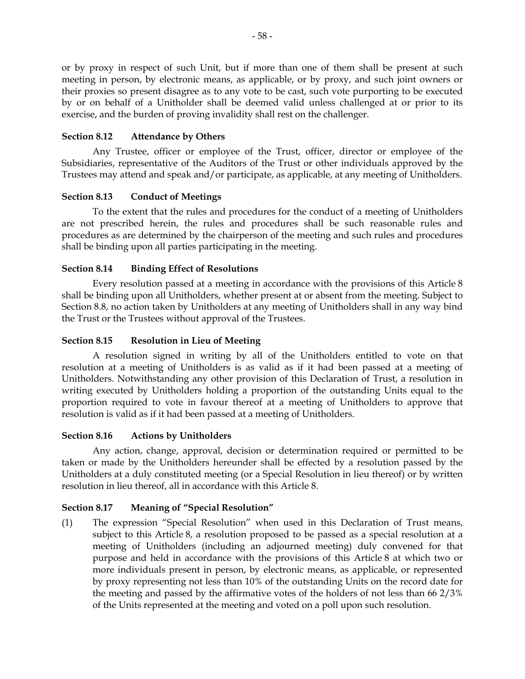or by proxy in respect of such Unit, but if more than one of them shall be present at such meeting in person, by electronic means, as applicable, or by proxy, and such joint owners or their proxies so present disagree as to any vote to be cast, such vote purporting to be executed by or on behalf of a Unitholder shall be deemed valid unless challenged at or prior to its exercise, and the burden of proving invalidity shall rest on the challenger.

## **Section 8.12 Attendance by Others**

Any Trustee, officer or employee of the Trust, officer, director or employee of the Subsidiaries, representative of the Auditors of the Trust or other individuals approved by the Trustees may attend and speak and/or participate, as applicable, at any meeting of Unitholders.

### **Section 8.13 Conduct of Meetings**

To the extent that the rules and procedures for the conduct of a meeting of Unitholders are not prescribed herein, the rules and procedures shall be such reasonable rules and procedures as are determined by the chairperson of the meeting and such rules and procedures shall be binding upon all parties participating in the meeting.

## **Section 8.14 Binding Effect of Resolutions**

Every resolution passed at a meeting in accordance with the provisions of this Article 8 shall be binding upon all Unitholders, whether present at or absent from the meeting. Subject to Section 8.8, no action taken by Unitholders at any meeting of Unitholders shall in any way bind the Trust or the Trustees without approval of the Trustees.

### **Section 8.15 Resolution in Lieu of Meeting**

A resolution signed in writing by all of the Unitholders entitled to vote on that resolution at a meeting of Unitholders is as valid as if it had been passed at a meeting of Unitholders. Notwithstanding any other provision of this Declaration of Trust, a resolution in writing executed by Unitholders holding a proportion of the outstanding Units equal to the proportion required to vote in favour thereof at a meeting of Unitholders to approve that resolution is valid as if it had been passed at a meeting of Unitholders.

### **Section 8.16 Actions by Unitholders**

Any action, change, approval, decision or determination required or permitted to be taken or made by the Unitholders hereunder shall be effected by a resolution passed by the Unitholders at a duly constituted meeting (or a Special Resolution in lieu thereof) or by written resolution in lieu thereof, all in accordance with this Article 8.

### **Section 8.17 Meaning of "Special Resolution"**

(1) The expression "Special Resolution" when used in this Declaration of Trust means, subject to this Article 8, a resolution proposed to be passed as a special resolution at a meeting of Unitholders (including an adjourned meeting) duly convened for that purpose and held in accordance with the provisions of this Article 8 at which two or more individuals present in person, by electronic means, as applicable, or represented by proxy representing not less than 10% of the outstanding Units on the record date for the meeting and passed by the affirmative votes of the holders of not less than 66 2/3% of the Units represented at the meeting and voted on a poll upon such resolution.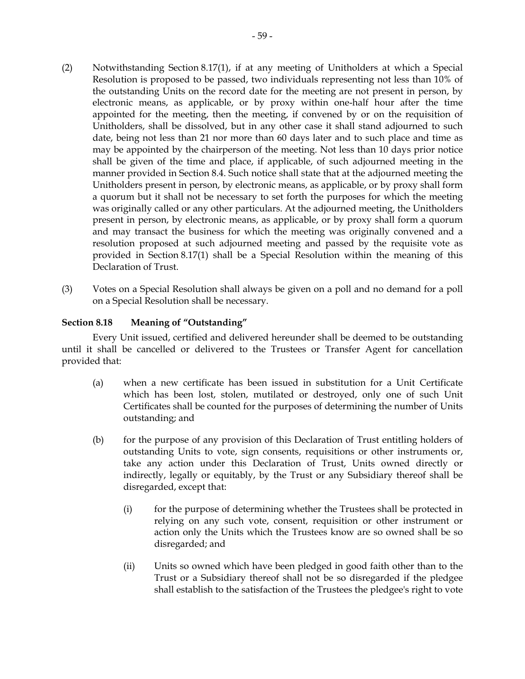- (2) Notwithstanding Section 8.17(1), if at any meeting of Unitholders at which a Special Resolution is proposed to be passed, two individuals representing not less than 10% of the outstanding Units on the record date for the meeting are not present in person, by electronic means, as applicable, or by proxy within one-half hour after the time appointed for the meeting, then the meeting, if convened by or on the requisition of Unitholders, shall be dissolved, but in any other case it shall stand adjourned to such date, being not less than 21 nor more than 60 days later and to such place and time as may be appointed by the chairperson of the meeting. Not less than 10 days prior notice shall be given of the time and place, if applicable, of such adjourned meeting in the manner provided in Section 8.4. Such notice shall state that at the adjourned meeting the Unitholders present in person, by electronic means, as applicable, or by proxy shall form a quorum but it shall not be necessary to set forth the purposes for which the meeting was originally called or any other particulars. At the adjourned meeting, the Unitholders present in person, by electronic means, as applicable, or by proxy shall form a quorum and may transact the business for which the meeting was originally convened and a resolution proposed at such adjourned meeting and passed by the requisite vote as provided in Section 8.17(1) shall be a Special Resolution within the meaning of this Declaration of Trust.
- (3) Votes on a Special Resolution shall always be given on a poll and no demand for a poll on a Special Resolution shall be necessary.

## **Section 8.18 Meaning of "Outstanding"**

Every Unit issued, certified and delivered hereunder shall be deemed to be outstanding until it shall be cancelled or delivered to the Trustees or Transfer Agent for cancellation provided that:

- (a) when a new certificate has been issued in substitution for a Unit Certificate which has been lost, stolen, mutilated or destroyed, only one of such Unit Certificates shall be counted for the purposes of determining the number of Units outstanding; and
- (b) for the purpose of any provision of this Declaration of Trust entitling holders of outstanding Units to vote, sign consents, requisitions or other instruments or, take any action under this Declaration of Trust, Units owned directly or indirectly, legally or equitably, by the Trust or any Subsidiary thereof shall be disregarded, except that:
	- (i) for the purpose of determining whether the Trustees shall be protected in relying on any such vote, consent, requisition or other instrument or action only the Units which the Trustees know are so owned shall be so disregarded; and
	- (ii) Units so owned which have been pledged in good faith other than to the Trust or a Subsidiary thereof shall not be so disregarded if the pledgee shall establish to the satisfaction of the Trustees the pledgee's right to vote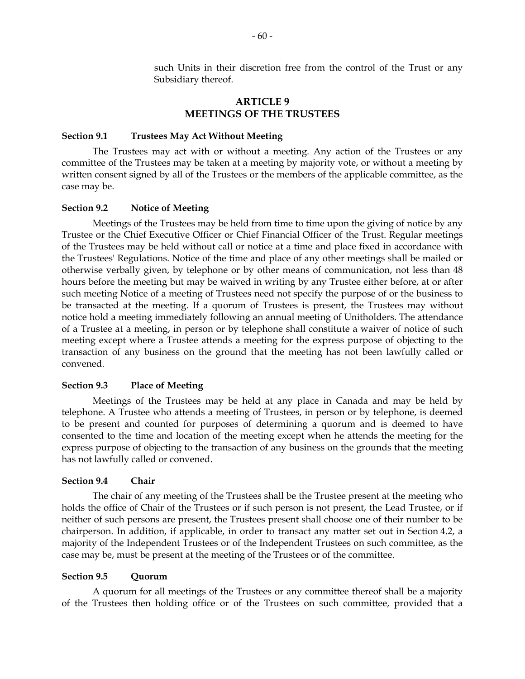such Units in their discretion free from the control of the Trust or any Subsidiary thereof.

### **ARTICLE 9 MEETINGS OF THE TRUSTEES**

#### **Section 9.1 Trustees May Act Without Meeting**

The Trustees may act with or without a meeting. Any action of the Trustees or any committee of the Trustees may be taken at a meeting by majority vote, or without a meeting by written consent signed by all of the Trustees or the members of the applicable committee, as the case may be.

### **Section 9.2 Notice of Meeting**

Meetings of the Trustees may be held from time to time upon the giving of notice by any Trustee or the Chief Executive Officer or Chief Financial Officer of the Trust. Regular meetings of the Trustees may be held without call or notice at a time and place fixed in accordance with the Trustees' Regulations. Notice of the time and place of any other meetings shall be mailed or otherwise verbally given, by telephone or by other means of communication, not less than 48 hours before the meeting but may be waived in writing by any Trustee either before, at or after such meeting Notice of a meeting of Trustees need not specify the purpose of or the business to be transacted at the meeting. If a quorum of Trustees is present, the Trustees may without notice hold a meeting immediately following an annual meeting of Unitholders. The attendance of a Trustee at a meeting, in person or by telephone shall constitute a waiver of notice of such meeting except where a Trustee attends a meeting for the express purpose of objecting to the transaction of any business on the ground that the meeting has not been lawfully called or convened.

### **Section 9.3 Place of Meeting**

 Meetings of the Trustees may be held at any place in Canada and may be held by telephone. A Trustee who attends a meeting of Trustees, in person or by telephone, is deemed to be present and counted for purposes of determining a quorum and is deemed to have consented to the time and location of the meeting except when he attends the meeting for the express purpose of objecting to the transaction of any business on the grounds that the meeting has not lawfully called or convened.

### **Section 9.4 Chair**

The chair of any meeting of the Trustees shall be the Trustee present at the meeting who holds the office of Chair of the Trustees or if such person is not present, the Lead Trustee, or if neither of such persons are present, the Trustees present shall choose one of their number to be chairperson. In addition, if applicable, in order to transact any matter set out in Section 4.2, a majority of the Independent Trustees or of the Independent Trustees on such committee, as the case may be, must be present at the meeting of the Trustees or of the committee.

#### **Section 9.5 Quorum**

A quorum for all meetings of the Trustees or any committee thereof shall be a majority of the Trustees then holding office or of the Trustees on such committee, provided that a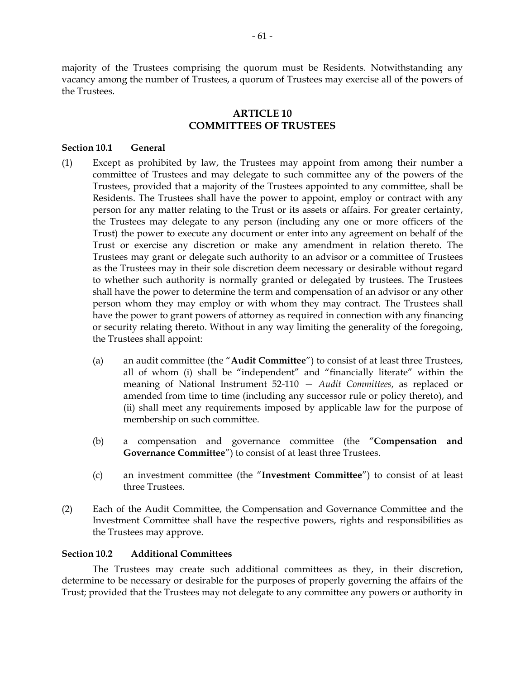majority of the Trustees comprising the quorum must be Residents. Notwithstanding any vacancy among the number of Trustees, a quorum of Trustees may exercise all of the powers of the Trustees.

# **ARTICLE 10 COMMITTEES OF TRUSTEES**

### **Section 10.1 General**

- (1) Except as prohibited by law, the Trustees may appoint from among their number a committee of Trustees and may delegate to such committee any of the powers of the Trustees, provided that a majority of the Trustees appointed to any committee, shall be Residents. The Trustees shall have the power to appoint, employ or contract with any person for any matter relating to the Trust or its assets or affairs. For greater certainty, the Trustees may delegate to any person (including any one or more officers of the Trust) the power to execute any document or enter into any agreement on behalf of the Trust or exercise any discretion or make any amendment in relation thereto. The Trustees may grant or delegate such authority to an advisor or a committee of Trustees as the Trustees may in their sole discretion deem necessary or desirable without regard to whether such authority is normally granted or delegated by trustees. The Trustees shall have the power to determine the term and compensation of an advisor or any other person whom they may employ or with whom they may contract. The Trustees shall have the power to grant powers of attorney as required in connection with any financing or security relating thereto. Without in any way limiting the generality of the foregoing, the Trustees shall appoint:
	- (a) an audit committee (the "**Audit Committee**") to consist of at least three Trustees, all of whom (i) shall be "independent" and "financially literate" within the meaning of National Instrument 52-110 — *Audit Committees*, as replaced or amended from time to time (including any successor rule or policy thereto), and (ii) shall meet any requirements imposed by applicable law for the purpose of membership on such committee.
	- (b) a compensation and governance committee (the "**Compensation and Governance Committee**") to consist of at least three Trustees.
	- (c) an investment committee (the "**Investment Committee**") to consist of at least three Trustees.
- (2) Each of the Audit Committee, the Compensation and Governance Committee and the Investment Committee shall have the respective powers, rights and responsibilities as the Trustees may approve.

### **Section 10.2 Additional Committees**

The Trustees may create such additional committees as they, in their discretion, determine to be necessary or desirable for the purposes of properly governing the affairs of the Trust; provided that the Trustees may not delegate to any committee any powers or authority in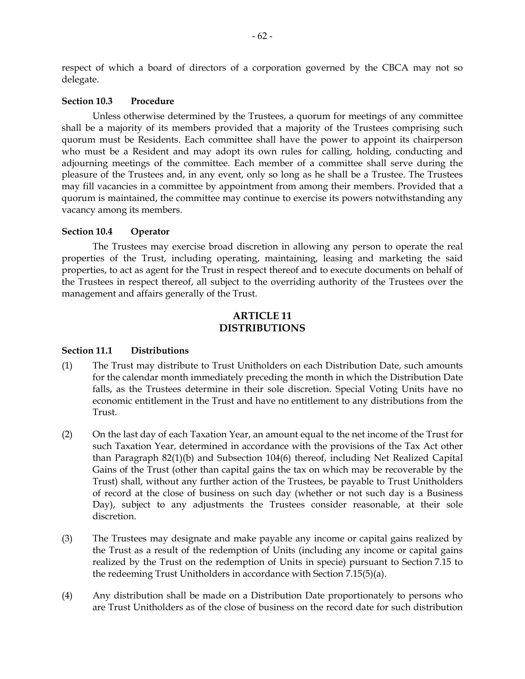respect of which a board of directors of a corporation governed by the CBCA may not so delegate.

#### **Section 10.3 Procedure**

Unless otherwise determined by the Trustees, a quorum for meetings of any committee shall be a majority of its members provided that a majority of the Trustees comprising such quorum must be Residents. Each committee shall have the power to appoint its chairperson who must be a Resident and may adopt its own rules for calling, holding, conducting and adjourning meetings of the committee. Each member of a committee shall serve during the pleasure of the Trustees and, in any event, only so long as he shall be a Trustee. The Trustees may fill vacancies in a committee by appointment from among their members. Provided that a quorum is maintained, the committee may continue to exercise its powers notwithstanding any vacancy among its members.

### **Section 10.4 Operator**

The Trustees may exercise broad discretion in allowing any person to operate the real properties of the Trust, including operating, maintaining, leasing and marketing the said properties, to act as agent for the Trust in respect thereof and to execute documents on behalf of the Trustees in respect thereof, all subject to the overriding authority of the Trustees over the management and affairs generally of the Trust.

### **ARTICLE 11 DISTRIBUTIONS**

#### **Section 11.1 Distributions**

- (1) The Trust may distribute to Trust Unitholders on each Distribution Date, such amounts for the calendar month immediately preceding the month in which the Distribution Date falls, as the Trustees determine in their sole discretion. Special Voting Units have no economic entitlement in the Trust and have no entitlement to any distributions from the Trust.
- (2) On the last day of each Taxation Year, an amount equal to the net income of the Trust for such Taxation Year, determined in accordance with the provisions of the Tax Act other than Paragraph 82(1)(b) and Subsection 104(6) thereof, including Net Realized Capital Gains of the Trust (other than capital gains the tax on which may be recoverable by the Trust) shall, without any further action of the Trustees, be payable to Trust Unitholders of record at the close of business on such day (whether or not such day is a Business Day), subject to any adjustments the Trustees consider reasonable, at their sole discretion.
- (3) The Trustees may designate and make payable any income or capital gains realized by the Trust as a result of the redemption of Units (including any income or capital gains realized by the Trust on the redemption of Units in specie) pursuant to Section 7.15 to the redeeming Trust Unitholders in accordance with Section 7.15(5)(a).
- (4) Any distribution shall be made on a Distribution Date proportionately to persons who are Trust Unitholders as of the close of business on the record date for such distribution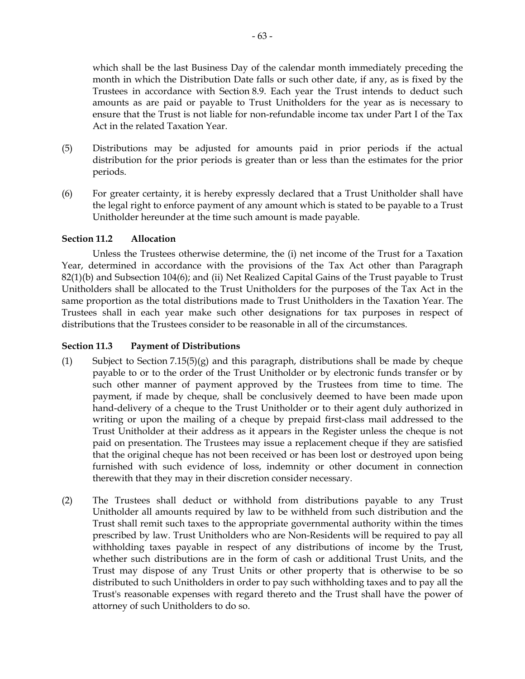which shall be the last Business Day of the calendar month immediately preceding the month in which the Distribution Date falls or such other date, if any, as is fixed by the Trustees in accordance with Section 8.9. Each year the Trust intends to deduct such amounts as are paid or payable to Trust Unitholders for the year as is necessary to ensure that the Trust is not liable for non-refundable income tax under Part I of the Tax Act in the related Taxation Year.

- (5) Distributions may be adjusted for amounts paid in prior periods if the actual distribution for the prior periods is greater than or less than the estimates for the prior periods.
- (6) For greater certainty, it is hereby expressly declared that a Trust Unitholder shall have the legal right to enforce payment of any amount which is stated to be payable to a Trust Unitholder hereunder at the time such amount is made payable.

## **Section 11.2 Allocation**

Unless the Trustees otherwise determine, the (i) net income of the Trust for a Taxation Year, determined in accordance with the provisions of the Tax Act other than Paragraph 82(1)(b) and Subsection 104(6); and (ii) Net Realized Capital Gains of the Trust payable to Trust Unitholders shall be allocated to the Trust Unitholders for the purposes of the Tax Act in the same proportion as the total distributions made to Trust Unitholders in the Taxation Year. The Trustees shall in each year make such other designations for tax purposes in respect of distributions that the Trustees consider to be reasonable in all of the circumstances.

## **Section 11.3 Payment of Distributions**

- (1) Subject to Section 7.15(5)(g) and this paragraph, distributions shall be made by cheque payable to or to the order of the Trust Unitholder or by electronic funds transfer or by such other manner of payment approved by the Trustees from time to time. The payment, if made by cheque, shall be conclusively deemed to have been made upon hand-delivery of a cheque to the Trust Unitholder or to their agent duly authorized in writing or upon the mailing of a cheque by prepaid first-class mail addressed to the Trust Unitholder at their address as it appears in the Register unless the cheque is not paid on presentation. The Trustees may issue a replacement cheque if they are satisfied that the original cheque has not been received or has been lost or destroyed upon being furnished with such evidence of loss, indemnity or other document in connection therewith that they may in their discretion consider necessary.
- (2) The Trustees shall deduct or withhold from distributions payable to any Trust Unitholder all amounts required by law to be withheld from such distribution and the Trust shall remit such taxes to the appropriate governmental authority within the times prescribed by law. Trust Unitholders who are Non-Residents will be required to pay all withholding taxes payable in respect of any distributions of income by the Trust, whether such distributions are in the form of cash or additional Trust Units, and the Trust may dispose of any Trust Units or other property that is otherwise to be so distributed to such Unitholders in order to pay such withholding taxes and to pay all the Trust's reasonable expenses with regard thereto and the Trust shall have the power of attorney of such Unitholders to do so.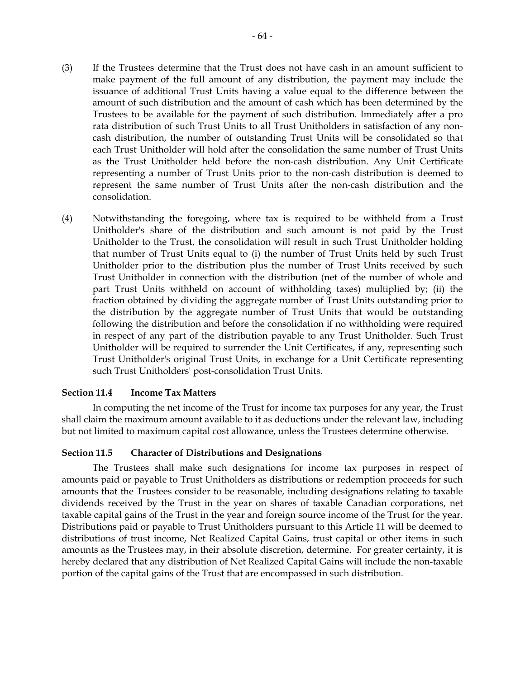- (3) If the Trustees determine that the Trust does not have cash in an amount sufficient to make payment of the full amount of any distribution, the payment may include the issuance of additional Trust Units having a value equal to the difference between the amount of such distribution and the amount of cash which has been determined by the Trustees to be available for the payment of such distribution. Immediately after a pro rata distribution of such Trust Units to all Trust Unitholders in satisfaction of any noncash distribution, the number of outstanding Trust Units will be consolidated so that each Trust Unitholder will hold after the consolidation the same number of Trust Units as the Trust Unitholder held before the non-cash distribution. Any Unit Certificate representing a number of Trust Units prior to the non-cash distribution is deemed to represent the same number of Trust Units after the non-cash distribution and the consolidation.
- (4) Notwithstanding the foregoing, where tax is required to be withheld from a Trust Unitholder's share of the distribution and such amount is not paid by the Trust Unitholder to the Trust, the consolidation will result in such Trust Unitholder holding that number of Trust Units equal to (i) the number of Trust Units held by such Trust Unitholder prior to the distribution plus the number of Trust Units received by such Trust Unitholder in connection with the distribution (net of the number of whole and part Trust Units withheld on account of withholding taxes) multiplied by; (ii) the fraction obtained by dividing the aggregate number of Trust Units outstanding prior to the distribution by the aggregate number of Trust Units that would be outstanding following the distribution and before the consolidation if no withholding were required in respect of any part of the distribution payable to any Trust Unitholder. Such Trust Unitholder will be required to surrender the Unit Certificates, if any, representing such Trust Unitholder's original Trust Units, in exchange for a Unit Certificate representing such Trust Unitholders' post-consolidation Trust Units.

#### **Section 11.4 Income Tax Matters**

In computing the net income of the Trust for income tax purposes for any year, the Trust shall claim the maximum amount available to it as deductions under the relevant law, including but not limited to maximum capital cost allowance, unless the Trustees determine otherwise.

#### **Section 11.5 Character of Distributions and Designations**

The Trustees shall make such designations for income tax purposes in respect of amounts paid or payable to Trust Unitholders as distributions or redemption proceeds for such amounts that the Trustees consider to be reasonable, including designations relating to taxable dividends received by the Trust in the year on shares of taxable Canadian corporations, net taxable capital gains of the Trust in the year and foreign source income of the Trust for the year. Distributions paid or payable to Trust Unitholders pursuant to this Article 11 will be deemed to distributions of trust income, Net Realized Capital Gains, trust capital or other items in such amounts as the Trustees may, in their absolute discretion, determine. For greater certainty, it is hereby declared that any distribution of Net Realized Capital Gains will include the non-taxable portion of the capital gains of the Trust that are encompassed in such distribution.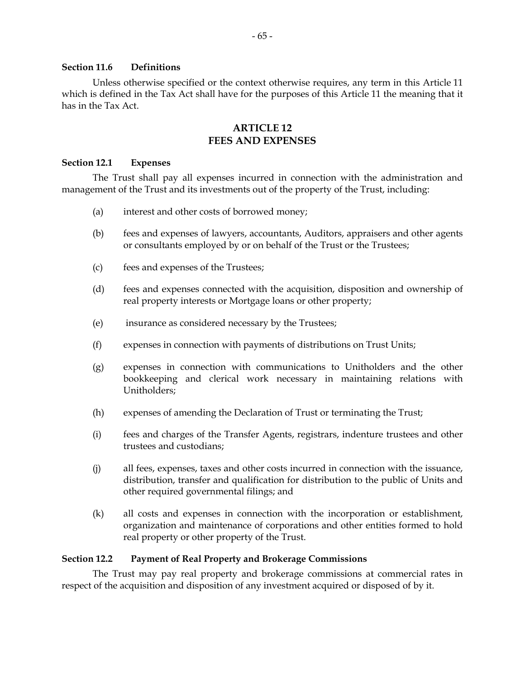#### **Section 11.6 Definitions**

Unless otherwise specified or the context otherwise requires, any term in this Article 11 which is defined in the Tax Act shall have for the purposes of this Article 11 the meaning that it has in the Tax Act.

### **ARTICLE 12 FEES AND EXPENSES**

#### **Section 12.1 Expenses**

The Trust shall pay all expenses incurred in connection with the administration and management of the Trust and its investments out of the property of the Trust, including:

- (a) interest and other costs of borrowed money;
- (b) fees and expenses of lawyers, accountants, Auditors, appraisers and other agents or consultants employed by or on behalf of the Trust or the Trustees;
- (c) fees and expenses of the Trustees;
- (d) fees and expenses connected with the acquisition, disposition and ownership of real property interests or Mortgage loans or other property;
- (e) insurance as considered necessary by the Trustees;
- (f) expenses in connection with payments of distributions on Trust Units;
- (g) expenses in connection with communications to Unitholders and the other bookkeeping and clerical work necessary in maintaining relations with Unitholders;
- (h) expenses of amending the Declaration of Trust or terminating the Trust;
- (i) fees and charges of the Transfer Agents, registrars, indenture trustees and other trustees and custodians;
- (j) all fees, expenses, taxes and other costs incurred in connection with the issuance, distribution, transfer and qualification for distribution to the public of Units and other required governmental filings; and
- (k) all costs and expenses in connection with the incorporation or establishment, organization and maintenance of corporations and other entities formed to hold real property or other property of the Trust.

### **Section 12.2 Payment of Real Property and Brokerage Commissions**

The Trust may pay real property and brokerage commissions at commercial rates in respect of the acquisition and disposition of any investment acquired or disposed of by it.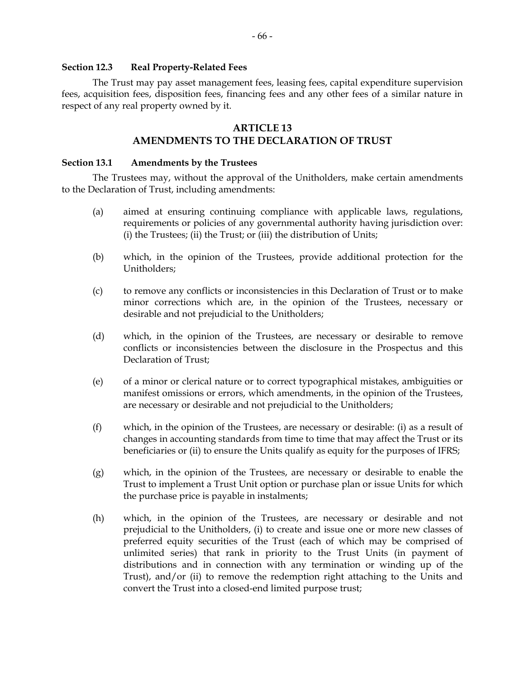#### **Section 12.3 Real Property-Related Fees**

The Trust may pay asset management fees, leasing fees, capital expenditure supervision fees, acquisition fees, disposition fees, financing fees and any other fees of a similar nature in respect of any real property owned by it.

## **ARTICLE 13**

# **AMENDMENTS TO THE DECLARATION OF TRUST**

#### **Section 13.1 Amendments by the Trustees**

The Trustees may, without the approval of the Unitholders, make certain amendments to the Declaration of Trust, including amendments:

- (a) aimed at ensuring continuing compliance with applicable laws, regulations, requirements or policies of any governmental authority having jurisdiction over: (i) the Trustees; (ii) the Trust; or (iii) the distribution of Units;
- (b) which, in the opinion of the Trustees, provide additional protection for the Unitholders;
- (c) to remove any conflicts or inconsistencies in this Declaration of Trust or to make minor corrections which are, in the opinion of the Trustees, necessary or desirable and not prejudicial to the Unitholders;
- (d) which, in the opinion of the Trustees, are necessary or desirable to remove conflicts or inconsistencies between the disclosure in the Prospectus and this Declaration of Trust;
- (e) of a minor or clerical nature or to correct typographical mistakes, ambiguities or manifest omissions or errors, which amendments, in the opinion of the Trustees, are necessary or desirable and not prejudicial to the Unitholders;
- (f) which, in the opinion of the Trustees, are necessary or desirable: (i) as a result of changes in accounting standards from time to time that may affect the Trust or its beneficiaries or (ii) to ensure the Units qualify as equity for the purposes of IFRS;
- (g) which, in the opinion of the Trustees, are necessary or desirable to enable the Trust to implement a Trust Unit option or purchase plan or issue Units for which the purchase price is payable in instalments;
- (h) which, in the opinion of the Trustees, are necessary or desirable and not prejudicial to the Unitholders, (i) to create and issue one or more new classes of preferred equity securities of the Trust (each of which may be comprised of unlimited series) that rank in priority to the Trust Units (in payment of distributions and in connection with any termination or winding up of the Trust), and/or (ii) to remove the redemption right attaching to the Units and convert the Trust into a closed-end limited purpose trust;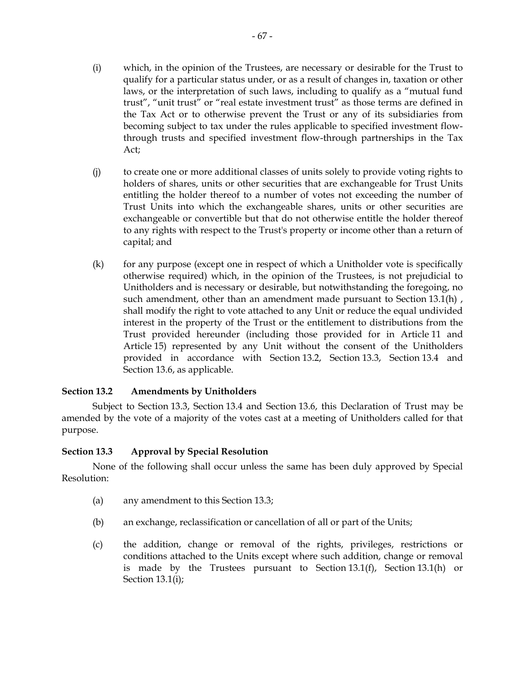- (i) which, in the opinion of the Trustees, are necessary or desirable for the Trust to qualify for a particular status under, or as a result of changes in, taxation or other laws, or the interpretation of such laws, including to qualify as a "mutual fund trust", "unit trust" or "real estate investment trust" as those terms are defined in the Tax Act or to otherwise prevent the Trust or any of its subsidiaries from becoming subject to tax under the rules applicable to specified investment flowthrough trusts and specified investment flow-through partnerships in the Tax Act;
- (j) to create one or more additional classes of units solely to provide voting rights to holders of shares, units or other securities that are exchangeable for Trust Units entitling the holder thereof to a number of votes not exceeding the number of Trust Units into which the exchangeable shares, units or other securities are exchangeable or convertible but that do not otherwise entitle the holder thereof to any rights with respect to the Trust's property or income other than a return of capital; and
- (k) for any purpose (except one in respect of which a Unitholder vote is specifically otherwise required) which, in the opinion of the Trustees, is not prejudicial to Unitholders and is necessary or desirable, but notwithstanding the foregoing, no such amendment, other than an amendment made pursuant to Section 13.1(h), shall modify the right to vote attached to any Unit or reduce the equal undivided interest in the property of the Trust or the entitlement to distributions from the Trust provided hereunder (including those provided for in Article 11 and Article 15) represented by any Unit without the consent of the Unitholders provided in accordance with Section 13.2, Section 13.3, Section 13.4 and Section 13.6, as applicable.

## **Section 13.2 Amendments by Unitholders**

Subject to Section 13.3, Section 13.4 and Section 13.6, this Declaration of Trust may be amended by the vote of a majority of the votes cast at a meeting of Unitholders called for that purpose.

#### **Section 13.3 Approval by Special Resolution**

None of the following shall occur unless the same has been duly approved by Special Resolution:

- (a) any amendment to this Section 13.3;
- (b) an exchange, reclassification or cancellation of all or part of the Units;
- (c) the addition, change or removal of the rights, privileges, restrictions or conditions attached to the Units except where such addition, change or removal is made by the Trustees pursuant to Section 13.1(f), Section 13.1(h) or Section 13.1(i);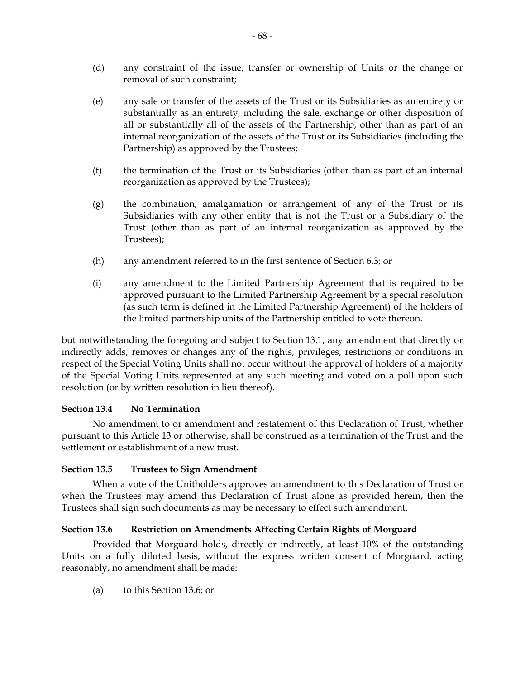- (d) any constraint of the issue, transfer or ownership of Units or the change or removal of such constraint;
- (e) any sale or transfer of the assets of the Trust or its Subsidiaries as an entirety or substantially as an entirety, including the sale, exchange or other disposition of all or substantially all of the assets of the Partnership, other than as part of an internal reorganization of the assets of the Trust or its Subsidiaries (including the Partnership) as approved by the Trustees;
- (f) the termination of the Trust or its Subsidiaries (other than as part of an internal reorganization as approved by the Trustees);
- (g) the combination, amalgamation or arrangement of any of the Trust or its Subsidiaries with any other entity that is not the Trust or a Subsidiary of the Trust (other than as part of an internal reorganization as approved by the Trustees);
- (h) any amendment referred to in the first sentence of Section 6.3; or
- (i) any amendment to the Limited Partnership Agreement that is required to be approved pursuant to the Limited Partnership Agreement by a special resolution (as such term is defined in the Limited Partnership Agreement) of the holders of the limited partnership units of the Partnership entitled to vote thereon.

but notwithstanding the foregoing and subject to Section 13.1, any amendment that directly or indirectly adds, removes or changes any of the rights, privileges, restrictions or conditions in respect of the Special Voting Units shall not occur without the approval of holders of a majority of the Special Voting Units represented at any such meeting and voted on a poll upon such resolution (or by written resolution in lieu thereof).

## **Section 13.4 No Termination**

No amendment to or amendment and restatement of this Declaration of Trust, whether pursuant to this Article 13 or otherwise, shall be construed as a termination of the Trust and the settlement or establishment of a new trust.

## **Section 13.5 Trustees to Sign Amendment**

When a vote of the Unitholders approves an amendment to this Declaration of Trust or when the Trustees may amend this Declaration of Trust alone as provided herein, then the Trustees shall sign such documents as may be necessary to effect such amendment.

## **Section 13.6 Restriction on Amendments Affecting Certain Rights of Morguard**

Provided that Morguard holds, directly or indirectly, at least 10% of the outstanding Units on a fully diluted basis, without the express written consent of Morguard, acting reasonably, no amendment shall be made:

(a) to this Section 13.6; or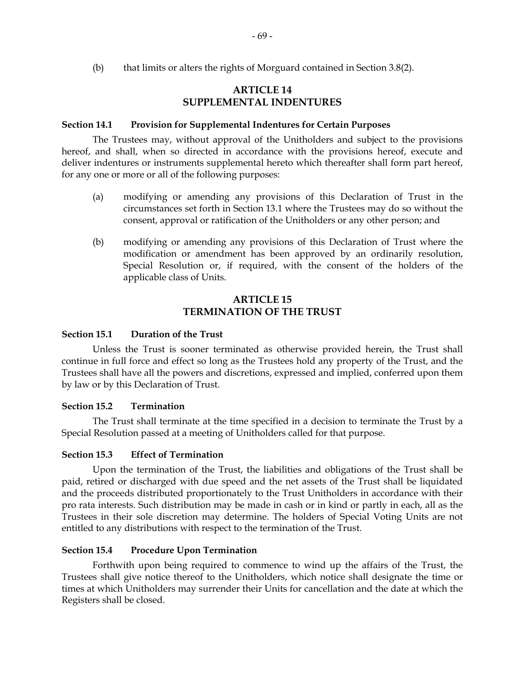(b) that limits or alters the rights of Morguard contained in Section 3.8(2).

# **ARTICLE 14 SUPPLEMENTAL INDENTURES**

#### **Section 14.1 Provision for Supplemental Indentures for Certain Purposes**

The Trustees may, without approval of the Unitholders and subject to the provisions hereof, and shall, when so directed in accordance with the provisions hereof, execute and deliver indentures or instruments supplemental hereto which thereafter shall form part hereof, for any one or more or all of the following purposes:

- (a) modifying or amending any provisions of this Declaration of Trust in the circumstances set forth in Section 13.1 where the Trustees may do so without the consent, approval or ratification of the Unitholders or any other person; and
- (b) modifying or amending any provisions of this Declaration of Trust where the modification or amendment has been approved by an ordinarily resolution, Special Resolution or, if required, with the consent of the holders of the applicable class of Units.

# **ARTICLE 15 TERMINATION OF THE TRUST**

#### **Section 15.1 Duration of the Trust**

Unless the Trust is sooner terminated as otherwise provided herein, the Trust shall continue in full force and effect so long as the Trustees hold any property of the Trust, and the Trustees shall have all the powers and discretions, expressed and implied, conferred upon them by law or by this Declaration of Trust.

#### **Section 15.2 Termination**

The Trust shall terminate at the time specified in a decision to terminate the Trust by a Special Resolution passed at a meeting of Unitholders called for that purpose.

#### **Section 15.3 Effect of Termination**

Upon the termination of the Trust, the liabilities and obligations of the Trust shall be paid, retired or discharged with due speed and the net assets of the Trust shall be liquidated and the proceeds distributed proportionately to the Trust Unitholders in accordance with their pro rata interests. Such distribution may be made in cash or in kind or partly in each, all as the Trustees in their sole discretion may determine. The holders of Special Voting Units are not entitled to any distributions with respect to the termination of the Trust.

#### **Section 15.4 Procedure Upon Termination**

Forthwith upon being required to commence to wind up the affairs of the Trust, the Trustees shall give notice thereof to the Unitholders, which notice shall designate the time or times at which Unitholders may surrender their Units for cancellation and the date at which the Registers shall be closed.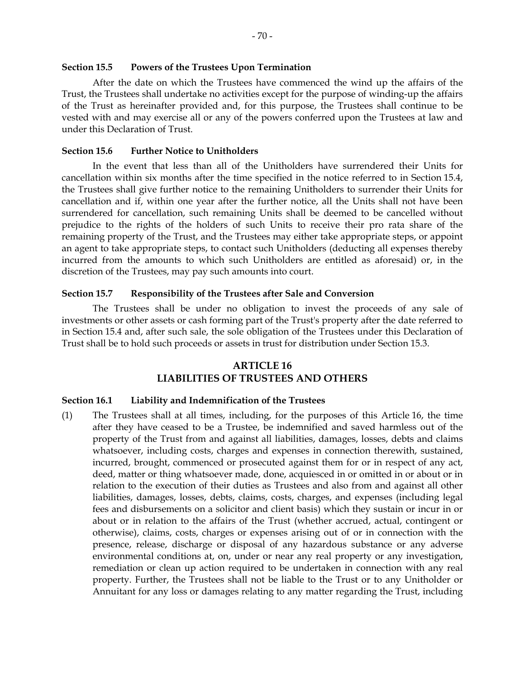After the date on which the Trustees have commenced the wind up the affairs of the Trust, the Trustees shall undertake no activities except for the purpose of winding-up the affairs of the Trust as hereinafter provided and, for this purpose, the Trustees shall continue to be vested with and may exercise all or any of the powers conferred upon the Trustees at law and under this Declaration of Trust.

#### **Section 15.6 Further Notice to Unitholders**

In the event that less than all of the Unitholders have surrendered their Units for cancellation within six months after the time specified in the notice referred to in Section 15.4, the Trustees shall give further notice to the remaining Unitholders to surrender their Units for cancellation and if, within one year after the further notice, all the Units shall not have been surrendered for cancellation, such remaining Units shall be deemed to be cancelled without prejudice to the rights of the holders of such Units to receive their pro rata share of the remaining property of the Trust, and the Trustees may either take appropriate steps, or appoint an agent to take appropriate steps, to contact such Unitholders (deducting all expenses thereby incurred from the amounts to which such Unitholders are entitled as aforesaid) or, in the discretion of the Trustees, may pay such amounts into court.

#### **Section 15.7 Responsibility of the Trustees after Sale and Conversion**

The Trustees shall be under no obligation to invest the proceeds of any sale of investments or other assets or cash forming part of the Trust's property after the date referred to in Section 15.4 and, after such sale, the sole obligation of the Trustees under this Declaration of Trust shall be to hold such proceeds or assets in trust for distribution under Section 15.3.

# **ARTICLE 16 LIABILITIES OF TRUSTEES AND OTHERS**

#### **Section 16.1 Liability and Indemnification of the Trustees**

(1) The Trustees shall at all times, including, for the purposes of this Article 16, the time after they have ceased to be a Trustee, be indemnified and saved harmless out of the property of the Trust from and against all liabilities, damages, losses, debts and claims whatsoever, including costs, charges and expenses in connection therewith, sustained, incurred, brought, commenced or prosecuted against them for or in respect of any act, deed, matter or thing whatsoever made, done, acquiesced in or omitted in or about or in relation to the execution of their duties as Trustees and also from and against all other liabilities, damages, losses, debts, claims, costs, charges, and expenses (including legal fees and disbursements on a solicitor and client basis) which they sustain or incur in or about or in relation to the affairs of the Trust (whether accrued, actual, contingent or otherwise), claims, costs, charges or expenses arising out of or in connection with the presence, release, discharge or disposal of any hazardous substance or any adverse environmental conditions at, on, under or near any real property or any investigation, remediation or clean up action required to be undertaken in connection with any real property. Further, the Trustees shall not be liable to the Trust or to any Unitholder or Annuitant for any loss or damages relating to any matter regarding the Trust, including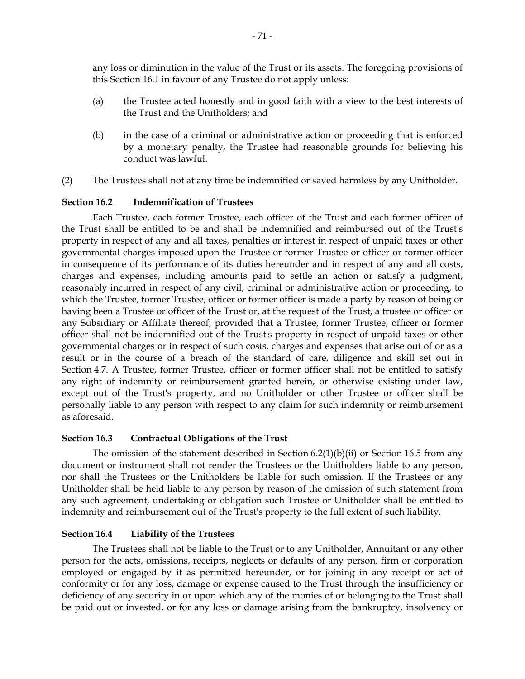any loss or diminution in the value of the Trust or its assets. The foregoing provisions of this Section 16.1 in favour of any Trustee do not apply unless:

- (a) the Trustee acted honestly and in good faith with a view to the best interests of the Trust and the Unitholders; and
- (b) in the case of a criminal or administrative action or proceeding that is enforced by a monetary penalty, the Trustee had reasonable grounds for believing his conduct was lawful.
- (2) The Trustees shall not at any time be indemnified or saved harmless by any Unitholder.

## **Section 16.2 Indemnification of Trustees**

Each Trustee, each former Trustee, each officer of the Trust and each former officer of the Trust shall be entitled to be and shall be indemnified and reimbursed out of the Trust's property in respect of any and all taxes, penalties or interest in respect of unpaid taxes or other governmental charges imposed upon the Trustee or former Trustee or officer or former officer in consequence of its performance of its duties hereunder and in respect of any and all costs, charges and expenses, including amounts paid to settle an action or satisfy a judgment, reasonably incurred in respect of any civil, criminal or administrative action or proceeding, to which the Trustee, former Trustee, officer or former officer is made a party by reason of being or having been a Trustee or officer of the Trust or, at the request of the Trust, a trustee or officer or any Subsidiary or Affiliate thereof, provided that a Trustee, former Trustee, officer or former officer shall not be indemnified out of the Trust's property in respect of unpaid taxes or other governmental charges or in respect of such costs, charges and expenses that arise out of or as a result or in the course of a breach of the standard of care, diligence and skill set out in Section 4.7. A Trustee, former Trustee, officer or former officer shall not be entitled to satisfy any right of indemnity or reimbursement granted herein, or otherwise existing under law, except out of the Trust's property, and no Unitholder or other Trustee or officer shall be personally liable to any person with respect to any claim for such indemnity or reimbursement as aforesaid.

## **Section 16.3 Contractual Obligations of the Trust**

The omission of the statement described in Section 6.2(1)(b)(ii) or Section 16.5 from any document or instrument shall not render the Trustees or the Unitholders liable to any person, nor shall the Trustees or the Unitholders be liable for such omission. If the Trustees or any Unitholder shall be held liable to any person by reason of the omission of such statement from any such agreement, undertaking or obligation such Trustee or Unitholder shall be entitled to indemnity and reimbursement out of the Trust's property to the full extent of such liability.

#### **Section 16.4 Liability of the Trustees**

The Trustees shall not be liable to the Trust or to any Unitholder, Annuitant or any other person for the acts, omissions, receipts, neglects or defaults of any person, firm or corporation employed or engaged by it as permitted hereunder, or for joining in any receipt or act of conformity or for any loss, damage or expense caused to the Trust through the insufficiency or deficiency of any security in or upon which any of the monies of or belonging to the Trust shall be paid out or invested, or for any loss or damage arising from the bankruptcy, insolvency or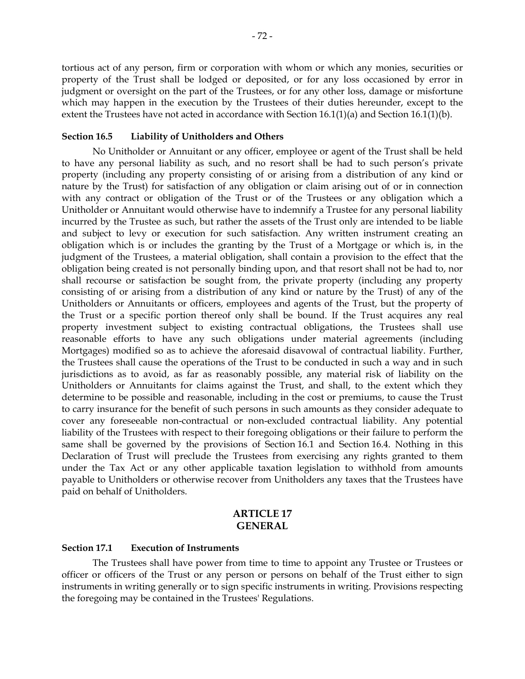tortious act of any person, firm or corporation with whom or which any monies, securities or property of the Trust shall be lodged or deposited, or for any loss occasioned by error in judgment or oversight on the part of the Trustees, or for any other loss, damage or misfortune which may happen in the execution by the Trustees of their duties hereunder, except to the extent the Trustees have not acted in accordance with Section 16.1(1)(a) and Section 16.1(1)(b).

#### **Section 16.5 Liability of Unitholders and Others**

No Unitholder or Annuitant or any officer, employee or agent of the Trust shall be held to have any personal liability as such, and no resort shall be had to such person's private property (including any property consisting of or arising from a distribution of any kind or nature by the Trust) for satisfaction of any obligation or claim arising out of or in connection with any contract or obligation of the Trust or of the Trustees or any obligation which a Unitholder or Annuitant would otherwise have to indemnify a Trustee for any personal liability incurred by the Trustee as such, but rather the assets of the Trust only are intended to be liable and subject to levy or execution for such satisfaction. Any written instrument creating an obligation which is or includes the granting by the Trust of a Mortgage or which is, in the judgment of the Trustees, a material obligation, shall contain a provision to the effect that the obligation being created is not personally binding upon, and that resort shall not be had to, nor shall recourse or satisfaction be sought from, the private property (including any property consisting of or arising from a distribution of any kind or nature by the Trust) of any of the Unitholders or Annuitants or officers, employees and agents of the Trust, but the property of the Trust or a specific portion thereof only shall be bound. If the Trust acquires any real property investment subject to existing contractual obligations, the Trustees shall use reasonable efforts to have any such obligations under material agreements (including Mortgages) modified so as to achieve the aforesaid disavowal of contractual liability. Further, the Trustees shall cause the operations of the Trust to be conducted in such a way and in such jurisdictions as to avoid, as far as reasonably possible, any material risk of liability on the Unitholders or Annuitants for claims against the Trust, and shall, to the extent which they determine to be possible and reasonable, including in the cost or premiums, to cause the Trust to carry insurance for the benefit of such persons in such amounts as they consider adequate to cover any foreseeable non-contractual or non-excluded contractual liability. Any potential liability of the Trustees with respect to their foregoing obligations or their failure to perform the same shall be governed by the provisions of Section 16.1 and Section 16.4. Nothing in this Declaration of Trust will preclude the Trustees from exercising any rights granted to them under the Tax Act or any other applicable taxation legislation to withhold from amounts payable to Unitholders or otherwise recover from Unitholders any taxes that the Trustees have paid on behalf of Unitholders.

### **ARTICLE 17 GENERAL**

#### **Section 17.1 Execution of Instruments**

The Trustees shall have power from time to time to appoint any Trustee or Trustees or officer or officers of the Trust or any person or persons on behalf of the Trust either to sign instruments in writing generally or to sign specific instruments in writing. Provisions respecting the foregoing may be contained in the Trustees' Regulations.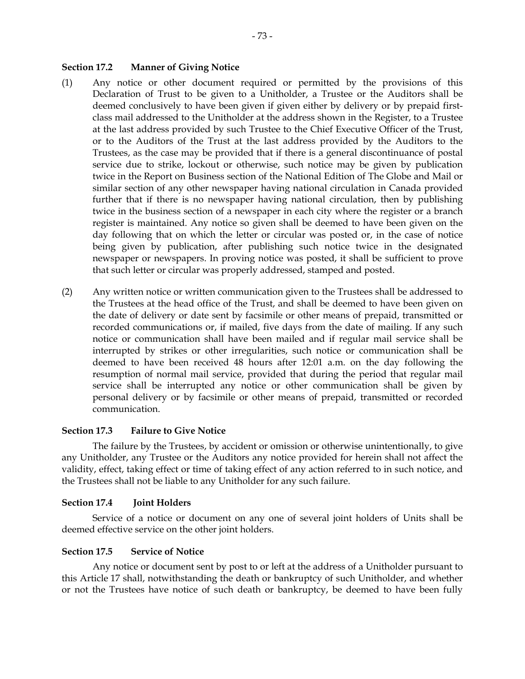#### **Section 17.2 Manner of Giving Notice**

- (1) Any notice or other document required or permitted by the provisions of this Declaration of Trust to be given to a Unitholder, a Trustee or the Auditors shall be deemed conclusively to have been given if given either by delivery or by prepaid firstclass mail addressed to the Unitholder at the address shown in the Register, to a Trustee at the last address provided by such Trustee to the Chief Executive Officer of the Trust, or to the Auditors of the Trust at the last address provided by the Auditors to the Trustees, as the case may be provided that if there is a general discontinuance of postal service due to strike, lockout or otherwise, such notice may be given by publication twice in the Report on Business section of the National Edition of The Globe and Mail or similar section of any other newspaper having national circulation in Canada provided further that if there is no newspaper having national circulation, then by publishing twice in the business section of a newspaper in each city where the register or a branch register is maintained. Any notice so given shall be deemed to have been given on the day following that on which the letter or circular was posted or, in the case of notice being given by publication, after publishing such notice twice in the designated newspaper or newspapers. In proving notice was posted, it shall be sufficient to prove that such letter or circular was properly addressed, stamped and posted.
- (2) Any written notice or written communication given to the Trustees shall be addressed to the Trustees at the head office of the Trust, and shall be deemed to have been given on the date of delivery or date sent by facsimile or other means of prepaid, transmitted or recorded communications or, if mailed, five days from the date of mailing. If any such notice or communication shall have been mailed and if regular mail service shall be interrupted by strikes or other irregularities, such notice or communication shall be deemed to have been received 48 hours after 12:01 a.m. on the day following the resumption of normal mail service, provided that during the period that regular mail service shall be interrupted any notice or other communication shall be given by personal delivery or by facsimile or other means of prepaid, transmitted or recorded communication.

#### **Section 17.3 Failure to Give Notice**

The failure by the Trustees, by accident or omission or otherwise unintentionally, to give any Unitholder, any Trustee or the Auditors any notice provided for herein shall not affect the validity, effect, taking effect or time of taking effect of any action referred to in such notice, and the Trustees shall not be liable to any Unitholder for any such failure.

#### **Section 17.4 Joint Holders**

Service of a notice or document on any one of several joint holders of Units shall be deemed effective service on the other joint holders.

#### **Section 17.5 Service of Notice**

Any notice or document sent by post to or left at the address of a Unitholder pursuant to this Article 17 shall, notwithstanding the death or bankruptcy of such Unitholder, and whether or not the Trustees have notice of such death or bankruptcy, be deemed to have been fully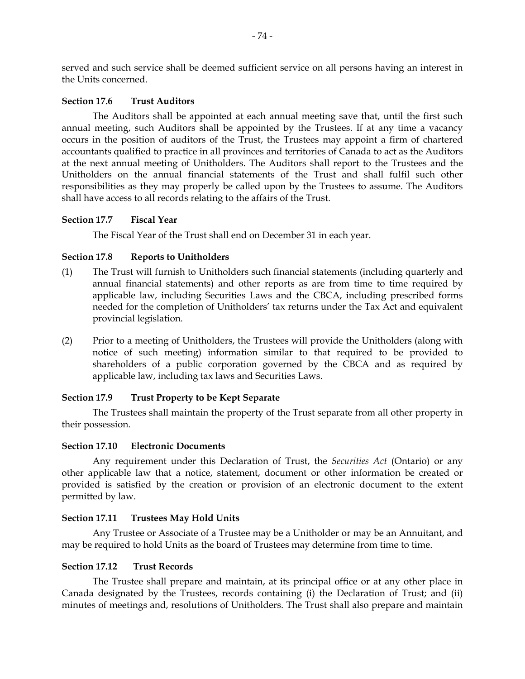served and such service shall be deemed sufficient service on all persons having an interest in the Units concerned.

#### **Section 17.6 Trust Auditors**

The Auditors shall be appointed at each annual meeting save that, until the first such annual meeting, such Auditors shall be appointed by the Trustees. If at any time a vacancy occurs in the position of auditors of the Trust, the Trustees may appoint a firm of chartered accountants qualified to practice in all provinces and territories of Canada to act as the Auditors at the next annual meeting of Unitholders. The Auditors shall report to the Trustees and the Unitholders on the annual financial statements of the Trust and shall fulfil such other responsibilities as they may properly be called upon by the Trustees to assume. The Auditors shall have access to all records relating to the affairs of the Trust.

### **Section 17.7 Fiscal Year**

The Fiscal Year of the Trust shall end on December 31 in each year.

### **Section 17.8 Reports to Unitholders**

- (1) The Trust will furnish to Unitholders such financial statements (including quarterly and annual financial statements) and other reports as are from time to time required by applicable law, including Securities Laws and the CBCA, including prescribed forms needed for the completion of Unitholders' tax returns under the Tax Act and equivalent provincial legislation.
- (2) Prior to a meeting of Unitholders, the Trustees will provide the Unitholders (along with notice of such meeting) information similar to that required to be provided to shareholders of a public corporation governed by the CBCA and as required by applicable law, including tax laws and Securities Laws.

## **Section 17.9 Trust Property to be Kept Separate**

The Trustees shall maintain the property of the Trust separate from all other property in their possession.

#### **Section 17.10 Electronic Documents**

Any requirement under this Declaration of Trust, the *Securities Act* (Ontario) or any other applicable law that a notice, statement, document or other information be created or provided is satisfied by the creation or provision of an electronic document to the extent permitted by law.

## **Section 17.11 Trustees May Hold Units**

Any Trustee or Associate of a Trustee may be a Unitholder or may be an Annuitant, and may be required to hold Units as the board of Trustees may determine from time to time.

#### **Section 17.12 Trust Records**

The Trustee shall prepare and maintain, at its principal office or at any other place in Canada designated by the Trustees, records containing (i) the Declaration of Trust; and (ii) minutes of meetings and, resolutions of Unitholders. The Trust shall also prepare and maintain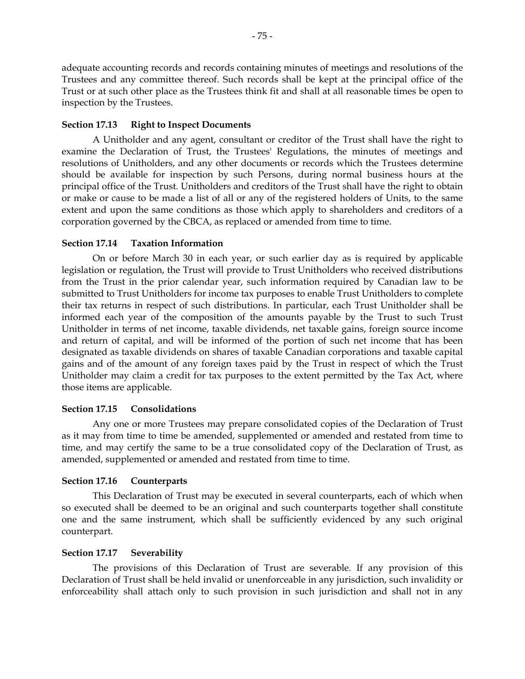adequate accounting records and records containing minutes of meetings and resolutions of the Trustees and any committee thereof. Such records shall be kept at the principal office of the Trust or at such other place as the Trustees think fit and shall at all reasonable times be open to inspection by the Trustees.

## **Section 17.13 Right to Inspect Documents**

A Unitholder and any agent, consultant or creditor of the Trust shall have the right to examine the Declaration of Trust, the Trustees' Regulations, the minutes of meetings and resolutions of Unitholders, and any other documents or records which the Trustees determine should be available for inspection by such Persons, during normal business hours at the principal office of the Trust. Unitholders and creditors of the Trust shall have the right to obtain or make or cause to be made a list of all or any of the registered holders of Units, to the same extent and upon the same conditions as those which apply to shareholders and creditors of a corporation governed by the CBCA, as replaced or amended from time to time.

#### **Section 17.14 Taxation Information**

On or before March 30 in each year, or such earlier day as is required by applicable legislation or regulation, the Trust will provide to Trust Unitholders who received distributions from the Trust in the prior calendar year, such information required by Canadian law to be submitted to Trust Unitholders for income tax purposes to enable Trust Unitholders to complete their tax returns in respect of such distributions. In particular, each Trust Unitholder shall be informed each year of the composition of the amounts payable by the Trust to such Trust Unitholder in terms of net income, taxable dividends, net taxable gains, foreign source income and return of capital, and will be informed of the portion of such net income that has been designated as taxable dividends on shares of taxable Canadian corporations and taxable capital gains and of the amount of any foreign taxes paid by the Trust in respect of which the Trust Unitholder may claim a credit for tax purposes to the extent permitted by the Tax Act, where those items are applicable.

#### **Section 17.15 Consolidations**

Any one or more Trustees may prepare consolidated copies of the Declaration of Trust as it may from time to time be amended, supplemented or amended and restated from time to time, and may certify the same to be a true consolidated copy of the Declaration of Trust, as amended, supplemented or amended and restated from time to time.

## **Section 17.16 Counterparts**

This Declaration of Trust may be executed in several counterparts, each of which when so executed shall be deemed to be an original and such counterparts together shall constitute one and the same instrument, which shall be sufficiently evidenced by any such original counterpart.

#### **Section 17.17 Severability**

The provisions of this Declaration of Trust are severable. If any provision of this Declaration of Trust shall be held invalid or unenforceable in any jurisdiction, such invalidity or enforceability shall attach only to such provision in such jurisdiction and shall not in any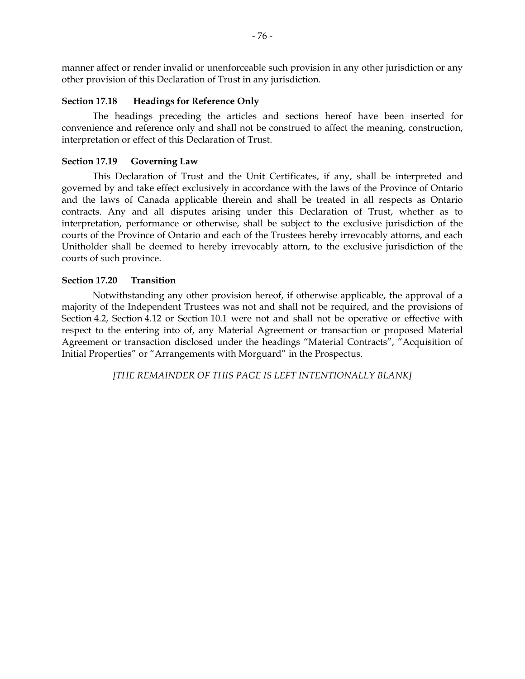manner affect or render invalid or unenforceable such provision in any other jurisdiction or any other provision of this Declaration of Trust in any jurisdiction.

### **Section 17.18 Headings for Reference Only**

The headings preceding the articles and sections hereof have been inserted for convenience and reference only and shall not be construed to affect the meaning, construction, interpretation or effect of this Declaration of Trust.

### **Section 17.19 Governing Law**

This Declaration of Trust and the Unit Certificates, if any, shall be interpreted and governed by and take effect exclusively in accordance with the laws of the Province of Ontario and the laws of Canada applicable therein and shall be treated in all respects as Ontario contracts. Any and all disputes arising under this Declaration of Trust, whether as to interpretation, performance or otherwise, shall be subject to the exclusive jurisdiction of the courts of the Province of Ontario and each of the Trustees hereby irrevocably attorns, and each Unitholder shall be deemed to hereby irrevocably attorn, to the exclusive jurisdiction of the courts of such province.

## **Section 17.20 Transition**

Notwithstanding any other provision hereof, if otherwise applicable, the approval of a majority of the Independent Trustees was not and shall not be required, and the provisions of Section 4.2, Section 4.12 or Section 10.1 were not and shall not be operative or effective with respect to the entering into of, any Material Agreement or transaction or proposed Material Agreement or transaction disclosed under the headings "Material Contracts", "Acquisition of Initial Properties" or "Arrangements with Morguard" in the Prospectus.

*[THE REMAINDER OF THIS PAGE IS LEFT INTENTIONALLY BLANK]*